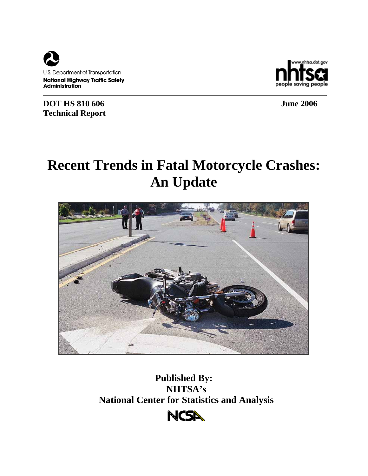

**DOT HS 810 606** June 2006 **Technical Report** 

nhtsa.dot.gov. saving peo

# **Recent Trends in Fatal Motorcycle Crashes: An Update**



**Published By: NHTSA's National Center for Statistics and Analysis**

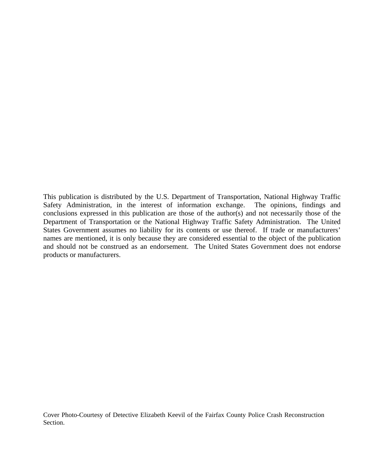This publication is distributed by the U.S. Department of Transportation, National Highway Traffic Safety Administration, in the interest of information exchange. The opinions, findings and conclusions expressed in this publication are those of the author(s) and not necessarily those of the Department of Transportation or the National Highway Traffic Safety Administration. The United States Government assumes no liability for its contents or use thereof. If trade or manufacturers' names are mentioned, it is only because they are considered essential to the object of the publication and should not be construed as an endorsement. The United States Government does not endorse products or manufacturers.

Cover Photo-Courtesy of Detective Elizabeth Keevil of the Fairfax County Police Crash Reconstruction Section.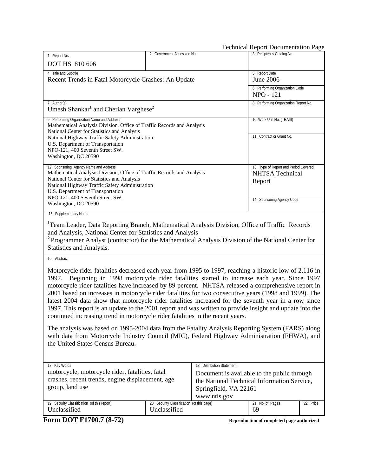|                                                                                                                                                                         |                                            |                                             | <b>Technical Report Documentation Page</b> |           |
|-------------------------------------------------------------------------------------------------------------------------------------------------------------------------|--------------------------------------------|---------------------------------------------|--------------------------------------------|-----------|
| 1. Report No.                                                                                                                                                           | 2. Government Accession No.                |                                             | 3. Recipient's Catalog No.                 |           |
| <b>DOT HS 810 606</b>                                                                                                                                                   |                                            |                                             |                                            |           |
| 4. Title and Subtitle                                                                                                                                                   |                                            |                                             | 5. Report Date                             |           |
| Recent Trends in Fatal Motorcycle Crashes: An Update                                                                                                                    |                                            |                                             | <b>June 2006</b>                           |           |
|                                                                                                                                                                         |                                            |                                             | 6. Performing Organization Code            |           |
|                                                                                                                                                                         |                                            |                                             | <b>NPO - 121</b>                           |           |
| 7. Author(s)                                                                                                                                                            |                                            |                                             | 8. Performing Organization Report No.      |           |
| Umesh Shankar <sup>1</sup> and Cherian Varghese <sup>2</sup>                                                                                                            |                                            |                                             |                                            |           |
| 9. Performing Organization Name and Address                                                                                                                             |                                            |                                             | 10. Work Unit No. (TRAIS)                  |           |
| Mathematical Analysis Division, Office of Traffic Records and Analysis                                                                                                  |                                            |                                             |                                            |           |
| National Center for Statistics and Analysis                                                                                                                             |                                            |                                             | 11. Contract or Grant No.                  |           |
| National Highway Traffic Safety Administration<br>U.S. Department of Transportation                                                                                     |                                            |                                             |                                            |           |
| NPO-121, 400 Seventh Street SW.                                                                                                                                         |                                            |                                             |                                            |           |
| Washington, DC 20590                                                                                                                                                    |                                            |                                             |                                            |           |
| 12. Sponsoring Agency Name and Address                                                                                                                                  |                                            |                                             | 13. Type of Report and Period Covered      |           |
| Mathematical Analysis Division, Office of Traffic Records and Analysis                                                                                                  |                                            |                                             | <b>NHTSA</b> Technical                     |           |
| National Center for Statistics and Analysis                                                                                                                             |                                            |                                             | Report                                     |           |
| National Highway Traffic Safety Administration                                                                                                                          |                                            |                                             |                                            |           |
| U.S. Department of Transportation<br>NPO-121, 400 Seventh Street SW.                                                                                                    |                                            |                                             |                                            |           |
| Washington, DC 20590                                                                                                                                                    |                                            |                                             | 14. Sponsoring Agency Code                 |           |
| 15. Supplementary Notes                                                                                                                                                 |                                            |                                             |                                            |           |
| <sup>1</sup> Team Leader, Data Reporting Branch, Mathematical Analysis Division, Office of Traffic Records<br>and Analysis, National Center for Statistics and Analysis |                                            |                                             |                                            |           |
| <sup>2</sup> Programmer Analyst (contractor) for the Mathematical Analysis Division of the National Center for                                                          |                                            |                                             |                                            |           |
| Statistics and Analysis.                                                                                                                                                |                                            |                                             |                                            |           |
| 16. Abstract                                                                                                                                                            |                                            |                                             |                                            |           |
|                                                                                                                                                                         |                                            |                                             |                                            |           |
| Motorcycle rider fatalities decreased each year from 1995 to 1997, reaching a historic low of 2,116 in                                                                  |                                            |                                             |                                            |           |
| Beginning in 1998 motorcycle rider fatalities started to increase each year. Since 1997<br>1997.                                                                        |                                            |                                             |                                            |           |
| motorcycle rider fatalities have increased by 89 percent. NHTSA released a comprehensive report in                                                                      |                                            |                                             |                                            |           |
| 2001 based on increases in motorcycle rider fatalities for two consecutive years (1998 and 1999). The                                                                   |                                            |                                             |                                            |           |
| latest 2004 data show that motorcycle rider fatalities increased for the seventh year in a row since                                                                    |                                            |                                             |                                            |           |
| 1997. This report is an update to the 2001 report and was written to provide insight and update into the                                                                |                                            |                                             |                                            |           |
| continued increasing trend in motorcycle rider fatalities in the recent years.                                                                                          |                                            |                                             |                                            |           |
|                                                                                                                                                                         |                                            |                                             |                                            |           |
| The analysis was based on 1995-2004 data from the Fatality Analysis Reporting System (FARS) along                                                                       |                                            |                                             |                                            |           |
| with data from Motorcycle Industry Council (MIC), Federal Highway Administration (FHWA), and<br>the United States Census Bureau.                                        |                                            |                                             |                                            |           |
|                                                                                                                                                                         |                                            |                                             |                                            |           |
|                                                                                                                                                                         |                                            |                                             |                                            |           |
| 17. Key Words                                                                                                                                                           |                                            | 18. Distribution Statement                  |                                            |           |
| motorcycle, motorcycle rider, fatalities, fatal                                                                                                                         |                                            | Document is available to the public through |                                            |           |
| crashes, recent trends, engine displacement, age                                                                                                                        |                                            | the National Technical Information Service, |                                            |           |
| group, land use                                                                                                                                                         |                                            | Springfield, VA 22161                       |                                            |           |
|                                                                                                                                                                         |                                            | www.ntis.gov                                |                                            |           |
| 19. Security Classification (of this report)                                                                                                                            | 20. Security Classification (of this page) |                                             | 21. No. of Pages                           | 22. Price |
| Unclassified                                                                                                                                                            | Unclassified                               |                                             | 69                                         |           |
| Form DOT F1700.7 (8-72)                                                                                                                                                 |                                            |                                             | Reproduction of completed page authorized  |           |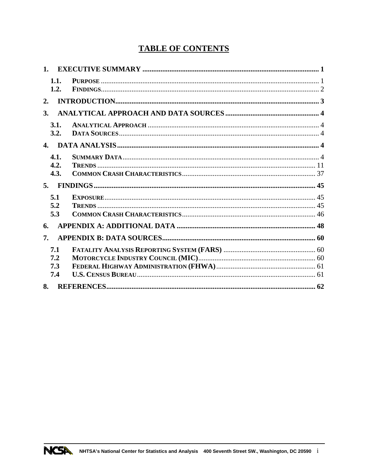# **TABLE OF CONTENTS**

| 1.                       |  |
|--------------------------|--|
| 1.1.<br>1.2.             |  |
| 2.                       |  |
| 3.                       |  |
| 3.1.<br>3.2.             |  |
|                          |  |
| 4.1.<br>4.2.<br>4.3.     |  |
|                          |  |
|                          |  |
| 5.1<br>5.2<br>5.3        |  |
| 6.                       |  |
| 7.                       |  |
| 7.1<br>7.2<br>7.3<br>7.4 |  |

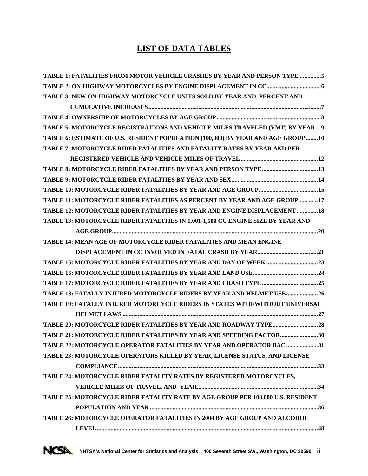# **LIST OF DATA TABLES**

| TABLE 1: FATALITIES FROM MOTOR VEHICLE CRASHES BY YEAR AND PERSON TYPE5          |
|----------------------------------------------------------------------------------|
|                                                                                  |
| TABLE 3: NEW ON-HIGHWAY MOTORCYCLE UNITS SOLD BY YEAR AND PERCENT AND            |
|                                                                                  |
|                                                                                  |
| TABLE 5: MOTORCYCLE REGISTRATIONS AND VEHICLE MILES TRAVELED (VMT) BY YEAR  9    |
| TABLE 6: ESTIMATE OF U.S. RESIDENT POPULATION (100,000) BY YEAR AND AGE GROUP 10 |
| TABLE 7: MOTORCYCLE RIDER FATALITIES AND FATALITY RATES BY YEAR AND PER          |
|                                                                                  |
|                                                                                  |
|                                                                                  |
|                                                                                  |
| TABLE 11: MOTORCYCLE RIDER FATALITIES AS PERCENT BY YEAR AND AGE GROUP17         |
| TABLE 12: MOTORCYCLE RIDER FATALITIES BY YEAR AND ENGINE DISPLACEMENT  18        |
| TABLE 13: MOTORCYCLE RIDER FATALITIES IN 1,001-1,500 CC ENGINE SIZE BY YEAR AND  |
|                                                                                  |
| TABLE 14: MEAN AGE OF MOTORCYCLE RIDER FATALITIES AND MEAN ENGINE                |
|                                                                                  |
|                                                                                  |
|                                                                                  |
|                                                                                  |
| TABLE 18: FATALLY INJURED MOTORCYCLE RIDERS BY YEAR AND HELMET USE 26            |
| TABLE 19: FATALLY INJURED MOTORCYCLE RIDERS IN STATES WITH/WITHOUT UNIVERSAL     |
|                                                                                  |
|                                                                                  |
| TABLE 21: MOTORCYCLE RIDER FATALITIES BY YEAR AND SPEEDING FACTOR30              |
| TABLE 22: MOTORCYCLE OPERATOR FATALITIES BY YEAR AND OPERATOR BAC 31             |
| TABLE 23: MOTORCYCLE OPERATORS KILLED BY YEAR, LICENSE STATUS, AND LICENSE       |
|                                                                                  |
| TABLE 24: MOTORCYCLE RIDER FATALITY RATES BY REGISTERED MOTORCYCLES,             |
|                                                                                  |
| TABLE 25: MOTORCYCLE RIDER FATALITY RATE BY AGE GROUP PER 100,000 U.S. RESIDENT  |
|                                                                                  |
| TABLE 26: MOTORCYCLE OPERATOR FATALITIES IN 2004 BY AGE GROUP AND ALCOHOL        |
|                                                                                  |
|                                                                                  |

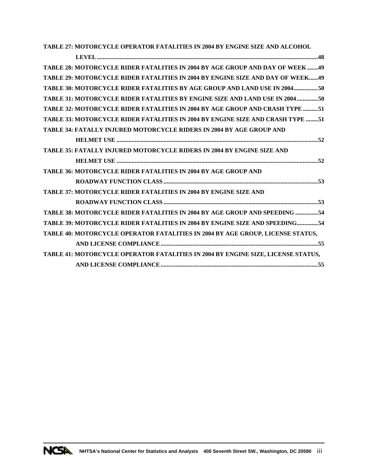**[TABLE 27: MOTORCYCLE OPERATOR FATALITIES IN 2004 BY ENGINE SIZE AND ALCOHOL](#page-56-0)** 

| TABLE 28: MOTORCYCLE RIDER FATALITIES IN 2004 BY AGE GROUP AND DAY OF WEEK 49    |
|----------------------------------------------------------------------------------|
| TABLE 29: MOTORCYCLE RIDER FATALITIES IN 2004 BY ENGINE SIZE AND DAY OF WEEK49   |
| TABLE 30: MOTORCYCLE RIDER FATALITIES BY AGE GROUP AND LAND USE IN 200450        |
| TABLE 31: MOTORCYCLE RIDER FATALITIES BY ENGINE SIZE AND LAND USE IN 2004 50     |
| TABLE 32: MOTORCYCLE RIDER FATALITIES IN 2004 BY AGE GROUP AND CRASH TYPE 51     |
| TABLE 33: MOTORCYCLE RIDER FATALITIES IN 2004 BY ENGINE SIZE AND CRASH TYPE 51   |
| <b>TABLE 34: FATALLY INJURED MOTORCYCLE RIDERS IN 2004 BY AGE GROUP AND</b>      |
|                                                                                  |
| TABLE 35: FATALLY INJURED MOTORCYCLE RIDERS IN 2004 BY ENGINE SIZE AND           |
|                                                                                  |
| TABLE 36: MOTORCYCLE RIDER FATALITIES IN 2004 BY AGE GROUP AND                   |
|                                                                                  |
| <b>TABLE 37: MOTORCYCLE RIDER FATALITIES IN 2004 BY ENGINE SIZE AND</b>          |
|                                                                                  |
| TABLE 38: MOTORCYCLE RIDER FATALITIES IN 2004 BY AGE GROUP AND SPEEDING 54       |
| TABLE 39: MOTORCYCLE RIDER FATALITIES IN 2004 BY ENGINE SIZE AND SPEEDING54      |
| TABLE 40: MOTORCYCLE OPERATOR FATALITIES IN 2004 BY AGE GROUP, LICENSE STATUS,   |
|                                                                                  |
| TABLE 41: MOTORCYCLE OPERATOR FATALITIES IN 2004 BY ENGINE SIZE, LICENSE STATUS, |
|                                                                                  |

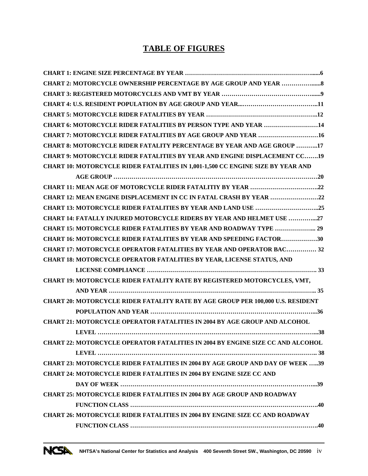# **TABLE OF FIGURES**

| CHART 6: MOTORCYCLE RIDER FATALITIES BY PERSON TYPE AND YEAR 14                        |
|----------------------------------------------------------------------------------------|
| CHART 7: MOTORCYCLE RIDER FATALITIES BY AGE GROUP AND YEAR 16                          |
| CHART 8: MOTORCYCLE RIDER FATALITY PERCENTAGE BY YEAR AND AGE GROUP 17                 |
| <b>CHART 9: MOTORCYCLE RIDER FATALITIES BY YEAR AND ENGINE DISPLACEMENT CC19</b>       |
| <b>CHART 10: MOTORCYCLE RIDER FATALITIES IN 1,001-1,500 CC ENGINE SIZE BY YEAR AND</b> |
|                                                                                        |
|                                                                                        |
| CHART 12: MEAN ENGINE DISPLACEMENT IN CC IN FATAL CRASH BY YEAR 22                     |
|                                                                                        |
| <b>CHART 14: FATALLY INJURED MOTORCYCLE RIDERS BY YEAR AND HELMET USE 27</b>           |
| <b>CHART 15: MOTORCYCLE RIDER FATALITIES BY YEAR AND ROADWAY TYPE  29</b>              |
| <b>CHART 16: MOTORCYCLE RIDER FATALITIES BY YEAR AND SPEEDING FACTOR30</b>             |
| <b>CHART 17: MOTORCYCLE OPERATOR FATALITIES BY YEAR AND OPERATOR BAC 32</b>            |
| CHART 18: MOTORCYCLE OPERATOR FATALITIES BY YEAR, LICENSE STATUS, AND                  |
|                                                                                        |
| CHART 19: MOTORCYCLE RIDER FATALITY RATE BY REGISTERED MOTORCYCLES, VMT,               |
|                                                                                        |
| <b>CHART 20: MOTORCYCLE RIDER FATALITY RATE BY AGE GROUP PER 100,000 U.S. RESIDENT</b> |
|                                                                                        |
| <b>CHART 21: MOTORCYCLE OPERATOR FATALITIES IN 2004 BY AGE GROUP AND ALCOHOL</b>       |
|                                                                                        |
| <b>CHART 22: MOTORCYCLE OPERATOR FATALITIES IN 2004 BY ENGINE SIZE CC AND ALCOHOL</b>  |
|                                                                                        |
| CHART 23: MOTORCYCLE RIDER FATALITIES IN 2004 BY AGE GROUP AND DAY OF WEEK 39          |
| <b>CHART 24: MOTORCYCLE RIDER FATALITIES IN 2004 BY ENGINE SIZE CC AND</b>             |
|                                                                                        |
| <b>CHART 25: MOTORCYCLE RIDER FATALITIES IN 2004 BY AGE GROUP AND ROADWAY</b>          |
|                                                                                        |
| <b>CHART 26: MOTORCYCLE RIDER FATALITIES IN 2004 BY ENGINE SIZE CC AND ROADWAY</b>     |
|                                                                                        |
|                                                                                        |

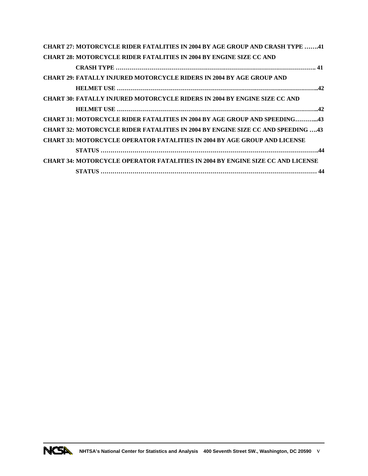| <b>CHART 27: MOTORCYCLE RIDER FATALITIES IN 2004 BY AGE GROUP AND CRASH TYPE 41</b>    |
|----------------------------------------------------------------------------------------|
| <b>CHART 28: MOTORCYCLE RIDER FATALITIES IN 2004 BY ENGINE SIZE CC AND</b>             |
|                                                                                        |
| <b>CHART 29: FATALLY INJURED MOTORCYCLE RIDERS IN 2004 BY AGE GROUP AND</b>            |
|                                                                                        |
| <b>CHART 30: FATALLY INJURED MOTORCYCLE RIDERS IN 2004 BY ENGINE SIZE CC AND</b>       |
|                                                                                        |
| <b>CHART 31: MOTORCYCLE RIDER FATALITIES IN 2004 BY AGE GROUP AND SPEEDING43</b>       |
| <b>CHART 32: MOTORCYCLE RIDER FATALITIES IN 2004 BY ENGINE SIZE CC AND SPEEDING 43</b> |
| <b>CHART 33: MOTORCYCLE OPERATOR FATALITIES IN 2004 BY AGE GROUP AND LICENSE</b>       |
|                                                                                        |
| <b>CHART 34: MOTORCYCLE OPERATOR FATALITIES IN 2004 BY ENGINE SIZE CC AND LICENSE</b>  |
|                                                                                        |

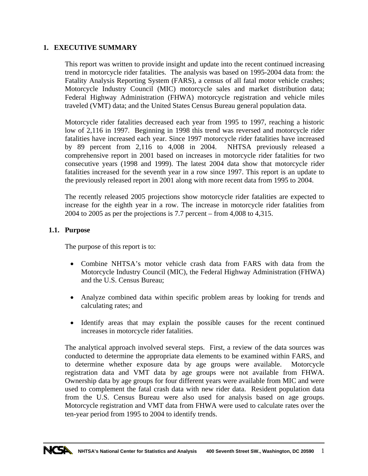# <span id="page-9-0"></span>**1. EXECUTIVE SUMMARY**

This report was written to provide insight and update into the recent continued increasing trend in motorcycle rider fatalities. The analysis was based on 1995-2004 data from: the Fatality Analysis Reporting System (FARS), a census of all fatal motor vehicle crashes; Motorcycle Industry Council (MIC) motorcycle sales and market distribution data; Federal Highway Administration (FHWA) motorcycle registration and vehicle miles traveled (VMT) data; and the United States Census Bureau general population data.

Motorcycle rider fatalities decreased each year from 1995 to 1997, reaching a historic low of 2,116 in 1997. Beginning in 1998 this trend was reversed and motorcycle rider fatalities have increased each year. Since 1997 motorcycle rider fatalities have increased by 89 percent from 2,116 to 4,008 in 2004. NHTSA previously released a comprehensive report in 2001 based on increases in motorcycle rider fatalities for two consecutive years (1998 and 1999). The latest 2004 data show that motorcycle rider fatalities increased for the seventh year in a row since 1997. This report is an update to the previously released report in 2001 along with more recent data from 1995 to 2004.

The recently released 2005 projections show motorcycle rider fatalities are expected to increase for the eighth year in a row. The increase in motorcycle rider fatalities from 2004 to 2005 as per the projections is 7.7 percent – from 4,008 to 4,315.

# **1.1. Purpose**

The purpose of this report is to:

- Combine NHTSA's motor vehicle crash data from FARS with data from the Motorcycle Industry Council (MIC), the Federal Highway Administration (FHWA) and the U.S. Census Bureau;
- Analyze combined data within specific problem areas by looking for trends and calculating rates; and
- Identify areas that may explain the possible causes for the recent continued increases in motorcycle rider fatalities.

The analytical approach involved several steps. First, a review of the data sources was conducted to determine the appropriate data elements to be examined within FARS, and to determine whether exposure data by age groups were available. Motorcycle registration data and VMT data by age groups were not available from FHWA. Ownership data by age groups for four different years were available from MIC and were used to complement the fatal crash data with new rider data. Resident population data from the U.S. Census Bureau were also used for analysis based on age groups. Motorcycle registration and VMT data from FHWA were used to calculate rates over the ten-year period from 1995 to 2004 to identify trends.

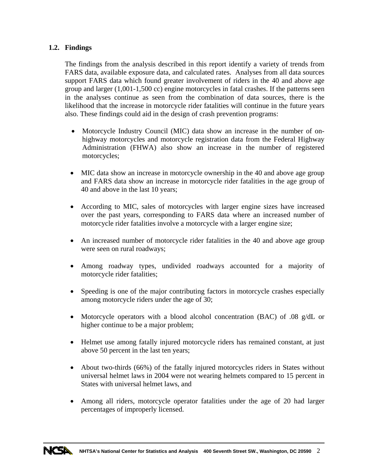# <span id="page-10-0"></span>**1.2. Findings**

The findings from the analysis described in this report identify a variety of trends from FARS data, available exposure data, and calculated rates. Analyses from all data sources support FARS data which found greater involvement of riders in the 40 and above age group and larger (1,001-1,500 cc) engine motorcycles in fatal crashes. If the patterns seen in the analyses continue as seen from the combination of data sources, there is the likelihood that the increase in motorcycle rider fatalities will continue in the future years also. These findings could aid in the design of crash prevention programs:

- Motorcycle Industry Council (MIC) data show an increase in the number of onhighway motorcycles and motorcycle registration data from the Federal Highway Administration (FHWA) also show an increase in the number of registered motorcycles;
- MIC data show an increase in motorcycle ownership in the 40 and above age group and FARS data show an increase in motorcycle rider fatalities in the age group of 40 and above in the last 10 years;
- According to MIC, sales of motorcycles with larger engine sizes have increased over the past years, corresponding to FARS data where an increased number of motorcycle rider fatalities involve a motorcycle with a larger engine size;
- An increased number of motorcycle rider fatalities in the 40 and above age group were seen on rural roadways;
- Among roadway types, undivided roadways accounted for a majority of motorcycle rider fatalities;
- Speeding is one of the major contributing factors in motorcycle crashes especially among motorcycle riders under the age of 30;
- Motorcycle operators with a blood alcohol concentration (BAC) of .08 g/dL or higher continue to be a major problem;
- Helmet use among fatally injured motorcycle riders has remained constant, at just above 50 percent in the last ten years;
- About two-thirds (66%) of the fatally injured motorcycles riders in States without universal helmet laws in 2004 were not wearing helmets compared to 15 percent in States with universal helmet laws, and
- Among all riders, motorcycle operator fatalities under the age of 20 had larger percentages of improperly licensed.

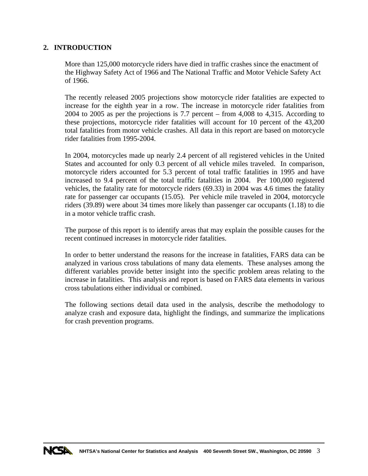# <span id="page-11-0"></span>**2. INTRODUCTION**

More than 125,000 motorcycle riders have died in traffic crashes since the enactment of the Highway Safety Act of 1966 and The National Traffic and Motor Vehicle Safety Act of 1966.

The recently released 2005 projections show motorcycle rider fatalities are expected to increase for the eighth year in a row. The increase in motorcycle rider fatalities from 2004 to 2005 as per the projections is 7.7 percent – from 4,008 to 4,315. According to these projections, motorcycle rider fatalities will account for 10 percent of the 43,200 total fatalities from motor vehicle crashes. All data in this report are based on motorcycle rider fatalities from 1995-2004.

In 2004, motorcycles made up nearly 2.4 percent of all registered vehicles in the United States and accounted for only 0.3 percent of all vehicle miles traveled. In comparison, motorcycle riders accounted for 5.3 percent of total traffic fatalities in 1995 and have increased to 9.4 percent of the total traffic fatalities in 2004. Per 100,000 registered vehicles, the fatality rate for motorcycle riders (69.33) in 2004 was 4.6 times the fatality rate for passenger car occupants (15.05). Per vehicle mile traveled in 2004, motorcycle riders (39.89) were about 34 times more likely than passenger car occupants (1.18) to die in a motor vehicle traffic crash.

The purpose of this report is to identify areas that may explain the possible causes for the recent continued increases in motorcycle rider fatalities.

In order to better understand the reasons for the increase in fatalities, FARS data can be analyzed in various cross tabulations of many data elements. These analyses among the different variables provide better insight into the specific problem areas relating to the increase in fatalities. This analysis and report is based on FARS data elements in various cross tabulations either individual or combined.

The following sections detail data used in the analysis, describe the methodology to analyze crash and exposure data, highlight the findings, and summarize the implications for crash prevention programs.

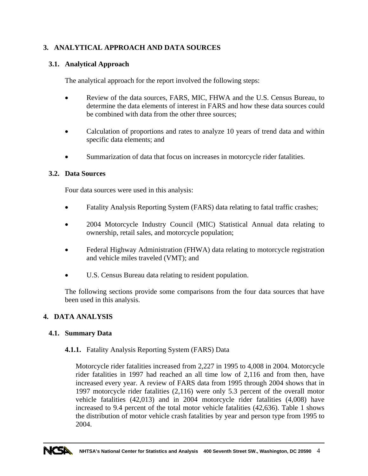# <span id="page-12-0"></span>**3. ANALYTICAL APPROACH AND DATA SOURCES**

# **3.1. Analytical Approach**

The analytical approach for the report involved the following steps:

- Review of the data sources, FARS, MIC, FHWA and the U.S. Census Bureau, to determine the data elements of interest in FARS and how these data sources could be combined with data from the other three sources;
- Calculation of proportions and rates to analyze 10 years of trend data and within specific data elements; and
- Summarization of data that focus on increases in motorcycle rider fatalities.

# **3.2. Data Sources**

Four data sources were used in this analysis:

- Fatality Analysis Reporting System (FARS) data relating to fatal traffic crashes;
- 2004 Motorcycle Industry Council (MIC) Statistical Annual data relating to ownership, retail sales, and motorcycle population;
- Federal Highway Administration (FHWA) data relating to motorcycle registration and vehicle miles traveled (VMT); and
- U.S. Census Bureau data relating to resident population.

The following sections provide some comparisons from the four data sources that have been used in this analysis.

#### **4. DATA ANALYSIS**

#### **4.1. Summary Data**

#### **4.1.1.** Fatality Analysis Reporting System (FARS) Data

Motorcycle rider fatalities increased from 2,227 in 1995 to 4,008 in 2004. Motorcycle rider fatalities in 1997 had reached an all time low of 2,116 and from then, have increased every year. A review of FARS data from 1995 through 2004 shows that in 1997 motorcycle rider fatalities (2,116) were only 5.3 percent of the overall motor vehicle fatalities (42,013) and in 2004 motorcycle rider fatalities (4,008) have increased to 9.4 percent of the total motor vehicle fatalities (42,636). Table 1 shows the distribution of motor vehicle crash fatalities by year and person type from 1995 to 2004.

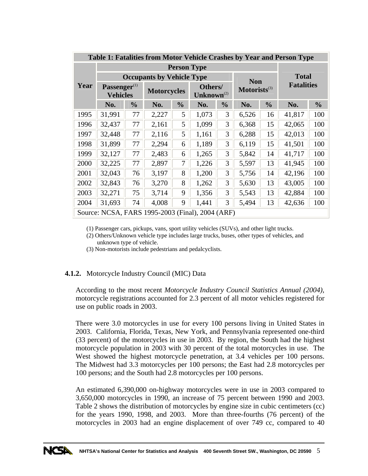<span id="page-13-0"></span>

| Table 1: Fatalities from Motor Vehicle Crashes by Year and Person Type |                                             |               |                                                  |               |                            |               |                          |               |                   |               |  |
|------------------------------------------------------------------------|---------------------------------------------|---------------|--------------------------------------------------|---------------|----------------------------|---------------|--------------------------|---------------|-------------------|---------------|--|
|                                                                        | <b>Person Type</b>                          |               |                                                  |               |                            |               |                          |               |                   |               |  |
|                                                                        |                                             |               | <b>Occupants by Vehicle Type</b>                 | <b>Non</b>    |                            | <b>Total</b>  |                          |               |                   |               |  |
| Year                                                                   | Passenger <sup>(1)</sup><br><b>Vehicles</b> |               | <b>Motorcycles</b>                               |               | Others/<br>$Unknown^{(2)}$ |               | Motorists <sup>(3)</sup> |               | <b>Fatalities</b> |               |  |
|                                                                        | No.                                         | $\frac{6}{9}$ | No.                                              | $\frac{0}{0}$ | No.                        | $\frac{6}{9}$ | No.                      | $\frac{0}{0}$ | No.               | $\frac{0}{0}$ |  |
| 1995                                                                   | 31,991                                      | 77            | 2,227                                            | 5             | 1,073                      | 3             | 6,526                    | 16            | 41,817            | 100           |  |
| 1996                                                                   | 32,437                                      | 77            | 2,161                                            | 5             | 1,099                      | 3             | 6,368                    | 15            | 42,065            | 100           |  |
| 1997                                                                   | 32,448                                      | 77            | 2,116                                            | 5             | 1,161                      | 3             | 6,288                    | 15            | 42,013            | 100           |  |
| 1998                                                                   | 31,899                                      | 77            | 2,294                                            | 6             | 1,189                      | 3             | 6,119                    | 15            | 41,501            | 100           |  |
| 1999                                                                   | 32,127                                      | 77            | 2,483                                            | 6             | 1,265                      | 3             | 5,842                    | 14            | 41,717            | 100           |  |
| 2000                                                                   | 32,225                                      | 77            | 2,897                                            | 7             | 1,226                      | 3             | 5,597                    | 13            | 41,945            | 100           |  |
| 2001                                                                   | 32,043                                      | 76            | 3,197                                            | 8             | 1,200                      | 3             | 5,756                    | 14            | 42,196            | 100           |  |
| 2002                                                                   | 32,843                                      | 76            | 3,270                                            | 8             | 1,262                      | 3             | 5,630                    | 13            | 43,005            | 100           |  |
| 2003                                                                   | 32,271                                      | 75            | 3,714                                            | 9             | 1,356                      | 3             | 5,543                    | 13            | 42,884            | 100           |  |
| 2004                                                                   | 31,693                                      | 74            | 4,008                                            | 9             | 1,441                      | 3             | 5,494                    | 13            | 42,636            | 100           |  |
|                                                                        |                                             |               | Source: NCSA, FARS 1995-2003 (Final), 2004 (ARF) |               |                            |               |                          |               |                   |               |  |

(1) Passenger cars, pickups, vans, sport utility vehicles (SUVs), and other light trucks.

(2) Others/Unknown vehicle type includes large trucks, buses, other types of vehicles, and unknown type of vehicle.

(3) Non-motorists include pedestrians and pedalcyclists.

# **4.1.2.** Motorcycle Industry Council (MIC) Data

According to the most recent *Motorcycle Industry Council Statistics Annual (2004)*, motorcycle registrations accounted for 2.3 percent of all motor vehicles registered for use on public roads in 2003.

There were 3.0 motorcycles in use for every 100 persons living in United States in 2003. California, Florida, Texas, New York, and Pennsylvania represented one-third (33 percent) of the motorcycles in use in 2003. By region, the South had the highest motorcycle population in 2003 with 30 percent of the total motorcycles in use. The West showed the highest motorcycle penetration, at 3.4 vehicles per 100 persons. The Midwest had 3.3 motorcycles per 100 persons; the East had 2.8 motorcycles per 100 persons; and the South had 2.8 motorcycles per 100 persons.

An estimated 6,390,000 on-highway motorcycles were in use in 2003 compared to 3,650,000 motorcycles in 1990, an increase of 75 percent between 1990 and 2003. Table 2 shows the distribution of motorcycles by engine size in cubic centimeters (cc) for the years 1990, 1998, and 2003. More than three-fourths (76 percent) of the motorcycles in 2003 had an engine displacement of over 749 cc, compared to 40

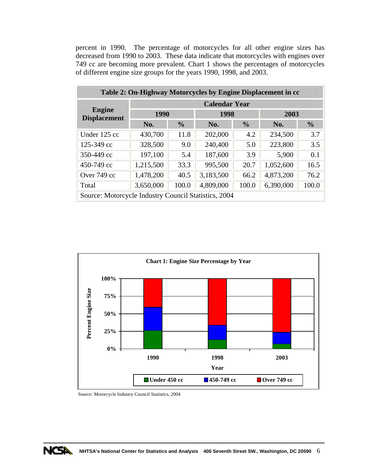<span id="page-14-0"></span>percent in 1990. The percentage of motorcycles for all other engine sizes has decreased from 1990 to 2003. These data indicate that motorcycles with engines over 749 cc are becoming more prevalent. Chart 1 shows the percentages of motorcycles of different engine size groups for the years 1990, 1998, and 2003.

| Table 2: On-Highway Motorcycles by Engine Displacement in cc |                      |               |           |               |           |               |  |  |
|--------------------------------------------------------------|----------------------|---------------|-----------|---------------|-----------|---------------|--|--|
|                                                              | <b>Calendar Year</b> |               |           |               |           |               |  |  |
| <b>Engine</b><br><b>Displacement</b>                         | <b>1990</b>          |               | 1998      |               | 2003      |               |  |  |
|                                                              | No.                  | $\frac{0}{0}$ | No.       | $\frac{0}{0}$ | No.       | $\frac{0}{0}$ |  |  |
| Under 125 cc                                                 | 430,700              | 11.8          | 202,000   | 4.2           | 234,500   | 3.7           |  |  |
| 125-349 cc                                                   | 328,500              | 9.0           | 240,400   | 5.0           | 223,800   | 3.5           |  |  |
| 350-449 cc                                                   | 197,100              | 5.4           | 187,600   | 3.9           | 5,900     | 0.1           |  |  |
| 450-749 cc                                                   | 1,215,500            | 33.3          | 995,500   | 20.7          | 1,052,600 | 16.5          |  |  |
| Over 749 cc                                                  | 1,478,200            | 40.5          | 3,183,500 | 66.2          | 4,873,200 | 76.2          |  |  |
| Total                                                        | 3,650,000            | 100.0         | 4,809,000 | 100.0         | 6,390,000 | 100.0         |  |  |
| Source: Motorcycle Industry Council Statistics, 2004         |                      |               |           |               |           |               |  |  |



Source: Motorcycle Industry Council Statistics, 2004

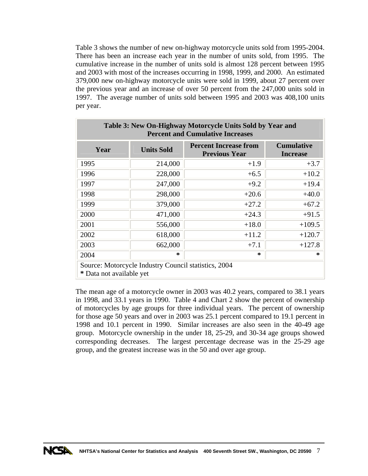<span id="page-15-0"></span>Table 3 shows the number of new on-highway motorcycle units sold from 1995-2004. There has been an increase each year in the number of units sold, from 1995. The cumulative increase in the number of units sold is almost 128 percent between 1995 and 2003 with most of the increases occurring in 1998, 1999, and 2000. An estimated 379,000 new on-highway motorcycle units were sold in 1999, about 27 percent over the previous year and an increase of over 50 percent from the 247,000 units sold in 1997. The average number of units sold between 1995 and 2003 was 408,100 units per year.

| Table 3: New On-Highway Motorcycle Units Sold by Year and<br><b>Percent and Cumulative Increases</b>                      |                  |         |          |  |  |  |  |
|---------------------------------------------------------------------------------------------------------------------------|------------------|---------|----------|--|--|--|--|
| <b>Cumulative</b><br><b>Percent Increase from</b><br>Year<br><b>Units Sold</b><br><b>Previous Year</b><br><b>Increase</b> |                  |         |          |  |  |  |  |
| 1995                                                                                                                      | 214,000          | $+1.9$  | $+3.7$   |  |  |  |  |
| 1996                                                                                                                      | 228,000          | $+6.5$  | $+10.2$  |  |  |  |  |
| 1997                                                                                                                      | 247,000          | $+9.2$  | $+19.4$  |  |  |  |  |
| 1998                                                                                                                      | 298,000          | $+20.6$ | $+40.0$  |  |  |  |  |
| 1999                                                                                                                      | 379,000          | $+27.2$ | $+67.2$  |  |  |  |  |
| 2000                                                                                                                      | 471,000          | $+24.3$ | $+91.5$  |  |  |  |  |
| 2001                                                                                                                      | 556,000          | $+18.0$ | $+109.5$ |  |  |  |  |
| 2002                                                                                                                      | 618,000          | $+11.2$ | $+120.7$ |  |  |  |  |
| 2003                                                                                                                      | 662,000          | $+7.1$  | $+127.8$ |  |  |  |  |
| 2004                                                                                                                      | ∗<br>$\ast$<br>∗ |         |          |  |  |  |  |
| Source: Motorcycle Industry Council statistics, 2004<br>* Data not available yet                                          |                  |         |          |  |  |  |  |

The mean age of a motorcycle owner in 2003 was 40.2 years, compared to 38.1 years in 1998, and 33.1 years in 1990. Table 4 and Chart 2 show the percent of ownership of motorcycles by age groups for three individual years. The percent of ownership for those age 50 years and over in 2003 was 25.1 percent compared to 19.1 percent in 1998 and 10.1 percent in 1990. Similar increases are also seen in the 40-49 age group. Motorcycle ownership in the under 18, 25-29, and 30-34 age groups showed corresponding decreases. The largest percentage decrease was in the 25-29 age group, and the greatest increase was in the 50 and over age group.

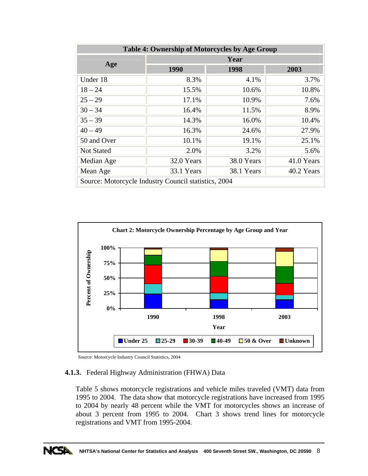<span id="page-16-0"></span>

| <b>Table 4: Ownership of Motorcycles by Age Group</b> |            |            |            |  |  |  |  |
|-------------------------------------------------------|------------|------------|------------|--|--|--|--|
|                                                       | Year       |            |            |  |  |  |  |
| Age                                                   | 1990       | 1998       | 2003       |  |  |  |  |
| Under 18                                              | 8.3%       | 4.1%       | 3.7%       |  |  |  |  |
| $18 - 24$                                             | 15.5%      | 10.6%      | 10.8%      |  |  |  |  |
| $25 - 29$                                             | 17.1%      | 10.9%      | 7.6%       |  |  |  |  |
| $30 - 34$                                             | 16.4%      | 11.5%      | 8.9%       |  |  |  |  |
| $35 - 39$                                             | 14.3%      | 16.0%      | 10.4%      |  |  |  |  |
| $40 - 49$                                             | 16.3%      | 24.6%      | 27.9%      |  |  |  |  |
| 50 and Over                                           | 10.1%      | 19.1%      | 25.1%      |  |  |  |  |
| <b>Not Stated</b>                                     | 2.0%       | 3.2%       | 5.6%       |  |  |  |  |
| Median Age                                            | 32.0 Years | 38.0 Years | 41.0 Years |  |  |  |  |
| Mean Age                                              | 33.1 Years | 38.1 Years | 40.2 Years |  |  |  |  |
| Source: Motorcycle Industry Council statistics, 2004  |            |            |            |  |  |  |  |



Source: Motorcycle Industry Council Statistics, 2004

#### **4.1.3.** Federal Highway Administration (FHWA) Data

Table 5 shows motorcycle registrations and vehicle miles traveled (VMT) data from 1995 to 2004. The data show that motorcycle registrations have increased from 1995 to 2004 by nearly 48 percent while the VMT for motorcycles shows an increase of about 3 percent from 1995 to 2004. Chart 3 shows trend lines for motorcycle registrations and VMT from 1995-2004.

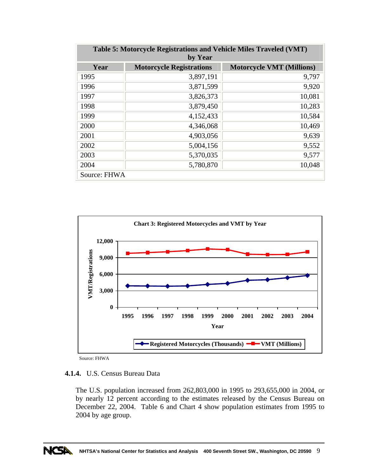<span id="page-17-0"></span>

| Table 5: Motorcycle Registrations and Vehicle Miles Traveled (VMT)<br>by Year |                                 |                                  |  |  |  |  |  |
|-------------------------------------------------------------------------------|---------------------------------|----------------------------------|--|--|--|--|--|
| Year                                                                          | <b>Motorcycle Registrations</b> | <b>Motorcycle VMT (Millions)</b> |  |  |  |  |  |
| 1995                                                                          | 3,897,191                       | 9,797                            |  |  |  |  |  |
| 1996                                                                          | 3,871,599                       | 9,920                            |  |  |  |  |  |
| 1997                                                                          | 3,826,373                       | 10,081                           |  |  |  |  |  |
| 1998                                                                          | 3,879,450                       | 10,283                           |  |  |  |  |  |
| 1999                                                                          | 4,152,433                       | 10,584                           |  |  |  |  |  |
| 2000                                                                          | 4,346,068                       | 10,469                           |  |  |  |  |  |
| 2001                                                                          | 4,903,056                       | 9,639                            |  |  |  |  |  |
| 2002                                                                          | 5,004,156                       | 9,552                            |  |  |  |  |  |
| 2003                                                                          | 5,370,035                       | 9,577                            |  |  |  |  |  |
| 2004                                                                          | 5,780,870                       | 10,048                           |  |  |  |  |  |
| Source: FHWA                                                                  |                                 |                                  |  |  |  |  |  |



Source: FHWA

## **4.1.4.** U.S. Census Bureau Data

The U.S. population increased from 262,803,000 in 1995 to 293,655,000 in 2004, or by nearly 12 percent according to the estimates released by the Census Bureau on December 22, 2004. Table 6 and Chart 4 show population estimates from 1995 to 2004 by age group.

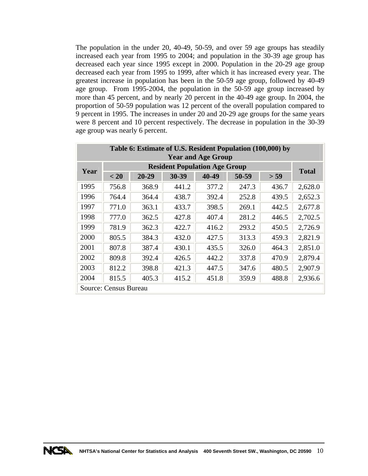<span id="page-18-0"></span>The population in the under 20, 40-49, 50-59, and over 59 age groups has steadily increased each year from 1995 to 2004; and population in the 30-39 age group has decreased each year since 1995 except in 2000. Population in the 20-29 age group decreased each year from 1995 to 1999, after which it has increased every year. The greatest increase in population has been in the 50-59 age group, followed by 40-49 age group. From 1995-2004, the population in the 50-59 age group increased by more than 45 percent, and by nearly 20 percent in the 40-49 age group. In 2004, the proportion of 50-59 population was 12 percent of the overall population compared to 9 percent in 1995. The increases in under 20 and 20-29 age groups for the same years were 8 percent and 10 percent respectively. The decrease in population in the 30-39 age group was nearly 6 percent.

| Table 6: Estimate of U.S. Resident Population (100,000) by<br><b>Year and Age Group</b> |                                      |           |       |       |       |       |              |  |
|-----------------------------------------------------------------------------------------|--------------------------------------|-----------|-------|-------|-------|-------|--------------|--|
| Year                                                                                    | <b>Resident Population Age Group</b> |           |       |       |       |       |              |  |
|                                                                                         | < 20                                 | $20 - 29$ | 30-39 | 40-49 | 50-59 | > 59  | <b>Total</b> |  |
| 1995                                                                                    | 756.8                                | 368.9     | 441.2 | 377.2 | 247.3 | 436.7 | 2,628.0      |  |
| 1996                                                                                    | 764.4                                | 364.4     | 438.7 | 392.4 | 252.8 | 439.5 | 2,652.3      |  |
| 1997                                                                                    | 771.0                                | 363.1     | 433.7 | 398.5 | 269.1 | 442.5 | 2,677.8      |  |
| 1998                                                                                    | 777.0                                | 362.5     | 427.8 | 407.4 | 281.2 | 446.5 | 2,702.5      |  |
| 1999                                                                                    | 781.9                                | 362.3     | 422.7 | 416.2 | 293.2 | 450.5 | 2,726.9      |  |
| 2000                                                                                    | 805.5                                | 384.3     | 432.0 | 427.5 | 313.3 | 459.3 | 2,821.9      |  |
| 2001                                                                                    | 807.8                                | 387.4     | 430.1 | 435.5 | 326.0 | 464.3 | 2,851.0      |  |
| 2002                                                                                    | 809.8                                | 392.4     | 426.5 | 442.2 | 337.8 | 470.9 | 2,879.4      |  |
| 2003                                                                                    | 812.2                                | 398.8     | 421.3 | 447.5 | 347.6 | 480.5 | 2,907.9      |  |
| 2004                                                                                    | 815.5                                | 405.3     | 415.2 | 451.8 | 359.9 | 488.8 | 2,936.6      |  |
|                                                                                         | Source: Census Bureau                |           |       |       |       |       |              |  |

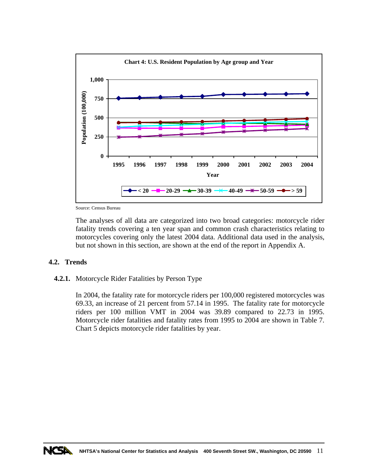<span id="page-19-0"></span>

Source: Census Bureau

The analyses of all data are categorized into two broad categories: motorcycle rider fatality trends covering a ten year span and common crash characteristics relating to motorcycles covering only the latest 2004 data. Additional data used in the analysis, but not shown in this section, are shown at the end of the report in Appendix A.

#### **4.2. Trends**

#### **4.2.1.** Motorcycle Rider Fatalities by Person Type

In 2004, the fatality rate for motorcycle riders per 100,000 registered motorcycles was 69.33, an increase of 21 percent from 57.14 in 1995. The fatality rate for motorcycle riders per 100 million VMT in 2004 was 39.89 compared to 22.73 in 1995. Motorcycle rider fatalities and fatality rates from 1995 to 2004 are shown in Table 7. Chart 5 depicts motorcycle rider fatalities by year.

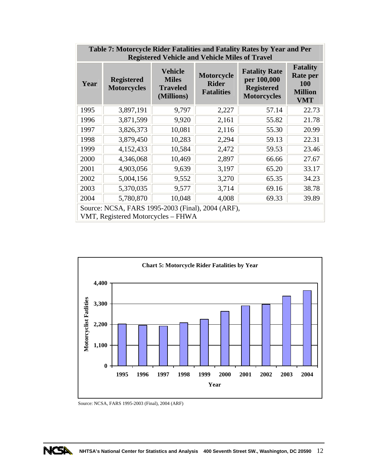<span id="page-20-0"></span>

| Table 7: Motorcycle Rider Fatalities and Fatality Rates by Year and Per<br><b>Registered Vehicle and Vehicle Miles of Travel</b> |                                                                                         |                                                                 |                                                        |                                                                                |                                                                           |  |  |  |  |  |
|----------------------------------------------------------------------------------------------------------------------------------|-----------------------------------------------------------------------------------------|-----------------------------------------------------------------|--------------------------------------------------------|--------------------------------------------------------------------------------|---------------------------------------------------------------------------|--|--|--|--|--|
| Year                                                                                                                             | <b>Registered</b><br><b>Motorcycles</b>                                                 | <b>Vehicle</b><br><b>Miles</b><br><b>Traveled</b><br>(Millions) | <b>Motorcycle</b><br><b>Rider</b><br><b>Fatalities</b> | <b>Fatality Rate</b><br>per 100,000<br><b>Registered</b><br><b>Motorcycles</b> | <b>Fatality</b><br>Rate per<br><b>100</b><br><b>Million</b><br><b>VMT</b> |  |  |  |  |  |
| 1995                                                                                                                             | 3,897,191                                                                               | 9,797                                                           | 2,227                                                  | 57.14                                                                          | 22.73                                                                     |  |  |  |  |  |
| 1996                                                                                                                             | 3,871,599                                                                               | 9,920                                                           | 2,161                                                  | 55.82                                                                          | 21.78                                                                     |  |  |  |  |  |
| 1997                                                                                                                             | 3,826,373                                                                               | 10,081                                                          | 2,116                                                  | 55.30                                                                          | 20.99                                                                     |  |  |  |  |  |
| 1998                                                                                                                             | 3,879,450                                                                               | 10,283                                                          | 2,294                                                  | 59.13                                                                          | 22.31                                                                     |  |  |  |  |  |
| 1999                                                                                                                             | 4,152,433                                                                               | 10,584                                                          | 2,472                                                  | 59.53                                                                          | 23.46                                                                     |  |  |  |  |  |
| 2000                                                                                                                             | 4,346,068                                                                               | 10,469                                                          | 2,897                                                  | 66.66                                                                          | 27.67                                                                     |  |  |  |  |  |
| 2001                                                                                                                             | 4,903,056                                                                               | 9,639                                                           | 3,197                                                  | 65.20                                                                          | 33.17                                                                     |  |  |  |  |  |
| 2002                                                                                                                             | 5,004,156                                                                               | 9,552                                                           | 3,270                                                  | 65.35                                                                          | 34.23                                                                     |  |  |  |  |  |
| 2003                                                                                                                             | 5,370,035                                                                               | 9,577                                                           | 3,714                                                  | 69.16                                                                          | 38.78                                                                     |  |  |  |  |  |
| 2004                                                                                                                             | 5,780,870                                                                               | 10,048                                                          | 4,008                                                  | 69.33                                                                          | 39.89                                                                     |  |  |  |  |  |
|                                                                                                                                  | Source: NCSA, FARS 1995-2003 (Final), 2004 (ARF),<br>VMT, Registered Motorcycles – FHWA |                                                                 |                                                        |                                                                                |                                                                           |  |  |  |  |  |



Source: NCSA, FARS 1995-2003 (Final), 2004 (ARF)

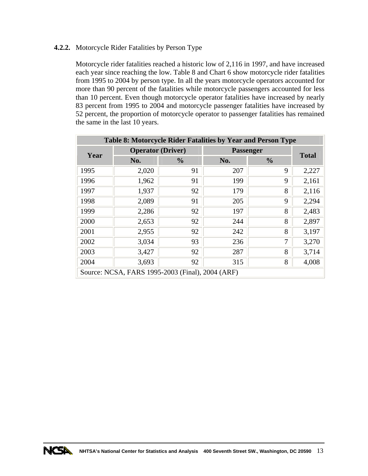# <span id="page-21-0"></span>**4.2.2.** Motorcycle Rider Fatalities by Person Type

Motorcycle rider fatalities reached a historic low of 2,116 in 1997, and have increased each year since reaching the low. Table 8 and Chart 6 show motorcycle rider fatalities from 1995 to 2004 by person type. In all the years motorcycle operators accounted for more than 90 percent of the fatalities while motorcycle passengers accounted for less than 10 percent. Even though motorcycle operator fatalities have increased by nearly 83 percent from 1995 to 2004 and motorcycle passenger fatalities have increased by 52 percent, the proportion of motorcycle operator to passenger fatalities has remained the same in the last 10 years.

|      |                          |                                                  |                  | Table 8: Motorcycle Rider Fatalities by Year and Person Type |       |
|------|--------------------------|--------------------------------------------------|------------------|--------------------------------------------------------------|-------|
| Year | <b>Operator (Driver)</b> |                                                  | <b>Passenger</b> | <b>Total</b>                                                 |       |
|      | No.                      | $\frac{0}{0}$                                    | No.              | $\frac{0}{0}$                                                |       |
| 1995 | 2,020                    | 91                                               | 207              | 9                                                            | 2,227 |
| 1996 | 1,962                    | 91                                               | 199              | 9                                                            | 2,161 |
| 1997 | 1,937                    | 92                                               | 179              | 8                                                            | 2,116 |
| 1998 | 2,089                    | 91                                               | 205              | 9                                                            | 2,294 |
| 1999 | 2,286                    | 92                                               | 197              | 8                                                            | 2,483 |
| 2000 | 2,653                    | 92                                               | 244              | 8                                                            | 2,897 |
| 2001 | 2,955                    | 92                                               | 242              | 8                                                            | 3,197 |
| 2002 | 3,034                    | 93                                               | 236              | 7                                                            | 3,270 |
| 2003 | 3,427                    | 92                                               | 287              | 8                                                            | 3,714 |
| 2004 | 3,693                    | 92                                               | 315              | 8                                                            | 4,008 |
|      |                          | Source: NCSA, FARS 1995-2003 (Final), 2004 (ARF) |                  |                                                              |       |

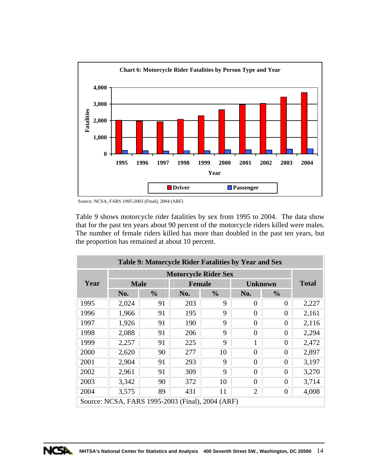<span id="page-22-0"></span>

Source: NCSA, FARS 1995-2003 (Final), 2004 (ARF)

Table 9 shows motorcycle rider fatalities by sex from 1995 to 2004. The data show that for the past ten years about 90 percent of the motorcycle riders killed were males. The number of female riders killed has more than doubled in the past ten years, but the proportion has remained at about 10 percent.

|      | Table 9: Motorcycle Rider Fatalities by Year and Sex |               |               |                             |                |               |       |  |  |  |
|------|------------------------------------------------------|---------------|---------------|-----------------------------|----------------|---------------|-------|--|--|--|
|      |                                                      |               |               | <b>Motorcycle Rider Sex</b> |                |               |       |  |  |  |
| Year | <b>Male</b>                                          |               | <b>Female</b> |                             | <b>Unknown</b> | <b>Total</b>  |       |  |  |  |
|      | No.                                                  | $\frac{0}{0}$ | No.           | $\frac{0}{0}$               | No.            | $\frac{0}{0}$ |       |  |  |  |
| 1995 | 2,024                                                | 91            | 203           | 9                           | 0              | 0             | 2,227 |  |  |  |
| 1996 | 1,966                                                | 91            | 195           | 9                           | $\theta$       | 0             | 2,161 |  |  |  |
| 1997 | 1,926                                                | 91            | 190           | 9                           | $\overline{0}$ | $\theta$      | 2,116 |  |  |  |
| 1998 | 2,088                                                | 91            | 206           | 9                           | $\overline{0}$ | $\theta$      | 2,294 |  |  |  |
| 1999 | 2,257                                                | 91            | 225           | 9                           | 1              | $\theta$      | 2,472 |  |  |  |
| 2000 | 2,620                                                | 90            | 277           | 10                          | $\overline{0}$ | 0             | 2,897 |  |  |  |
| 2001 | 2,904                                                | 91            | 293           | 9                           | $\theta$       | 0             | 3,197 |  |  |  |
| 2002 | 2,961                                                | 91            | 309           | 9                           | $\overline{0}$ | 0             | 3,270 |  |  |  |
| 2003 | 3,342                                                | 90            | 372           | 10                          | $\theta$       | 0             | 3,714 |  |  |  |
| 2004 | 3,575                                                | 89            | 431           | 11                          | $\overline{2}$ | $\theta$      | 4,008 |  |  |  |
|      | Source: NCSA, FARS 1995-2003 (Final), 2004 (ARF)     |               |               |                             |                |               |       |  |  |  |

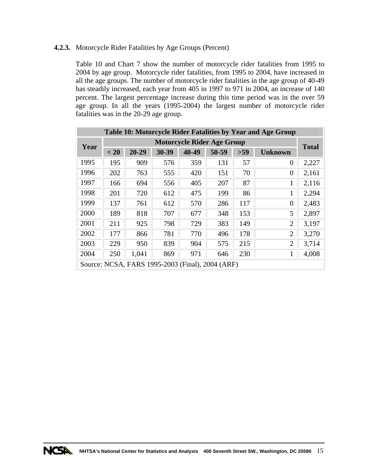# <span id="page-23-0"></span>**4.2.3.** Motorcycle Rider Fatalities by Age Groups (Percent)

Table 10 and Chart 7 show the number of motorcycle rider fatalities from 1995 to 2004 by age group. Motorcycle rider fatalities, from 1995 to 2004, have increased in all the age groups. The number of motorcycle rider fatalities in the age group of 40-49 has steadily increased, each year from 405 in 1997 to 971 in 2004, an increase of 140 percent. The largest percentage increase during this time period was in the over 59 age group. In all the years (1995-2004) the largest number of motorcycle rider fatalities was in the 20-29 age group.

|      |      |           |       |       |                                                  |     | Table 10: Motorcycle Rider Fatalities by Year and Age Group |              |
|------|------|-----------|-------|-------|--------------------------------------------------|-----|-------------------------------------------------------------|--------------|
| Year |      |           |       |       | <b>Motorcycle Rider Age Group</b>                |     |                                                             | <b>Total</b> |
|      | < 20 | $20 - 29$ | 30-39 | 40-49 | 50-59                                            | >59 | <b>Unknown</b>                                              |              |
| 1995 | 195  | 909       | 576   | 359   | 131                                              | 57  | $\Omega$                                                    | 2,227        |
| 1996 | 202  | 763       | 555   | 420   | 151                                              | 70  | $\Omega$                                                    | 2,161        |
| 1997 | 166  | 694       | 556   | 405   | 207                                              | 87  |                                                             | 2,116        |
| 1998 | 201  | 720       | 612   | 475   | 199                                              | 86  | 1                                                           | 2,294        |
| 1999 | 137  | 761       | 612   | 570   | 286                                              | 117 | $\Omega$                                                    | 2,483        |
| 2000 | 189  | 818       | 707   | 677   | 348                                              | 153 | 5                                                           | 2,897        |
| 2001 | 211  | 925       | 798   | 729   | 383                                              | 149 | $\overline{2}$                                              | 3,197        |
| 2002 | 177  | 866       | 781   | 770   | 496                                              | 178 | $\overline{2}$                                              | 3,270        |
| 2003 | 229  | 950       | 839   | 904   | 575                                              | 215 | $\overline{2}$                                              | 3,714        |
| 2004 | 250  | 1,041     | 869   | 971   | 646                                              | 230 |                                                             | 4,008        |
|      |      |           |       |       | Source: NCSA, FARS 1995-2003 (Final), 2004 (ARF) |     |                                                             |              |

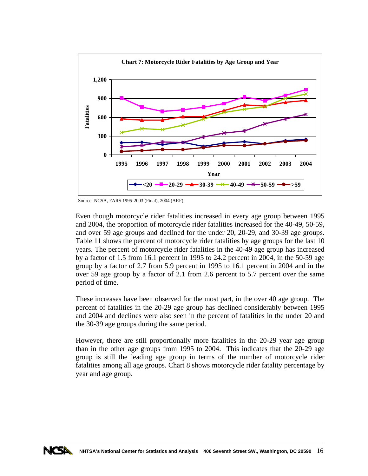

Source: NCSA, FARS 1995-2003 (Final), 2004 (ARF)

Even though motorcycle rider fatalities increased in every age group between 1995 and 2004, the proportion of motorcycle rider fatalities increased for the 40-49, 50-59, and over 59 age groups and declined for the under 20, 20-29, and 30-39 age groups. Table 11 shows the percent of motorcycle rider fatalities by age groups for the last 10 years. The percent of motorcycle rider fatalities in the 40-49 age group has increased by a factor of 1.5 from 16.1 percent in 1995 to 24.2 percent in 2004, in the 50-59 age group by a factor of 2.7 from 5.9 percent in 1995 to 16.1 percent in 2004 and in the over 59 age group by a factor of 2.1 from 2.6 percent to 5.7 percent over the same period of time.

These increases have been observed for the most part, in the over 40 age group. The percent of fatalities in the 20-29 age group has declined considerably between 1995 and 2004 and declines were also seen in the percent of fatalities in the under 20 and the 30-39 age groups during the same period.

However, there are still proportionally more fatalities in the 20-29 year age group than in the other age groups from 1995 to 2004. This indicates that the 20-29 age group is still the leading age group in terms of the number of motorcycle rider fatalities among all age groups. Chart 8 shows motorcycle rider fatality percentage by year and age group.

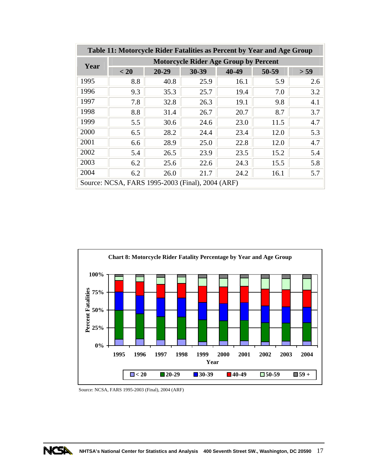<span id="page-25-0"></span>

|      | Table 11: Motorcycle Rider Fatalities as Percent by Year and Age Group |           |       |       |       |      |  |  |  |  |  |
|------|------------------------------------------------------------------------|-----------|-------|-------|-------|------|--|--|--|--|--|
| Year | <b>Motorcycle Rider Age Group by Percent</b>                           |           |       |       |       |      |  |  |  |  |  |
|      | < 20                                                                   | $20 - 29$ | 30-39 | 40-49 | 50-59 | > 59 |  |  |  |  |  |
| 1995 | 8.8                                                                    | 40.8      | 25.9  | 16.1  | 5.9   | 2.6  |  |  |  |  |  |
| 1996 | 9.3                                                                    | 35.3      | 25.7  | 19.4  | 7.0   | 3.2  |  |  |  |  |  |
| 1997 | 7.8                                                                    | 32.8      | 26.3  | 19.1  | 9.8   | 4.1  |  |  |  |  |  |
| 1998 | 8.8                                                                    | 31.4      | 26.7  | 20.7  | 8.7   | 3.7  |  |  |  |  |  |
| 1999 | 5.5                                                                    | 30.6      | 24.6  | 23.0  | 11.5  | 4.7  |  |  |  |  |  |
| 2000 | 6.5                                                                    | 28.2      | 24.4  | 23.4  | 12.0  | 5.3  |  |  |  |  |  |
| 2001 | 6.6                                                                    | 28.9      | 25.0  | 22.8  | 12.0  | 4.7  |  |  |  |  |  |
| 2002 | 5.4                                                                    | 26.5      | 23.9  | 23.5  | 15.2  | 5.4  |  |  |  |  |  |
| 2003 | 6.2                                                                    | 25.6      | 22.6  | 24.3  | 15.5  | 5.8  |  |  |  |  |  |
| 2004 | 6.2                                                                    | 26.0      | 21.7  | 24.2  | 16.1  | 5.7  |  |  |  |  |  |
|      | Source: NCSA, FARS 1995-2003 (Final), 2004 (ARF)                       |           |       |       |       |      |  |  |  |  |  |



Source: NCSA, FARS 1995-2003 (Final), 2004 (ARF)

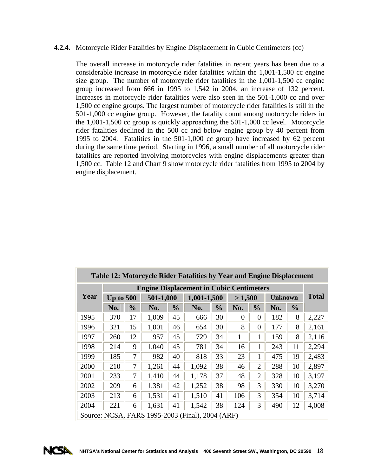#### <span id="page-26-0"></span>**4.2.4.** Motorcycle Rider Fatalities by Engine Displacement in Cubic Centimeters (cc)

The overall increase in motorcycle rider fatalities in recent years has been due to a considerable increase in motorcycle rider fatalities within the 1,001-1,500 cc engine size group. The number of motorcycle rider fatalities in the 1,001-1,500 cc engine group increased from 666 in 1995 to 1,542 in 2004, an increase of 132 percent. Increases in motorcycle rider fatalities were also seen in the 501-1,000 cc and over 1,500 cc engine groups. The largest number of motorcycle rider fatalities is still in the 501-1,000 cc engine group. However, the fatality count among motorcycle riders in the 1,001-1,500 cc group is quickly approaching the 501-1,000 cc level. Motorcycle rider fatalities declined in the 500 cc and below engine group by 40 percent from 1995 to 2004. Fatalities in the 501-1,000 cc group have increased by 62 percent during the same time period. Starting in 1996, a small number of all motorcycle rider fatalities are reported involving motorcycles with engine displacements greater than 1,500 cc. Table 12 and Chart 9 show motorcycle rider fatalities from 1995 to 2004 by engine displacement.

| Table 12: Motorcycle Rider Fatalities by Year and Engine Displacement |                                                 |                |           |               |                                                  |               |          |                |     |                |              |
|-----------------------------------------------------------------------|-------------------------------------------------|----------------|-----------|---------------|--------------------------------------------------|---------------|----------|----------------|-----|----------------|--------------|
|                                                                       | <b>Engine Displacement in Cubic Centimeters</b> |                |           |               |                                                  |               |          |                |     |                |              |
| Year                                                                  | Up to $500$                                     |                | 501-1,000 |               |                                                  | 1,001-1,500   |          | >1,500         |     | <b>Unknown</b> | <b>Total</b> |
|                                                                       | No.                                             | $\frac{6}{10}$ | No.       | $\frac{0}{0}$ | No.                                              | $\frac{0}{0}$ | No.      | $\frac{6}{10}$ | No. | $\frac{6}{6}$  |              |
| 1995                                                                  | 370                                             | 17             | 1,009     | 45            | 666                                              | 30            | $\theta$ | $\theta$       | 182 | 8              | 2,227        |
| 1996                                                                  | 321                                             | 15             | 1,001     | 46            | 654                                              | 30            | 8        | $\overline{0}$ | 177 | 8              | 2,161        |
| 1997                                                                  | 260                                             | 12             | 957       | 45            | 729                                              | 34            | 11       | 1              | 159 | 8              | 2,116        |
| 1998                                                                  | 214                                             | 9              | 1,040     | 45            | 781                                              | 34            | 16       | 1              | 243 | 11             | 2,294        |
| 1999                                                                  | 185                                             | 7              | 982       | 40            | 818                                              | 33            | 23       | 1              | 475 | 19             | 2,483        |
| 2000                                                                  | 210                                             | $\overline{7}$ | 1,261     | 44            | 1,092                                            | 38            | 46       | $\overline{2}$ | 288 | 10             | 2,897        |
| 2001                                                                  | 233                                             | 7              | 1,410     | 44            | 1,178                                            | 37            | 48       | $\overline{2}$ | 328 | 10             | 3,197        |
| 2002                                                                  | 209                                             | 6              | 1,381     | 42            | 1,252                                            | 38            | 98       | 3              | 330 | 10             | 3,270        |
| 2003                                                                  | 213                                             | 6              | 1,531     | 41            | 1,510                                            | 41            | 106      | 3              | 354 | 10             | 3,714        |
| 2004                                                                  | 221                                             | 6              | 1,631     | 41            | 1,542                                            | 38            | 124      | 3              | 490 | 12             | 4,008        |
|                                                                       |                                                 |                |           |               | Source: NCSA, FARS 1995-2003 (Final), 2004 (ARF) |               |          |                |     |                |              |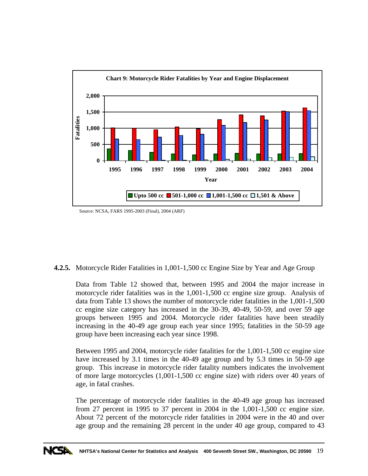

Source: NCSA, FARS 1995-2003 (Final), 2004 (ARF)

**4.2.5.** Motorcycle Rider Fatalities in 1,001-1,500 cc Engine Size by Year and Age Group

Data from Table 12 showed that, between 1995 and 2004 the major increase in motorcycle rider fatalities was in the 1,001-1,500 cc engine size group. Analysis of data from Table 13 shows the number of motorcycle rider fatalities in the 1,001-1,500 cc engine size category has increased in the 30-39, 40-49, 50-59, and over 59 age groups between 1995 and 2004. Motorcycle rider fatalities have been steadily increasing in the 40-49 age group each year since 1995; fatalities in the 50-59 age group have been increasing each year since 1998.

Between 1995 and 2004, motorcycle rider fatalities for the 1,001-1,500 cc engine size have increased by 3.1 times in the 40-49 age group and by 5.3 times in 50-59 age group. This increase in motorcycle rider fatality numbers indicates the involvement of more large motorcycles (1,001-1,500 cc engine size) with riders over 40 years of age, in fatal crashes.

The percentage of motorcycle rider fatalities in the 40-49 age group has increased from 27 percent in 1995 to 37 percent in 2004 in the 1,001-1,500 cc engine size. About 72 percent of the motorcycle rider fatalities in 2004 were in the 40 and over age group and the remaining 28 percent in the under 40 age group, compared to 43

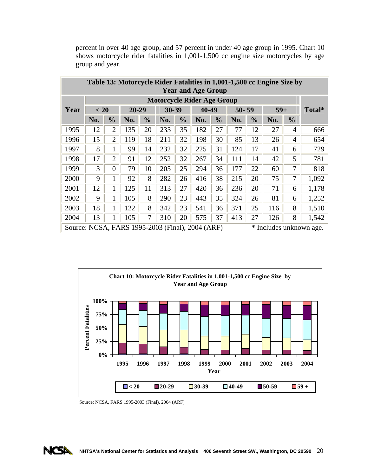|                                                  | Table 13: Motorcycle Rider Fatalities in 1,001-1,500 cc Engine Size by<br><b>Year and Age Group</b> |                |       |               |       |               |                                   |               |           |               |       |                |                         |
|--------------------------------------------------|-----------------------------------------------------------------------------------------------------|----------------|-------|---------------|-------|---------------|-----------------------------------|---------------|-----------|---------------|-------|----------------|-------------------------|
|                                                  |                                                                                                     |                |       |               |       |               | <b>Motorcycle Rider Age Group</b> |               |           |               |       |                |                         |
| Year                                             | < 20                                                                                                |                | 20-29 |               | 30-39 |               | 40-49                             |               | $50 - 59$ |               | $59+$ |                | Total*                  |
|                                                  | No.                                                                                                 | $\frac{0}{0}$  | No.   | $\frac{6}{9}$ | No.   | $\frac{0}{0}$ | No.                               | $\frac{1}{2}$ | No.       | $\frac{0}{0}$ | No.   | $\frac{0}{0}$  |                         |
| 1995                                             | 12                                                                                                  | $\overline{2}$ | 135   | 20            | 233   | 35            | 182                               | 27            | 77        | 12            | 27    | $\overline{4}$ | 666                     |
| 1996                                             | 15                                                                                                  | $\overline{2}$ | 119   | 18            | 211   | 32            | 198                               | 30            | 85        | 13            | 26    | 4              | 654                     |
| 1997                                             | 8                                                                                                   | $\mathbf{1}$   | 99    | 14            | 232   | 32            | 225                               | 31            | 124       | 17            | 41    | 6              | 729                     |
| 1998                                             | 17                                                                                                  | $\overline{2}$ | 91    | 12            | 252   | 32            | 267                               | 34            | 111       | 14            | 42    | 5              | 781                     |
| 1999                                             | 3                                                                                                   | $\Omega$       | 79    | 10            | 205   | 25            | 294                               | 36            | 177       | 22            | 60    | 7              | 818                     |
| 2000                                             | 9                                                                                                   | 1              | 92    | 8             | 282   | 26            | 416                               | 38            | 215       | 20            | 75    | 7              | 1,092                   |
| 2001                                             | 12                                                                                                  | 1              | 125   | 11            | 313   | 27            | 420                               | 36            | 236       | 20            | 71    | 6              | 1,178                   |
| 2002                                             | 9                                                                                                   | 1              | 105   | 8             | 290   | 23            | 443                               | 35            | 324       | 26            | 81    | 6              | 1,252                   |
| 2003                                             | 18                                                                                                  | 1              | 122   | 8             | 342   | 23            | 541                               | 36            | 371       | 25            | 116   | 8              | 1,510                   |
| 2004                                             | 13                                                                                                  | 1              | 105   | 7             | 310   | 20            | 575                               | 37            | 413       | 27            | 126   | 8              | 1,542                   |
| Source: NCSA, FARS 1995-2003 (Final), 2004 (ARF) |                                                                                                     |                |       |               |       |               |                                   |               |           |               |       |                | * Includes unknown age. |

<span id="page-28-0"></span>percent in over 40 age group, and 57 percent in under 40 age group in 1995. Chart 10 shows motorcycle rider fatalities in 1,001-1,500 cc engine size motorcycles by age group and year.



Source: NCSA, FARS 1995-2003 (Final), 2004 (ARF)

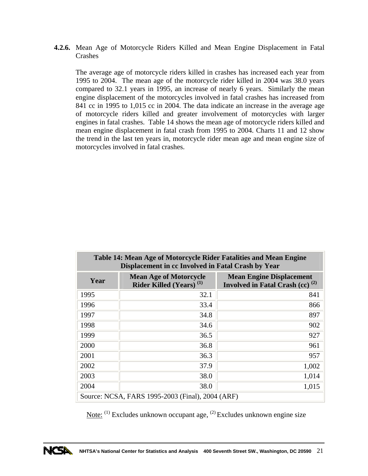<span id="page-29-0"></span>**4.2.6.** Mean Age of Motorcycle Riders Killed and Mean Engine Displacement in Fatal Crashes

The average age of motorcycle riders killed in crashes has increased each year from 1995 to 2004. The mean age of the motorcycle rider killed in 2004 was 38.0 years compared to 32.1 years in 1995, an increase of nearly 6 years. Similarly the mean engine displacement of the motorcycles involved in fatal crashes has increased from 841 cc in 1995 to 1,015 cc in 2004. The data indicate an increase in the average age of motorcycle riders killed and greater involvement of motorcycles with larger engines in fatal crashes. Table 14 shows the mean age of motorcycle riders killed and mean engine displacement in fatal crash from 1995 to 2004. Charts 11 and 12 show the trend in the last ten years in, motorcycle rider mean age and mean engine size of motorcycles involved in fatal crashes.

| Table 14: Mean Age of Motorcycle Rider Fatalities and Mean Engine<br>Displacement in cc Involved in Fatal Crash by Year |                                                                      |                                                                          |  |  |  |  |  |  |  |
|-------------------------------------------------------------------------------------------------------------------------|----------------------------------------------------------------------|--------------------------------------------------------------------------|--|--|--|--|--|--|--|
| Year                                                                                                                    | <b>Mean Age of Motorcycle</b><br>Rider Killed (Years) <sup>(1)</sup> | <b>Mean Engine Displacement</b><br>Involved in Fatal Crash (cc) $^{(2)}$ |  |  |  |  |  |  |  |
| 1995                                                                                                                    | 32.1                                                                 | 841                                                                      |  |  |  |  |  |  |  |
| 1996                                                                                                                    | 33.4                                                                 | 866                                                                      |  |  |  |  |  |  |  |
| 1997                                                                                                                    | 34.8                                                                 | 897                                                                      |  |  |  |  |  |  |  |
| 1998                                                                                                                    | 34.6                                                                 | 902                                                                      |  |  |  |  |  |  |  |
| 1999                                                                                                                    | 36.5                                                                 | 927                                                                      |  |  |  |  |  |  |  |
| 2000                                                                                                                    | 36.8                                                                 | 961                                                                      |  |  |  |  |  |  |  |
| 2001                                                                                                                    | 36.3                                                                 | 957                                                                      |  |  |  |  |  |  |  |
| 2002                                                                                                                    | 37.9                                                                 | 1,002                                                                    |  |  |  |  |  |  |  |
| 2003                                                                                                                    | 38.0                                                                 | 1,014                                                                    |  |  |  |  |  |  |  |
| 2004                                                                                                                    | 38.0                                                                 | 1,015                                                                    |  |  |  |  |  |  |  |
|                                                                                                                         | Source: NCSA, FARS 1995-2003 (Final), 2004 (ARF)                     |                                                                          |  |  |  |  |  |  |  |

Note: (1) Excludes unknown occupant age, (2) Excludes unknown engine size

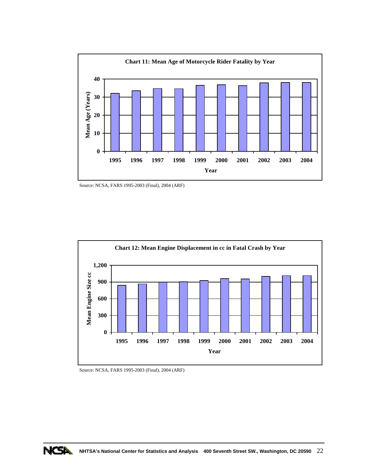

Source: NCSA, FARS 1995-2003 (Final), 2004 (ARF)



Source: NCSA, FARS 1995-2003 (Final), 2004 (ARF)

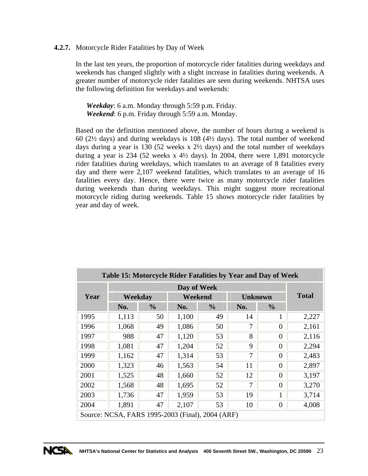#### <span id="page-31-0"></span>**4.2.7.** Motorcycle Rider Fatalities by Day of Week

In the last ten years, the proportion of motorcycle rider fatalities during weekdays and weekends has changed slightly with a slight increase in fatalities during weekends. A greater number of motorcycle rider fatalities are seen during weekends. NHTSA uses the following definition for weekdays and weekends:

 *Weekday*: 6 a.m. Monday through 5:59 p.m. Friday. *Weekend*: 6 p.m. Friday through 5:59 a.m. Monday.

Based on the definition mentioned above, the number of hours during a weekend is 60 (2½ days) and during weekdays is 108 (4½ days). The total number of weekend days during a year is 130 (52 weeks x 2½ days) and the total number of weekdays during a year is 234 (52 weeks x  $4\frac{1}{2}$  days). In 2004, there were 1,891 motorcycle rider fatalities during weekdays, which translates to an average of 8 fatalities every day and there were 2,107 weekend fatalities, which translates to an average of 16 fatalities every day. Hence, there were twice as many motorcycle rider fatalities during weekends than during weekdays. This might suggest more recreational motorcycle riding during weekends. Table 15 shows motorcycle rider fatalities by year and day of week.

| Table 15: Motorcycle Rider Fatalities by Year and Day of Week |                                                  |               |             |               |                |               |       |  |  |  |
|---------------------------------------------------------------|--------------------------------------------------|---------------|-------------|---------------|----------------|---------------|-------|--|--|--|
|                                                               |                                                  |               | Day of Week |               |                |               |       |  |  |  |
| Year                                                          | Weekday                                          |               | Weekend     |               | <b>Unknown</b> | <b>Total</b>  |       |  |  |  |
|                                                               | No.                                              | $\frac{0}{0}$ | No.         | $\frac{0}{0}$ | No.            | $\frac{0}{0}$ |       |  |  |  |
| 1995                                                          | 1,113                                            | 50            | 1,100       | 49            | 14             | 1             | 2,227 |  |  |  |
| 1996                                                          | 1,068                                            | 49            | 1,086       | 50            | 7              | $\theta$      | 2,161 |  |  |  |
| 1997                                                          | 988                                              | 47            | 1,120       | 53            | 8              | $\Omega$      | 2,116 |  |  |  |
| 1998                                                          | 1,081                                            | 47            | 1,204       | 52            | 9              | $\theta$      | 2,294 |  |  |  |
| 1999                                                          | 1,162                                            | 47            | 1,314       | 53            | 7              | $\Omega$      | 2,483 |  |  |  |
| 2000                                                          | 1,323                                            | 46            | 1,563       | 54            | 11             | $\Omega$      | 2,897 |  |  |  |
| 2001                                                          | 1,525                                            | 48            | 1,660       | 52            | 12             | $\Omega$      | 3,197 |  |  |  |
| 2002                                                          | 1,568                                            | 48            | 1,695       | 52            | 7              | $\theta$      | 3,270 |  |  |  |
| 2003                                                          | 1,736                                            | 47            | 1,959       | 53            | 19             | 1             | 3,714 |  |  |  |
| 2004                                                          | 1,891                                            | 47            | 2,107       | 53            | 10             | $\theta$      | 4,008 |  |  |  |
|                                                               | Source: NCSA, FARS 1995-2003 (Final), 2004 (ARF) |               |             |               |                |               |       |  |  |  |

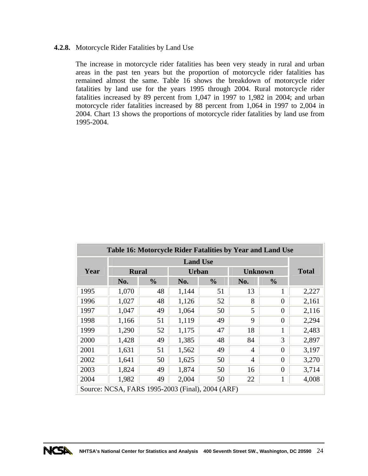#### <span id="page-32-0"></span>**4.2.8.** Motorcycle Rider Fatalities by Land Use

The increase in motorcycle rider fatalities has been very steady in rural and urban areas in the past ten years but the proportion of motorcycle rider fatalities has remained almost the same. Table 16 shows the breakdown of motorcycle rider fatalities by land use for the years 1995 through 2004. Rural motorcycle rider fatalities increased by 89 percent from 1,047 in 1997 to 1,982 in 2004; and urban motorcycle rider fatalities increased by 88 percent from 1,064 in 1997 to 2,004 in 2004. Chart 13 shows the proportions of motorcycle rider fatalities by land use from 1995-2004.

| Table 16: Motorcycle Rider Fatalities by Year and Land Use |                                                  |               |              |               |                |               |       |  |  |  |
|------------------------------------------------------------|--------------------------------------------------|---------------|--------------|---------------|----------------|---------------|-------|--|--|--|
|                                                            |                                                  |               |              |               |                |               |       |  |  |  |
| Year                                                       | <b>Rural</b>                                     |               | <b>Urban</b> |               | <b>Unknown</b> | <b>Total</b>  |       |  |  |  |
|                                                            | No.                                              | $\frac{0}{0}$ | No.          | $\frac{0}{0}$ | No.            | $\frac{0}{0}$ |       |  |  |  |
| 1995                                                       | 1,070                                            | 48            | 1,144        | 51            | 13             | 1             | 2,227 |  |  |  |
| 1996                                                       | 1,027                                            | 48            | 1,126        | 52            | 8              | $\theta$      | 2,161 |  |  |  |
| 1997                                                       | 1,047                                            | 49            | 1,064        | 50            | 5              | $\theta$      | 2,116 |  |  |  |
| 1998                                                       | 1,166                                            | 51            | 1,119        | 49            | 9              | $\theta$      | 2,294 |  |  |  |
| 1999                                                       | 1,290                                            | 52            | 1,175        | 47            | 18             | 1             | 2,483 |  |  |  |
| 2000                                                       | 1,428                                            | 49            | 1,385        | 48            | 84             | 3             | 2,897 |  |  |  |
| 2001                                                       | 1,631                                            | 51            | 1,562        | 49            | 4              | $\theta$      | 3,197 |  |  |  |
| 2002                                                       | 1,641                                            | 50            | 1,625        | 50            | $\overline{4}$ | $\theta$      | 3,270 |  |  |  |
| 2003                                                       | 1,824                                            | 49            | 1,874        | 50            | 16             | $\theta$      | 3,714 |  |  |  |
| 2004                                                       | 1,982                                            | 49            | 2,004        | 50            | 22             | 1             | 4,008 |  |  |  |
|                                                            | Source: NCSA, FARS 1995-2003 (Final), 2004 (ARF) |               |              |               |                |               |       |  |  |  |

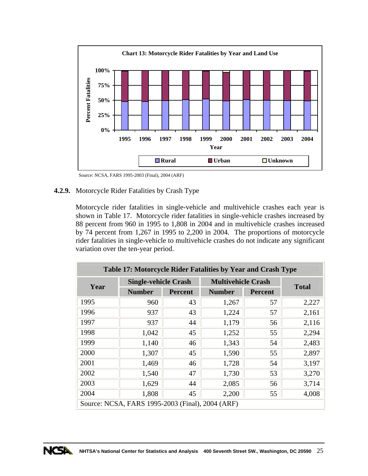<span id="page-33-0"></span>

Source: NCSA, FARS 1995-2003 (Final), 2004 (ARF)

# **4.2.9.** Motorcycle Rider Fatalities by Crash Type

Motorcycle rider fatalities in single-vehicle and multivehicle crashes each year is shown in Table 17. Motorcycle rider fatalities in single-vehicle crashes increased by 88 percent from 960 in 1995 to 1,808 in 2004 and in multivehicle crashes increased by 74 percent from 1,267 in 1995 to 2,200 in 2004. The proportions of motorcycle rider fatalities in single-vehicle to multivehicle crashes do not indicate any significant variation over the ten-year period.

| Table 17: Motorcycle Rider Fatalities by Year and Crash Type |                                                  |                |                           |                |       |  |  |  |  |  |
|--------------------------------------------------------------|--------------------------------------------------|----------------|---------------------------|----------------|-------|--|--|--|--|--|
| Year                                                         | <b>Single-vehicle Crash</b>                      |                | <b>Multivehicle Crash</b> | <b>Total</b>   |       |  |  |  |  |  |
|                                                              | <b>Number</b>                                    | <b>Percent</b> | <b>Number</b>             | <b>Percent</b> |       |  |  |  |  |  |
| 1995                                                         | 960                                              | 43             | 1,267                     | 57             | 2,227 |  |  |  |  |  |
| 1996                                                         | 937                                              | 43             | 1,224                     | 57             | 2,161 |  |  |  |  |  |
| 1997                                                         | 937                                              | 44             | 1,179                     | 56             | 2,116 |  |  |  |  |  |
| 1998                                                         | 1,042                                            | 45             | 1,252                     | 55             | 2,294 |  |  |  |  |  |
| 1999                                                         | 1,140                                            | 46             | 1,343                     | 54             | 2,483 |  |  |  |  |  |
| 2000                                                         | 1,307                                            | 45             | 1,590                     | 55             | 2,897 |  |  |  |  |  |
| 2001                                                         | 1,469                                            | 46             | 1,728                     | 54             | 3,197 |  |  |  |  |  |
| 2002                                                         | 1,540                                            | 47             | 1,730                     | 53             | 3,270 |  |  |  |  |  |
| 2003                                                         | 1,629                                            | 44             | 2,085                     | 56             | 3,714 |  |  |  |  |  |
| 2004                                                         | 1,808                                            | 45             | 2,200                     | 55             | 4,008 |  |  |  |  |  |
|                                                              | Source: NCSA, FARS 1995-2003 (Final), 2004 (ARF) |                |                           |                |       |  |  |  |  |  |

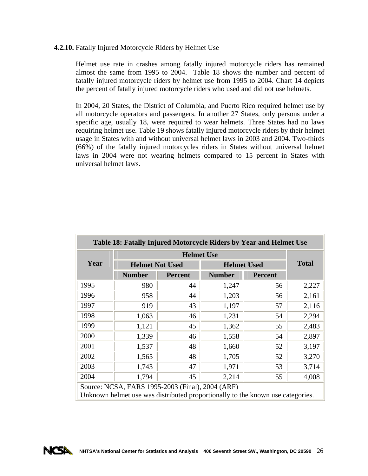#### <span id="page-34-0"></span>**4.2.10.** Fatally Injured Motorcycle Riders by Helmet Use

Helmet use rate in crashes among fatally injured motorcycle riders has remained almost the same from 1995 to 2004. Table 18 shows the number and percent of fatally injured motorcycle riders by helmet use from 1995 to 2004. Chart 14 depicts the percent of fatally injured motorcycle riders who used and did not use helmets.

In 2004, 20 States, the District of Columbia, and Puerto Rico required helmet use by all motorcycle operators and passengers. In another 27 States, only persons under a specific age, usually 18, were required to wear helmets. Three States had no laws requiring helmet use. Table 19 shows fatally injured motorcycle riders by their helmet usage in States with and without universal helmet laws in 2003 and 2004. Two-thirds (66%) of the fatally injured motorcycles riders in States without universal helmet laws in 2004 were not wearing helmets compared to 15 percent in States with universal helmet laws.

| Table 18: Fatally Injured Motorcycle Riders by Year and Helmet Use |                                                                                                                                    |                   |               |                    |       |  |  |  |  |  |
|--------------------------------------------------------------------|------------------------------------------------------------------------------------------------------------------------------------|-------------------|---------------|--------------------|-------|--|--|--|--|--|
|                                                                    |                                                                                                                                    | <b>Helmet Use</b> |               |                    |       |  |  |  |  |  |
| Year                                                               | <b>Helmet Not Used</b>                                                                                                             |                   |               | <b>Helmet Used</b> |       |  |  |  |  |  |
|                                                                    | <b>Number</b>                                                                                                                      | <b>Percent</b>    | <b>Number</b> | <b>Percent</b>     |       |  |  |  |  |  |
| 1995                                                               | 980                                                                                                                                | 44                | 1,247         | 56                 | 2,227 |  |  |  |  |  |
| 1996                                                               | 958                                                                                                                                | 44                | 1,203         | 56                 | 2,161 |  |  |  |  |  |
| 1997                                                               | 919                                                                                                                                | 43                | 1,197         | 57                 | 2,116 |  |  |  |  |  |
| 1998                                                               | 1,063                                                                                                                              | 46                | 1,231         | 54                 | 2,294 |  |  |  |  |  |
| 1999                                                               | 1,121                                                                                                                              | 45                | 1,362         | 55                 | 2,483 |  |  |  |  |  |
| 2000                                                               | 1,339                                                                                                                              | 46                | 1,558         | 54                 | 2,897 |  |  |  |  |  |
| 2001                                                               | 1,537                                                                                                                              | 48                | 1,660         | 52                 | 3,197 |  |  |  |  |  |
| 2002                                                               | 1,565                                                                                                                              | 48                | 1,705         | 52                 | 3,270 |  |  |  |  |  |
| 2003                                                               | 1,743                                                                                                                              | 47                | 1,971         | 53                 | 3,714 |  |  |  |  |  |
| 2004                                                               | 1,794<br>45<br>2,214<br>4,008<br>55                                                                                                |                   |               |                    |       |  |  |  |  |  |
|                                                                    | Source: NCSA, FARS 1995-2003 (Final), 2004 (ARF)<br>Unknown helmet use was distributed proportionally to the known use categories. |                   |               |                    |       |  |  |  |  |  |

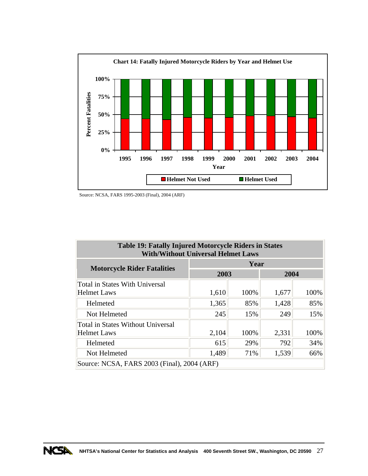<span id="page-35-0"></span>

Source: NCSA, FARS 1995-2003 (Final), 2004 (ARF)

| <b>Table 19: Fatally Injured Motorcycle Riders in States</b><br><b>With/Without Universal Helmet Laws</b> |       |      |       |      |
|-----------------------------------------------------------------------------------------------------------|-------|------|-------|------|
| <b>Motorcycle Rider Fatalities</b>                                                                        | Year  |      |       |      |
|                                                                                                           | 2003  |      | 2004  |      |
| <b>Total in States With Universal</b>                                                                     |       |      |       |      |
| <b>Helmet Laws</b>                                                                                        | 1,610 | 100% | 1,677 | 100% |
| Helmeted                                                                                                  | 1,365 | 85%  | 1,428 | 85%  |
| Not Helmeted                                                                                              | 245   | 15%  | 249   | 15%  |
| Total in States Without Universal                                                                         |       |      |       |      |
| <b>Helmet Laws</b>                                                                                        | 2,104 | 100% | 2,331 | 100% |
| Helmeted                                                                                                  | 615   | 29%  | 792   | 34%  |
| Not Helmeted                                                                                              | 1,489 | 71%  | 1,539 | 66%  |
| Source: NCSA, FARS 2003 (Final), 2004 (ARF)                                                               |       |      |       |      |

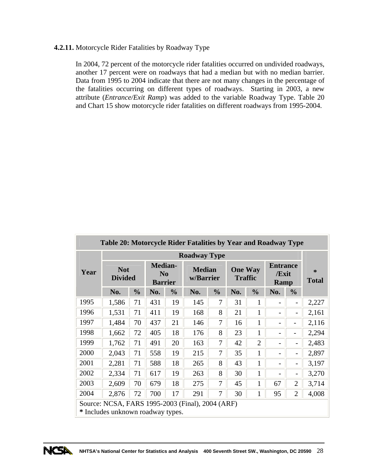## **4.2.11.** Motorcycle Rider Fatalities by Roadway Type

In 2004, 72 percent of the motorcycle rider fatalities occurred on undivided roadways, another 17 percent were on roadways that had a median but with no median barrier. Data from 1995 to 2004 indicate that there are not many changes in the percentage of the fatalities occurring on different types of roadways. Starting in 2003, a new attribute (*Entrance/Exit Ramp*) was added to the variable Roadway Type. Table 20 and Chart 15 show motorcycle rider fatalities on different roadways from 1995-2004.

|      | Table 20: Motorcycle Rider Fatalities by Year and Roadway Type                        |               |                                                    |               |                            |               |                                  |                |                                         |                          |                   |  |  |
|------|---------------------------------------------------------------------------------------|---------------|----------------------------------------------------|---------------|----------------------------|---------------|----------------------------------|----------------|-----------------------------------------|--------------------------|-------------------|--|--|
|      |                                                                                       |               |                                                    |               | <b>Roadway Type</b>        |               |                                  |                |                                         |                          |                   |  |  |
| Year | <b>Not</b><br><b>Divided</b>                                                          |               | <b>Median-</b><br>N <sub>0</sub><br><b>Barrier</b> |               | <b>Median</b><br>w/Barrier |               | <b>One Way</b><br><b>Traffic</b> |                | <b>Entrance</b><br>/Exit<br><b>Ramp</b> |                          | *<br><b>Total</b> |  |  |
|      | No.                                                                                   | $\frac{0}{0}$ | No.                                                | $\frac{0}{0}$ | No.                        | $\frac{0}{0}$ | No.                              | $\frac{0}{0}$  | No.                                     | $\frac{0}{0}$            |                   |  |  |
| 1995 | 1,586                                                                                 | 71            | 431                                                | 19            | 145                        | 7             | 31                               | $\mathbf{1}$   |                                         | $\overline{\phantom{0}}$ | 2,227             |  |  |
| 1996 | 1,531                                                                                 | 71            | 411                                                | 19            | 168                        | 8             | 21                               | $\mathbf{1}$   |                                         | $\qquad \qquad -$        | 2,161             |  |  |
| 1997 | 1,484                                                                                 | 70            | 437                                                | 21            | 146                        | 7             | 16                               | $\mathbf{1}$   |                                         |                          | 2,116             |  |  |
| 1998 | 1,662                                                                                 | 72            | 405                                                | 18            | 176                        | 8             | 23                               | 1              |                                         | $\overline{\phantom{0}}$ | 2,294             |  |  |
| 1999 | 1,762                                                                                 | 71            | 491                                                | 20            | 163                        | 7             | 42                               | $\overline{2}$ |                                         | $\overline{\phantom{a}}$ | 2,483             |  |  |
| 2000 | 2,043                                                                                 | 71            | 558                                                | 19            | 215                        | 7             | 35                               | 1              |                                         | $\overline{\phantom{a}}$ | 2,897             |  |  |
| 2001 | 2,281                                                                                 | 71            | 588                                                | 18            | 265                        | 8             | 43                               | $\mathbf{1}$   |                                         | $\overline{\phantom{a}}$ | 3,197             |  |  |
| 2002 | 2,334                                                                                 | 71            | 617                                                | 19            | 263                        | 8             | 30                               | $\mathbf{1}$   |                                         | $\overline{\phantom{0}}$ | 3,270             |  |  |
| 2003 | 2,609                                                                                 | 70            | 679                                                | 18            | 275                        | 7             | 45                               | 1              | 67                                      | $\overline{2}$           | 3,714             |  |  |
| 2004 | 2,876                                                                                 | 72            | 700                                                | 17            | 291                        | 7             | 30                               | $\mathbf{1}$   | 95                                      | $\overline{2}$           | 4,008             |  |  |
|      | Source: NCSA, FARS 1995-2003 (Final), 2004 (ARF)<br>* Includes unknown roadway types. |               |                                                    |               |                            |               |                                  |                |                                         |                          |                   |  |  |

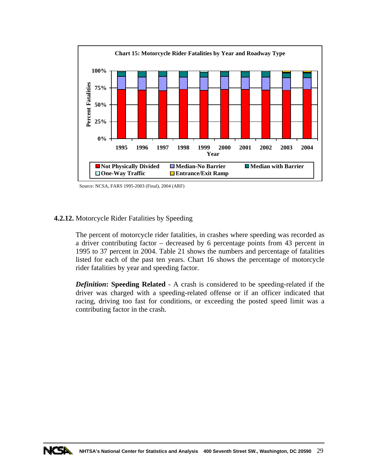

Source: NCSA, FARS 1995-2003 (Final), 2004 (ARF)

## **4.2.12.** Motorcycle Rider Fatalities by Speeding

The percent of motorcycle rider fatalities, in crashes where speeding was recorded as a driver contributing factor – decreased by 6 percentage points from 43 percent in 1995 to 37 percent in 2004. Table 21 shows the numbers and percentage of fatalities listed for each of the past ten years. Chart 16 shows the percentage of motorcycle rider fatalities by year and speeding factor.

*Definition***: Speeding Related** - A crash is considered to be speeding-related if the driver was charged with a speeding-related offense or if an officer indicated that racing, driving too fast for conditions, or exceeding the posted speed limit was a contributing factor in the crash.

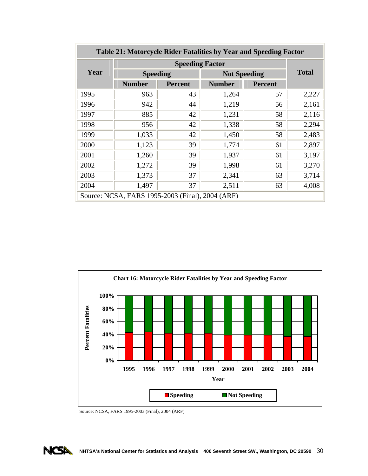| Table 21: Motorcycle Rider Fatalities by Year and Speeding Factor |                                                  |                |               |                     |       |  |  |  |  |  |  |
|-------------------------------------------------------------------|--------------------------------------------------|----------------|---------------|---------------------|-------|--|--|--|--|--|--|
|                                                                   |                                                  |                |               |                     |       |  |  |  |  |  |  |
| Year                                                              | <b>Speeding</b>                                  |                |               | <b>Not Speeding</b> |       |  |  |  |  |  |  |
|                                                                   | <b>Number</b>                                    | <b>Percent</b> | <b>Number</b> | <b>Percent</b>      |       |  |  |  |  |  |  |
| 1995                                                              | 963                                              | 43             | 1,264         | 57                  | 2,227 |  |  |  |  |  |  |
| 1996                                                              | 942                                              | 44             | 1,219         | 56                  | 2,161 |  |  |  |  |  |  |
| 1997                                                              | 885                                              | 42             | 1,231         | 58                  | 2,116 |  |  |  |  |  |  |
| 1998                                                              | 956                                              | 42             | 1,338         | 58                  | 2,294 |  |  |  |  |  |  |
| 1999                                                              | 1,033                                            | 42             | 1,450         | 58                  | 2,483 |  |  |  |  |  |  |
| 2000                                                              | 1,123                                            | 39             | 1,774         | 61                  | 2,897 |  |  |  |  |  |  |
| 2001                                                              | 1,260                                            | 39             | 1,937         | 61                  | 3,197 |  |  |  |  |  |  |
| 2002                                                              | 1,272                                            | 39             | 1,998         | 61                  | 3,270 |  |  |  |  |  |  |
| 2003                                                              | 1,373                                            | 37             | 2,341         | 63                  | 3,714 |  |  |  |  |  |  |
| 2004                                                              | 1,497                                            | 37             | 2,511         | 63                  | 4,008 |  |  |  |  |  |  |
|                                                                   | Source: NCSA, FARS 1995-2003 (Final), 2004 (ARF) |                |               |                     |       |  |  |  |  |  |  |



Source: NCSA, FARS 1995-2003 (Final), 2004 (ARF)

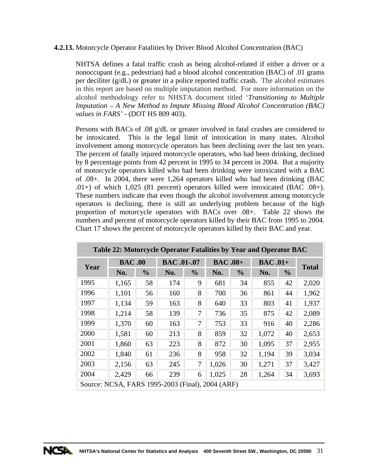## **4.2.13.** Motorcycle Operator Fatalities by Driver Blood Alcohol Concentration (BAC)

NHTSA defines a fatal traffic crash as being alcohol-related if either a driver or a nonoccupant (e.g., pedestrian) had a blood alcohol concentration (BAC) of .01 grams per deciliter (g/dL) or greater in a police reported traffic crash. The alcohol estimates in this report are based on multiple imputation method. For more information on the alcohol methodology refer to NHSTA document titled '*Transitioning to Multiple Imputation – A New Method to Impute Missing Blood Alcohol Concentration (BAC) values in FARS'* - (DOT HS 809 403)*.*

Persons with BACs of .08 g/dL or greater involved in fatal crashes are considered to be intoxicated. This is the legal limit of intoxication in many states. Alcohol involvement among motorcycle operators has been declining over the last ten years. The percent of fatally injured motorcycle operators, who had been drinking, declined by 8 percentage points from 42 percent in 1995 to 34 percent in 2004. But a majority of motorcycle operators killed who had been drinking were intoxicated with a BAC of .08+. In 2004, there were 1,264 operators killed who had been drinking (BAC .01+) of which 1,025 (81 percent) operators killed were intoxicated (BAC .08+). These numbers indicate that even though the alcohol involvement among motorcycle operators is declining, there is still an underlying problem because of the high proportion of motorcycle operators with BACs over .08+. Table 22 shows the numbers and percent of motorcycle operators killed by their BAC from 1995 to 2004. Chart 17 shows the percent of motorcycle operators killed by their BAC and year.

| Table 22: Motorcycle Operator Fatalities by Year and Operator BAC |               |               |                    |               |                |               |                |               |              |  |  |  |
|-------------------------------------------------------------------|---------------|---------------|--------------------|---------------|----------------|---------------|----------------|---------------|--------------|--|--|--|
| Year                                                              | <b>BAC.00</b> |               | <b>BAC</b> .01-.07 |               | <b>BAC.08+</b> |               | <b>BAC.01+</b> |               | <b>Total</b> |  |  |  |
|                                                                   | No.           | $\frac{0}{0}$ | No.                | $\frac{0}{0}$ | No.            | $\frac{0}{0}$ | No.            | $\frac{0}{0}$ |              |  |  |  |
| 1995                                                              | 1,165         | 58            | 174                | 9             | 681            | 34            | 855            | 42            | 2,020        |  |  |  |
| 1996                                                              | 1,101         | 56            | 160                | 8             | 700            | 36            | 861            | 44            | 1,962        |  |  |  |
| 1997                                                              | 1,134         | 59            | 163                | 8             | 640            | 33            | 803            | 41            | 1,937        |  |  |  |
| 1998                                                              | 1,214         | 58            | 139                | 7             | 736            | 35            | 875            | 42            | 2,089        |  |  |  |
| 1999                                                              | 1,370         | 60            | 163                | 7             | 753            | 33            | 916            | 40            | 2,286        |  |  |  |
| 2000                                                              | 1,581         | 60            | 213                | 8             | 859            | 32            | 1,072          | 40            | 2,653        |  |  |  |
| 2001                                                              | 1,860         | 63            | 223                | 8             | 872            | 30            | 1,095          | 37            | 2,955        |  |  |  |
| 2002                                                              | 1,840         | 61            | 236                | 8             | 958            | 32            | 1,194          | 39            | 3,034        |  |  |  |
| 2003                                                              | 2,156         | 63            | 245                | 7             | 1,026          | 30            | 1,271          | 37            | 3,427        |  |  |  |
| 2004                                                              | 2,429         | 66            | 239                | 6             | 1,025          | 28            | 1,264          | 34            | 3,693        |  |  |  |
| Source: NCSA, FARS 1995-2003 (Final), 2004 (ARF)                  |               |               |                    |               |                |               |                |               |              |  |  |  |

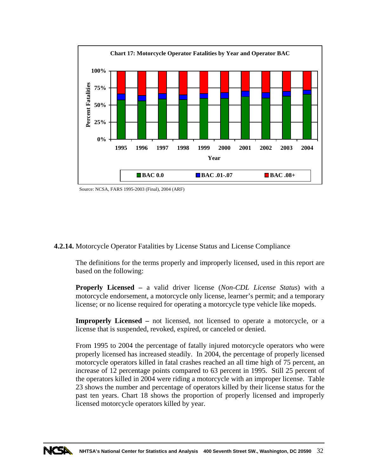

Source: NCSA, FARS 1995-2003 (Final), 2004 (ARF)

**4.2.14.** Motorcycle Operator Fatalities by License Status and License Compliance

The definitions for the terms properly and improperly licensed, used in this report are based on the following:

**Properly Licensed –** a valid driver license (*Non-CDL License Status*) with a motorcycle endorsement, a motorcycle only license, learner's permit; and a temporary license; or no license required for operating a motorcycle type vehicle like mopeds.

**Improperly Licensed –** not licensed, not licensed to operate a motorcycle, or a license that is suspended, revoked, expired, or canceled or denied.

From 1995 to 2004 the percentage of fatally injured motorcycle operators who were properly licensed has increased steadily. In 2004, the percentage of properly licensed motorcycle operators killed in fatal crashes reached an all time high of 75 percent, an increase of 12 percentage points compared to 63 percent in 1995. Still 25 percent of the operators killed in 2004 were riding a motorcycle with an improper license. Table 23 shows the number and percentage of operators killed by their license status for the past ten years. Chart 18 shows the proportion of properly licensed and improperly licensed motorcycle operators killed by year.

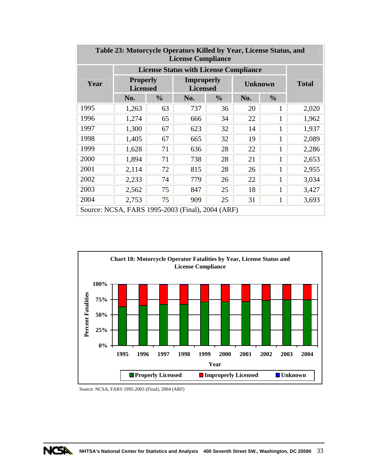| Table 23: Motorcycle Operators Killed by Year, License Status, and<br><b>License Compliance</b> |                                                  |               |                                      |               |                      |              |       |  |  |  |  |
|-------------------------------------------------------------------------------------------------|--------------------------------------------------|---------------|--------------------------------------|---------------|----------------------|--------------|-------|--|--|--|--|
|                                                                                                 | <b>License Status with License Compliance</b>    |               |                                      |               |                      |              |       |  |  |  |  |
| Year                                                                                            | <b>Properly</b><br><b>Licensed</b>               |               | <b>Improperly</b><br><b>Licensed</b> |               | <b>Unknown</b>       | <b>Total</b> |       |  |  |  |  |
|                                                                                                 | No.                                              | $\frac{0}{0}$ | No.                                  | $\frac{0}{0}$ | $\frac{6}{6}$<br>No. |              |       |  |  |  |  |
| 1995                                                                                            | 1,263                                            | 63            | 737                                  | 36            | 20                   | 1            | 2,020 |  |  |  |  |
| 1996                                                                                            | 1,274                                            | 65            | 666                                  | 34            | 22                   | 1            | 1,962 |  |  |  |  |
| 1997                                                                                            | 1,300                                            | 67            | 623                                  | 32            | 14                   | 1            | 1,937 |  |  |  |  |
| 1998                                                                                            | 1,405                                            | 67            | 665                                  | 32            | 19                   | 1            | 2,089 |  |  |  |  |
| 1999                                                                                            | 1,628                                            | 71            | 636                                  | 28            | 22                   | $\mathbf{1}$ | 2,286 |  |  |  |  |
| 2000                                                                                            | 1,894                                            | 71            | 738                                  | 28            | 21                   | 1            | 2,653 |  |  |  |  |
| 2001                                                                                            | 2,114                                            | 72            | 815                                  | 28            | 26                   | 1            | 2,955 |  |  |  |  |
| 2002                                                                                            | 2,233                                            | 74            | 779                                  | 26            | 22                   | $\mathbf{1}$ | 3,034 |  |  |  |  |
| 2003                                                                                            | 2,562                                            | 75            | 847                                  | 25            | 18                   | $\mathbf{1}$ | 3,427 |  |  |  |  |
| 2004                                                                                            | 2,753                                            | 75            | 909                                  | 25            | 31                   | $\mathbf{1}$ | 3,693 |  |  |  |  |
|                                                                                                 | Source: NCSA, FARS 1995-2003 (Final), 2004 (ARF) |               |                                      |               |                      |              |       |  |  |  |  |



Source: NCSA, FARS 1995-2003 (Final), 2004 (ARF)

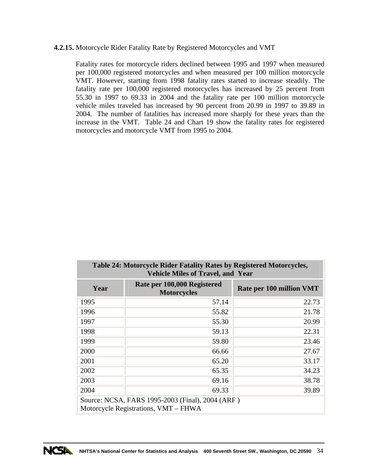## **4.2.15.** Motorcycle Rider Fatality Rate by Registered Motorcycles and VMT

Fatality rates for motorcycle riders declined between 1995 and 1997 when measured per 100,000 registered motorcycles and when measured per 100 million motorcycle VMT. However, starting from 1998 fatality rates started to increase steadily. The fatality rate per 100,000 registered motorcycles has increased by 25 percent from 55.30 in 1997 to 69.33 in 2004 and the fatality rate per 100 million motorcycle vehicle miles traveled has increased by 90 percent from 20.99 in 1997 to 39.89 in 2004. The number of fatalities has increased more sharply for these years than the increase in the VMT. Table 24 and Chart 19 show the fatality rates for registered motorcycles and motorcycle VMT from 1995 to 2004.

| Table 24: Motorcycle Rider Fatality Rates by Registered Motorcycles,<br><b>Vehicle Miles of Travel, and Year</b> |                                                   |                          |  |  |  |  |  |  |  |  |
|------------------------------------------------------------------------------------------------------------------|---------------------------------------------------|--------------------------|--|--|--|--|--|--|--|--|
| Year                                                                                                             | Rate per 100,000 Registered<br><b>Motorcycles</b> | Rate per 100 million VMT |  |  |  |  |  |  |  |  |
| 1995                                                                                                             | 57.14                                             | 22.73                    |  |  |  |  |  |  |  |  |
| 1996                                                                                                             | 55.82                                             | 21.78                    |  |  |  |  |  |  |  |  |
| 1997                                                                                                             | 55.30                                             | 20.99                    |  |  |  |  |  |  |  |  |
| 1998                                                                                                             | 59.13                                             | 22.31                    |  |  |  |  |  |  |  |  |
| 1999                                                                                                             | 59.80                                             | 23.46                    |  |  |  |  |  |  |  |  |
| 2000                                                                                                             | 66.66                                             | 27.67                    |  |  |  |  |  |  |  |  |
| 2001                                                                                                             | 65.20                                             | 33.17                    |  |  |  |  |  |  |  |  |
| 2002                                                                                                             | 65.35                                             | 34.23                    |  |  |  |  |  |  |  |  |
| 2003                                                                                                             | 69.16                                             | 38.78                    |  |  |  |  |  |  |  |  |
| 2004<br>39.89<br>69.33                                                                                           |                                                   |                          |  |  |  |  |  |  |  |  |
| Source: NCSA, FARS 1995-2003 (Final), 2004 (ARF)<br>Motorcycle Registrations, VMT – FHWA                         |                                                   |                          |  |  |  |  |  |  |  |  |

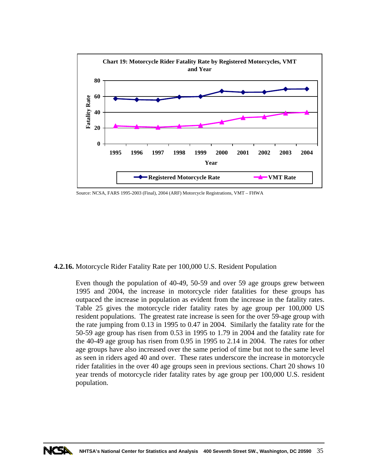

Source: NCSA, FARS 1995-2003 (Final), 2004 (ARF) Motorcycle Registrations, VMT – FHWA

**4.2.16.** Motorcycle Rider Fatality Rate per 100,000 U.S. Resident Population

Even though the population of 40-49, 50-59 and over 59 age groups grew between 1995 and 2004, the increase in motorcycle rider fatalities for these groups has outpaced the increase in population as evident from the increase in the fatality rates. Table 25 gives the motorcycle rider fatality rates by age group per 100,000 US resident populations. The greatest rate increase is seen for the over 59-age group with the rate jumping from 0.13 in 1995 to 0.47 in 2004. Similarly the fatality rate for the 50-59 age group has risen from 0.53 in 1995 to 1.79 in 2004 and the fatality rate for the 40-49 age group has risen from 0.95 in 1995 to 2.14 in 2004. The rates for other age groups have also increased over the same period of time but not to the same level as seen in riders aged 40 and over. These rates underscore the increase in motorcycle rider fatalities in the over 40 age groups seen in previous sections. Chart 20 shows 10 year trends of motorcycle rider fatality rates by age group per 100,000 U.S. resident population.

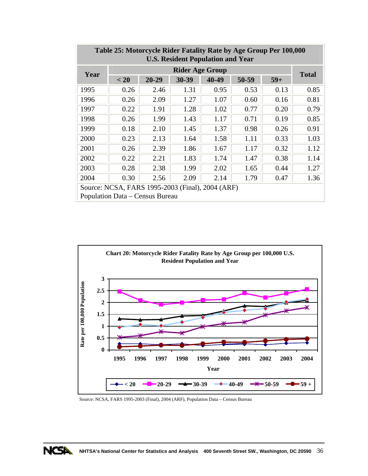| <b>U.S. Resident Population and Year</b>                                            |      |           |                        |       |       |       |              |  |  |  |  |
|-------------------------------------------------------------------------------------|------|-----------|------------------------|-------|-------|-------|--------------|--|--|--|--|
| Year                                                                                |      |           | <b>Rider Age Group</b> |       |       |       | <b>Total</b> |  |  |  |  |
|                                                                                     | < 20 | $20 - 29$ | 30-39                  | 40-49 | 50-59 | $59+$ |              |  |  |  |  |
| 1995                                                                                | 0.26 | 2.46      | 1.31                   | 0.95  | 0.53  | 0.13  | 0.85         |  |  |  |  |
| 1996                                                                                | 0.26 | 2.09      | 1.27                   | 1.07  | 0.60  | 0.16  | 0.81         |  |  |  |  |
| 1997                                                                                | 0.22 | 1.91      | 1.28                   | 1.02  | 0.77  | 0.20  | 0.79         |  |  |  |  |
| 1998                                                                                | 0.26 | 1.99      | 1.43                   | 1.17  | 0.71  | 0.19  | 0.85         |  |  |  |  |
| 1999                                                                                | 0.18 | 2.10      | 1.45                   | 1.37  | 0.98  | 0.26  | 0.91         |  |  |  |  |
| 2000                                                                                | 0.23 | 2.13      | 1.64                   | 1.58  | 1.11  | 0.33  | 1.03         |  |  |  |  |
| 2001                                                                                | 0.26 | 2.39      | 1.86                   | 1.67  | 1.17  | 0.32  | 1.12         |  |  |  |  |
| 2002                                                                                | 0.22 | 2.21      | 1.83                   | 1.74  | 1.47  | 0.38  | 1.14         |  |  |  |  |
| 2003                                                                                | 0.28 | 2.38      | 1.99                   | 2.02  | 1.65  | 0.44  | 1.27         |  |  |  |  |
| 2004                                                                                | 0.30 | 2.56      | 2.09                   | 2.14  | 1.79  | 0.47  | 1.36         |  |  |  |  |
| Source: NCSA, FARS 1995-2003 (Final), 2004 (ARF)<br>Population Data – Census Bureau |      |           |                        |       |       |       |              |  |  |  |  |

# **Table 25: Motorcycle Rider Fatality Rate by Age Group Per 100,000**



Source: NCSA, FARS 1995-2003 (Final), 2004 (ARF), Population Data – Census Bureau

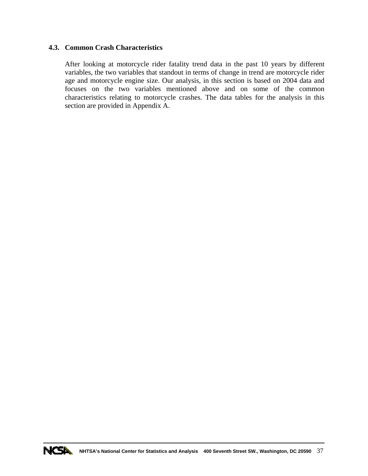## **4.3. Common Crash Characteristics**

After looking at motorcycle rider fatality trend data in the past 10 years by different variables, the two variables that standout in terms of change in trend are motorcycle rider age and motorcycle engine size. Our analysis, in this section is based on 2004 data and focuses on the two variables mentioned above and on some of the common characteristics relating to motorcycle crashes. The data tables for the analysis in this section are provided in Appendix A.

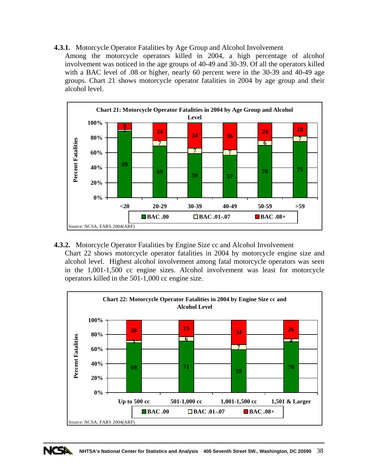## **4.3.1.** Motorcycle Operator Fatalities by Age Group and Alcohol Involvement

Among the motorcycle operators killed in 2004, a high percentage of alcohol involvement was noticed in the age groups of 40-49 and 30-39. Of all the operators killed with a BAC level of .08 or higher, nearly 60 percent were in the 30-39 and 40-49 age groups. Chart 21 shows motorcycle operator fatalities in 2004 by age group and their alcohol level.



**4.3.2.** Motorcycle Operator Fatalities by Engine Size cc and Alcohol Involvement Chart 22 shows motorcycle operator fatalities in 2004 by motorcycle engine size and alcohol level. Highest alcohol involvement among fatal motorcycle operators was seen in the 1,001-1,500 cc engine sizes. Alcohol involvement was least for motorcycle operators killed in the 501-1,000 cc engine size.



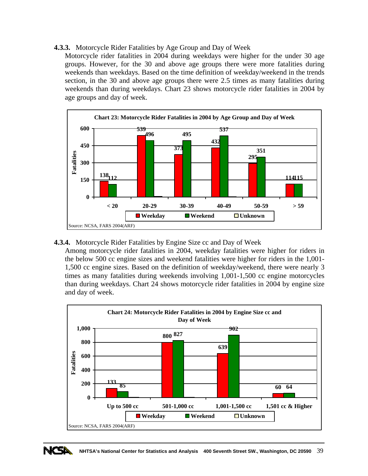## **4.3.3.** Motorcycle Rider Fatalities by Age Group and Day of Week

Motorcycle rider fatalities in 2004 during weekdays were higher for the under 30 age groups. However, for the 30 and above age groups there were more fatalities during weekends than weekdays. Based on the time definition of weekday/weekend in the trends section, in the 30 and above age groups there were 2.5 times as many fatalities during weekends than during weekdays. Chart 23 shows motorcycle rider fatalities in 2004 by age groups and day of week.



## **4.3.4.** Motorcycle Rider Fatalities by Engine Size cc and Day of Week

Among motorcycle rider fatalities in 2004, weekday fatalities were higher for riders in the below 500 cc engine sizes and weekend fatalities were higher for riders in the 1,001- 1,500 cc engine sizes. Based on the definition of weekday/weekend, there were nearly 3 times as many fatalities during weekends involving 1,001-1,500 cc engine motorcycles than during weekdays. Chart 24 shows motorcycle rider fatalities in 2004 by engine size and day of week.



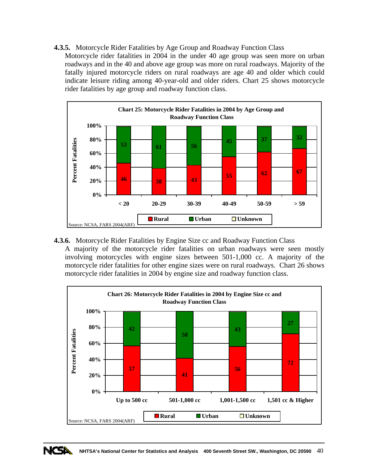**4.3.5.** Motorcycle Rider Fatalities by Age Group and Roadway Function Class

Motorcycle rider fatalities in 2004 in the under 40 age group was seen more on urban roadways and in the 40 and above age group was more on rural roadways. Majority of the fatally injured motorcycle riders on rural roadways are age 40 and older which could indicate leisure riding among 40-year-old and older riders. Chart 25 shows motorcycle rider fatalities by age group and roadway function class.



**4.3.6.** Motorcycle Rider Fatalities by Engine Size cc and Roadway Function Class A majority of the motorcycle rider fatalities on urban roadways were seen mostly involving motorcycles with engine sizes between 501-1,000 cc. A majority of the motorcycle rider fatalities for other engine sizes were on rural roadways. Chart 26 shows motorcycle rider fatalities in 2004 by engine size and roadway function class.



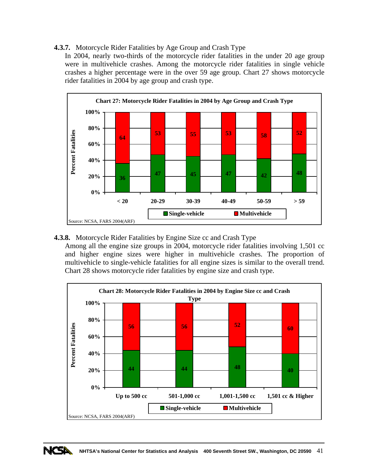## **4.3.7.** Motorcycle Rider Fatalities by Age Group and Crash Type

In 2004, nearly two-thirds of the motorcycle rider fatalities in the under 20 age group were in multivehicle crashes. Among the motorcycle rider fatalities in single vehicle crashes a higher percentage were in the over 59 age group. Chart 27 shows motorcycle rider fatalities in 2004 by age group and crash type.



**4.3.8.** Motorcycle Rider Fatalities by Engine Size cc and Crash Type

Among all the engine size groups in 2004, motorcycle rider fatalities involving 1,501 cc and higher engine sizes were higher in multivehicle crashes. The proportion of multivehicle to single-vehicle fatalities for all engine sizes is similar to the overall trend. Chart 28 shows motorcycle rider fatalities by engine size and crash type.



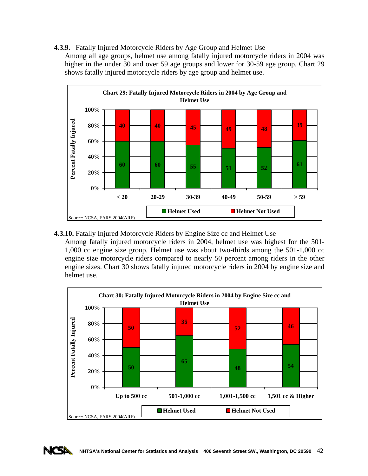**4.3.9.** Fatally Injured Motorcycle Riders by Age Group and Helmet Use

Among all age groups, helmet use among fatally injured motorcycle riders in 2004 was higher in the under 30 and over 59 age groups and lower for 30-59 age group. Chart 29 shows fatally injured motorcycle riders by age group and helmet use.



**4.3.10.** Fatally Injured Motorcycle Riders by Engine Size cc and Helmet Use

Among fatally injured motorcycle riders in 2004, helmet use was highest for the 501- 1,000 cc engine size group. Helmet use was about two-thirds among the 501-1,000 cc engine size motorcycle riders compared to nearly 50 percent among riders in the other engine sizes. Chart 30 shows fatally injured motorcycle riders in 2004 by engine size and helmet use.



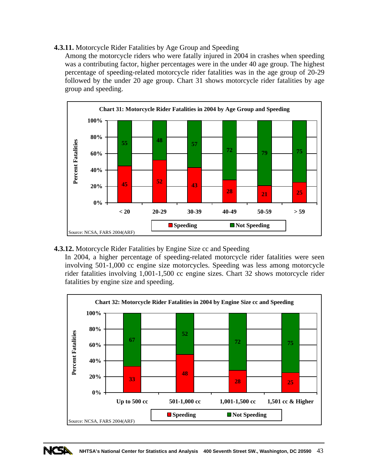# **4.3.11.** Motorcycle Rider Fatalities by Age Group and Speeding

Among the motorcycle riders who were fatally injured in 2004 in crashes when speeding was a contributing factor, higher percentages were in the under 40 age group. The highest percentage of speeding-related motorcycle rider fatalities was in the age group of 20-29 followed by the under 20 age group. Chart 31 shows motorcycle rider fatalities by age group and speeding.



**4.3.12.** Motorcycle Rider Fatalities by Engine Size cc and Speeding

In 2004, a higher percentage of speeding-related motorcycle rider fatalities were seen involving 501-1,000 cc engine size motorcycles. Speeding was less among motorcycle rider fatalities involving 1,001-1,500 cc engine sizes. Chart 32 shows motorcycle rider fatalities by engine size and speeding.



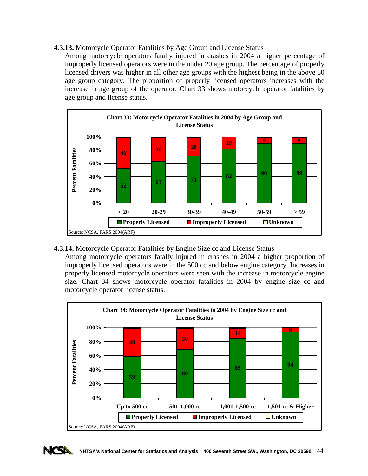**4.3.13.** Motorcycle Operator Fatalities by Age Group and License Status

Among motorcycle operators fatally injured in crashes in 2004 a higher percentage of improperly licensed operators were in the under 20 age group. The percentage of properly licensed drivers was higher in all other age groups with the highest being in the above 50 age group category. The proportion of properly licensed operators increases with the increase in age group of the operator. Chart 33 shows motorcycle operator fatalities by age group and license status.



**4.3.14.** Motorcycle Operator Fatalities by Engine Size cc and License Status

Among motorcycle operators fatally injured in crashes in 2004 a higher proportion of improperly licensed operators were in the 500 cc and below engine category. Increases in properly licensed motorcycle operators were seen with the increase in motorcycle engine size. Chart 34 shows motorcycle operator fatalities in 2004 by engine size cc and motorcycle operator license status.



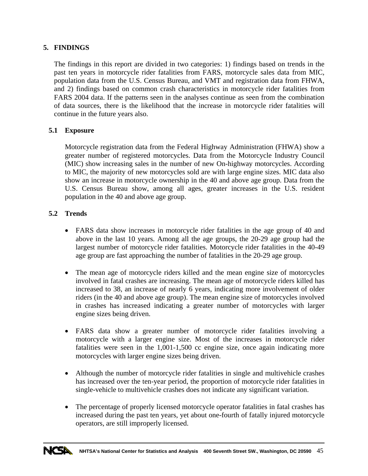# **5. FINDINGS**

The findings in this report are divided in two categories: 1) findings based on trends in the past ten years in motorcycle rider fatalities from FARS, motorcycle sales data from MIC, population data from the U.S. Census Bureau, and VMT and registration data from FHWA, and 2) findings based on common crash characteristics in motorcycle rider fatalities from FARS 2004 data. If the patterns seen in the analyses continue as seen from the combination of data sources, there is the likelihood that the increase in motorcycle rider fatalities will continue in the future years also.

# **5.1 Exposure**

Motorcycle registration data from the Federal Highway Administration (FHWA) show a greater number of registered motorcycles. Data from the Motorcycle Industry Council (MIC) show increasing sales in the number of new On-highway motorcycles. According to MIC, the majority of new motorcycles sold are with large engine sizes. MIC data also show an increase in motorcycle ownership in the 40 and above age group. Data from the U.S. Census Bureau show, among all ages, greater increases in the U.S. resident population in the 40 and above age group.

# **5.2 Trends**

- FARS data show increases in motorcycle rider fatalities in the age group of 40 and above in the last 10 years. Among all the age groups, the 20-29 age group had the largest number of motorcycle rider fatalities. Motorcycle rider fatalities in the 40-49 age group are fast approaching the number of fatalities in the 20-29 age group.
- The mean age of motorcycle riders killed and the mean engine size of motorcycles involved in fatal crashes are increasing. The mean age of motorcycle riders killed has increased to 38, an increase of nearly 6 years, indicating more involvement of older riders (in the 40 and above age group). The mean engine size of motorcycles involved in crashes has increased indicating a greater number of motorcycles with larger engine sizes being driven.
- FARS data show a greater number of motorcycle rider fatalities involving a motorcycle with a larger engine size. Most of the increases in motorcycle rider fatalities were seen in the 1,001-1,500 cc engine size, once again indicating more motorcycles with larger engine sizes being driven.
- Although the number of motorcycle rider fatalities in single and multivehicle crashes has increased over the ten-year period, the proportion of motorcycle rider fatalities in single-vehicle to multivehicle crashes does not indicate any significant variation.
- The percentage of properly licensed motorcycle operator fatalities in fatal crashes has increased during the past ten years, yet about one-fourth of fatally injured motorcycle operators, are still improperly licensed.

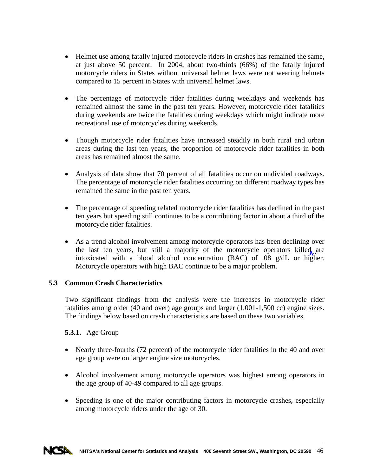- Helmet use among fatally injured motorcycle riders in crashes has remained the same, at just above 50 percent. In 2004, about two-thirds (66%) of the fatally injured motorcycle riders in States without universal helmet laws were not wearing helmets compared to 15 percent in States with universal helmet laws.
- The percentage of motorcycle rider fatalities during weekdays and weekends has remained almost the same in the past ten years. However, motorcycle rider fatalities during weekends are twice the fatalities during weekdays which might indicate more recreational use of motorcycles during weekends.
- Though motorcycle rider fatalities have increased steadily in both rural and urban areas during the last ten years, the proportion of motorcycle rider fatalities in both areas has remained almost the same.
- Analysis of data show that 70 percent of all fatalities occur on undivided roadways. The percentage of motorcycle rider fatalities occurring on different roadway types has remained the same in the past ten years.
- The percentage of speeding related motorcycle rider fatalities has declined in the past ten years but speeding still continues to be a contributing factor in about a third of the motorcycle rider fatalities.
- As a trend alcohol involvement among motorcycle operators has been declining over the last ten years, but still a majority of the motorcycle operators killed are intoxicated with a blood alcohol concentration (BAC) of .08 g/dL or higher. Motorcycle operators with high BAC continue to be a major problem.

# **5.3 Common Crash Characteristics**

Two significant findings from the analysis were the increases in motorcycle rider fatalities among older (40 and over) age groups and larger (1,001-1,500 cc) engine sizes. The findings below based on crash characteristics are based on these two variables.

# **5.3.1.** Age Group

- Nearly three-fourths (72 percent) of the motorcycle rider fatalities in the 40 and over age group were on larger engine size motorcycles.
- Alcohol involvement among motorcycle operators was highest among operators in the age group of 40-49 compared to all age groups.
- Speeding is one of the major contributing factors in motorcycle crashes, especially among motorcycle riders under the age of 30.

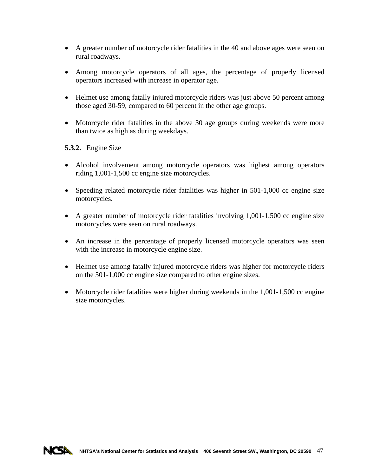- A greater number of motorcycle rider fatalities in the 40 and above ages were seen on rural roadways.
- Among motorcycle operators of all ages, the percentage of properly licensed operators increased with increase in operator age.
- Helmet use among fatally injured motorcycle riders was just above 50 percent among those aged 30-59, compared to 60 percent in the other age groups.
- Motorcycle rider fatalities in the above 30 age groups during weekends were more than twice as high as during weekdays.

## **5.3.2.** Engine Size

- Alcohol involvement among motorcycle operators was highest among operators riding 1,001-1,500 cc engine size motorcycles.
- Speeding related motorcycle rider fatalities was higher in 501-1,000 cc engine size motorcycles.
- A greater number of motorcycle rider fatalities involving 1,001-1,500 cc engine size motorcycles were seen on rural roadways.
- An increase in the percentage of properly licensed motorcycle operators was seen with the increase in motorcycle engine size.
- Helmet use among fatally injured motorcycle riders was higher for motorcycle riders on the 501-1,000 cc engine size compared to other engine sizes.
- Motorcycle rider fatalities were higher during weekends in the 1,001-1,500 cc engine size motorcycles.

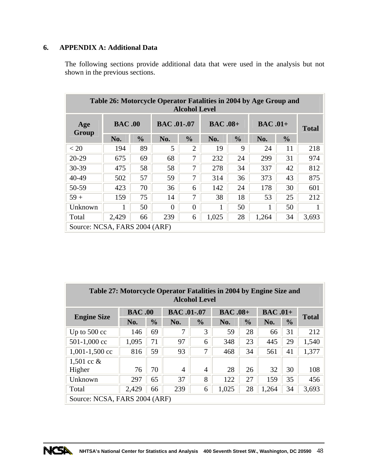# **6. APPENDIX A: Additional Data**

The following sections provide additional data that were used in the analysis but not shown in the previous sections.

| Table 26: Motorcycle Operator Fatalities in 2004 by Age Group and<br><b>Alcohol Level</b> |               |               |                    |                |                |               |           |               |              |  |  |  |  |
|-------------------------------------------------------------------------------------------|---------------|---------------|--------------------|----------------|----------------|---------------|-----------|---------------|--------------|--|--|--|--|
| Age<br><b>Group</b>                                                                       | <b>BAC.00</b> |               | <b>BAC</b> .01-.07 |                | <b>BAC.08+</b> |               | $BAC.01+$ |               | <b>Total</b> |  |  |  |  |
|                                                                                           | No.           | $\frac{0}{0}$ | No.                | $\frac{0}{0}$  | No.            | $\frac{0}{0}$ | No.       | $\frac{0}{0}$ |              |  |  |  |  |
| < 20                                                                                      | 194           | 89            | 5                  | $\overline{2}$ | 19             | 9             | 24        | 11            | 218          |  |  |  |  |
| 20-29                                                                                     | 675           | 69            | 68                 | 7              | 232            | 24            | 299       | 31            | 974          |  |  |  |  |
| 30-39                                                                                     | 475           | 58            | 58                 | 7              | 278            | 34            | 337       | 42            | 812          |  |  |  |  |
| 40-49                                                                                     | 502           | 57            | 59                 | 7              | 314            | 36            | 373       | 43            | 875          |  |  |  |  |
| 50-59                                                                                     | 423           | 70            | 36                 | 6              | 142            | 24            | 178       | 30            | 601          |  |  |  |  |
| $59+$                                                                                     | 159           | 75            | 14                 | 7              | 38             | 18            | 53        | 25            | 212          |  |  |  |  |
| Unknown                                                                                   |               | 50            | 0                  | $\Omega$       |                | 50            |           | 50            |              |  |  |  |  |
| Total                                                                                     | 2,429         | 66            | 239                | 6              | 1,025          | 28            | 1,264     | 34            | 3,693        |  |  |  |  |
| Source: NCSA, FARS 2004 (ARF)                                                             |               |               |                    |                |                |               |           |               |              |  |  |  |  |

| Table 27: Motorcycle Operator Fatalities in 2004 by Engine Size and<br><b>Alcohol Level</b> |                                                                |               |                   |                |                |               |                |               |              |  |  |  |  |
|---------------------------------------------------------------------------------------------|----------------------------------------------------------------|---------------|-------------------|----------------|----------------|---------------|----------------|---------------|--------------|--|--|--|--|
| <b>Engine Size</b>                                                                          | <b>BAC.00</b>                                                  |               | <b>BAC.01-.07</b> |                | <b>BAC.08+</b> |               | <b>BAC.01+</b> |               | <b>Total</b> |  |  |  |  |
|                                                                                             | No.                                                            | $\frac{0}{0}$ | No.               | $\frac{0}{0}$  | No.            | $\frac{0}{0}$ | No.            | $\frac{6}{9}$ |              |  |  |  |  |
| Up to $500 \text{ cc}$                                                                      | 146                                                            | 69            | 7                 | 3              | 59             | 28            | 66             | 31            | 212          |  |  |  |  |
| 501-1,000 cc                                                                                | 1,095                                                          | 71            | 97                | 6              | 348            | 23            | 445            | 29            | 1,540        |  |  |  |  |
| $1,001-1,500$ cc                                                                            | 816                                                            | 59            | 93                | 7              | 468            | 34            | 561            | 41            | 1,377        |  |  |  |  |
| 1,501 cc $&$                                                                                |                                                                |               |                   |                |                |               |                |               |              |  |  |  |  |
| Higher                                                                                      | 76                                                             | 70            | $\overline{4}$    | $\overline{4}$ | 28             | 26            | 32             | 30            | 108          |  |  |  |  |
| Unknown                                                                                     | 297                                                            | 65            | 37                | 8              | 122            | 27            | 159            | 35            | 456          |  |  |  |  |
| Total                                                                                       | 28<br>239<br>1,264<br>34<br>3,693<br>2,429<br>66<br>1,025<br>6 |               |                   |                |                |               |                |               |              |  |  |  |  |
| Source: NCSA, FARS 2004 (ARF)                                                               |                                                                |               |                   |                |                |               |                |               |              |  |  |  |  |

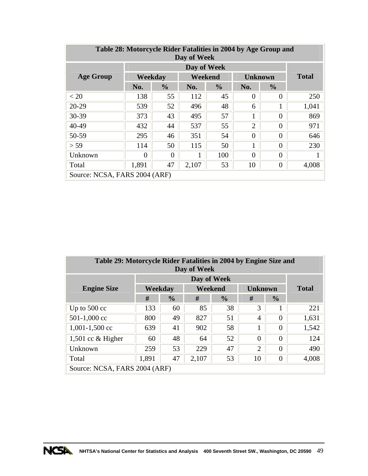| Table 28: Motorcycle Rider Fatalities in 2004 by Age Group and<br>Day of Week |                               |               |         |               |                |               |              |  |  |  |  |  |
|-------------------------------------------------------------------------------|-------------------------------|---------------|---------|---------------|----------------|---------------|--------------|--|--|--|--|--|
|                                                                               | Day of Week                   |               |         |               |                |               |              |  |  |  |  |  |
| <b>Age Group</b>                                                              | Weekday                       |               | Weekend |               | <b>Unknown</b> |               | <b>Total</b> |  |  |  |  |  |
|                                                                               | No.                           | $\frac{0}{0}$ | No.     | $\frac{0}{0}$ | No.            | $\frac{0}{0}$ |              |  |  |  |  |  |
| < 20                                                                          | 138                           | 55            | 112     | 45            | $\theta$       | 0             | 250          |  |  |  |  |  |
| $20-29$                                                                       | 539                           | 52            | 496     | 48            | 6              | 1             | 1,041        |  |  |  |  |  |
| 30-39                                                                         | 373                           | 43            | 495     | 57            | 1              | 0             | 869          |  |  |  |  |  |
| 40-49                                                                         | 432                           | 44            | 537     | 55            | $\overline{2}$ | $\theta$      | 971          |  |  |  |  |  |
| 50-59                                                                         | 295                           | 46            | 351     | 54            | $\theta$       | $\theta$      | 646          |  |  |  |  |  |
| > 59                                                                          | 114                           | 50            | 115     | 50            | 1              | 0             | 230          |  |  |  |  |  |
| Unknown                                                                       | 0                             | 0             |         | 100           | $\theta$       | 0             |              |  |  |  |  |  |
| 47<br>10<br>1,891<br>$\overline{0}$<br>4,008<br>2,107<br>53<br>Total          |                               |               |         |               |                |               |              |  |  |  |  |  |
|                                                                               | Source: NCSA, FARS 2004 (ARF) |               |         |               |                |               |              |  |  |  |  |  |

| Table 29: Motorcycle Rider Fatalities in 2004 by Engine Size and<br>Day of Week |         |               |         |               |                |                |              |  |  |  |  |
|---------------------------------------------------------------------------------|---------|---------------|---------|---------------|----------------|----------------|--------------|--|--|--|--|
|                                                                                 |         |               |         |               |                |                |              |  |  |  |  |
| <b>Engine Size</b>                                                              | Weekday |               | Weekend |               | <b>Unknown</b> |                | <b>Total</b> |  |  |  |  |
|                                                                                 | #       | $\frac{0}{0}$ | #       | $\frac{0}{0}$ |                |                |              |  |  |  |  |
| Up to $500 \text{ cc}$                                                          | 133     | 60            | 85      | 38            | 3              |                | 221          |  |  |  |  |
| 501-1,000 cc                                                                    | 800     | 49            | 827     | 51            | 4              | $\theta$       | 1,631        |  |  |  |  |
| $1,001-1,500$ cc                                                                | 639     | 41            | 902     | 58            |                | $\overline{0}$ | 1,542        |  |  |  |  |
| 1,501 cc $&$ Higher                                                             | 60      | 48            | 64      | 52            | $\theta$       | $\overline{0}$ | 124          |  |  |  |  |
| Unknown                                                                         | 259     | 53            | 229     | 47            | $\overline{2}$ | $\theta$       | 490          |  |  |  |  |
| 1,891<br>47<br>53<br>10<br>$\overline{0}$<br>4,008<br>2,107<br>Total            |         |               |         |               |                |                |              |  |  |  |  |
| Source: NCSA, FARS 2004 (ARF)                                                   |         |               |         |               |                |                |              |  |  |  |  |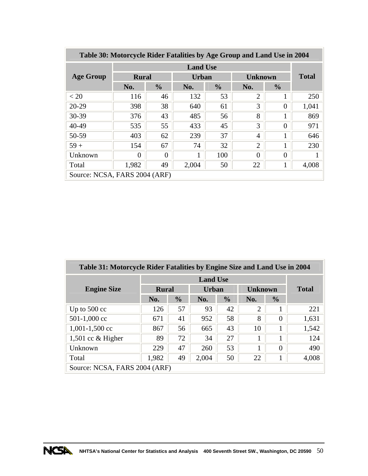| Table 30: Motorcycle Rider Fatalities by Age Group and Land Use in 2004 |                 |               |              |               |                |               |              |  |  |  |  |  |
|-------------------------------------------------------------------------|-----------------|---------------|--------------|---------------|----------------|---------------|--------------|--|--|--|--|--|
|                                                                         | <b>Land Use</b> |               |              |               |                |               |              |  |  |  |  |  |
| <b>Age Group</b>                                                        | <b>Rural</b>    |               | <b>Urban</b> |               | <b>Unknown</b> |               | <b>Total</b> |  |  |  |  |  |
|                                                                         | No.             | $\frac{0}{0}$ | No.          | $\frac{0}{0}$ | No.            | $\frac{0}{0}$ |              |  |  |  |  |  |
| < 20                                                                    | 116             | 46            | 132          | 53            | $\overline{2}$ |               | 250          |  |  |  |  |  |
| $20 - 29$                                                               | 398             | 38            | 640          | 61            | 3              | $\theta$      | 1,041        |  |  |  |  |  |
| $30 - 39$                                                               | 376             | 43            | 485          | 56            | 8              | 1             | 869          |  |  |  |  |  |
| 40-49                                                                   | 535             | 55            | 433          | 45            | 3              | $\theta$      | 971          |  |  |  |  |  |
| 50-59                                                                   | 403             | 62            | 239          | 37            | 4              | 1             | 646          |  |  |  |  |  |
| $59+$                                                                   | 154             | 67            | 74           | 32            | $\overline{2}$ | 1             | 230          |  |  |  |  |  |
| Unknown                                                                 | $\Omega$        | $\Omega$      | 1            | 100           | $\Omega$       | $\theta$      |              |  |  |  |  |  |
| 49<br>4,008<br>1,982<br>2,004<br>22<br>Total<br>50<br>1                 |                 |               |              |               |                |               |              |  |  |  |  |  |
| Source: NCSA, FARS 2004 (ARF)                                           |                 |               |              |               |                |               |              |  |  |  |  |  |

| Table 31: Motorcycle Rider Fatalities by Engine Size and Land Use in 2004 |       |               |       |               |                |               |              |  |  |  |  |
|---------------------------------------------------------------------------|-------|---------------|-------|---------------|----------------|---------------|--------------|--|--|--|--|
|                                                                           |       |               |       |               |                |               |              |  |  |  |  |
| <b>Engine Size</b>                                                        |       | <b>Rural</b>  |       | <b>Urban</b>  | <b>Unknown</b> |               | <b>Total</b> |  |  |  |  |
|                                                                           | No.   | $\frac{0}{0}$ | No.   | $\frac{0}{0}$ | No.            | $\frac{0}{0}$ |              |  |  |  |  |
| Up to $500 \text{ cc}$                                                    | 126   | 57            | 93    | 42            | $\overline{2}$ |               | 221          |  |  |  |  |
| $501-1,000$ cc                                                            | 671   | 41            | 952   | 58            | 8              | $\theta$      | 1,631        |  |  |  |  |
| $1,001-1,500$ cc                                                          | 867   | 56            | 665   | 43            | 10             | -             | 1,542        |  |  |  |  |
| 1,501 cc $&$ Higher                                                       | 89    | 72            | 34    | 27            |                |               | 124          |  |  |  |  |
| Unknown                                                                   | 229   | 47            | 260   | 53            |                | 0             | 490          |  |  |  |  |
| Total                                                                     | 1,982 | 49            | 2,004 | 50            | 22             |               | 4,008        |  |  |  |  |
| Source: NCSA, FARS 2004 (ARF)                                             |       |               |       |               |                |               |              |  |  |  |  |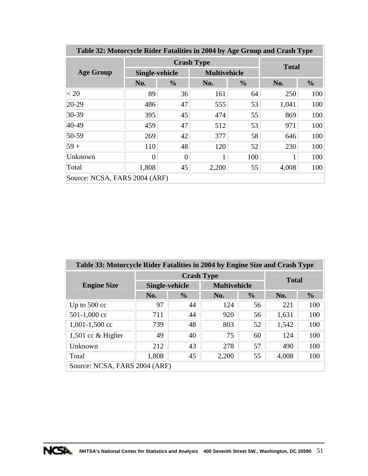| Table 32: Motorcycle Rider Fatalities in 2004 by Age Group and Crash Type |                |                   |                     |               |       |               |  |  |  |  |  |
|---------------------------------------------------------------------------|----------------|-------------------|---------------------|---------------|-------|---------------|--|--|--|--|--|
|                                                                           |                | <b>Crash Type</b> |                     | <b>Total</b>  |       |               |  |  |  |  |  |
| <b>Age Group</b>                                                          | Single-vehicle |                   | <b>Multivehicle</b> |               |       |               |  |  |  |  |  |
|                                                                           | No.            | $\frac{0}{0}$     | No.                 | $\frac{0}{0}$ | No.   | $\frac{0}{0}$ |  |  |  |  |  |
| < 20                                                                      | 89             | 36                | 161                 | 64            | 250   | 100           |  |  |  |  |  |
| $20-29$                                                                   | 486            | 47                | 555                 | 53            | 1,041 | 100           |  |  |  |  |  |
| $30 - 39$                                                                 | 395            | 45                | 474                 | 55            | 869   | 100           |  |  |  |  |  |
| $40 - 49$                                                                 | 459            | 47                | 512                 | 53            | 971   | 100           |  |  |  |  |  |
| 50-59                                                                     | 269            | 42                | 377                 | 58            | 646   | 100           |  |  |  |  |  |
| $59 +$                                                                    | 110            | 48                | 120                 | 52            | 230   | 100           |  |  |  |  |  |
| Unknown                                                                   |                | $\Omega$          |                     | 100           |       | 100           |  |  |  |  |  |
| Total                                                                     | 1,808          | 45                | 2,200               | 55            | 4,008 | 100           |  |  |  |  |  |
| Source: NCSA, FARS 2004 (ARF)                                             |                |                   |                     |               |       |               |  |  |  |  |  |

| Table 33: Motorcycle Rider Fatalities in 2004 by Engine Size and Crash Type |                |                   |                     |               |       |               |  |  |  |  |  |
|-----------------------------------------------------------------------------|----------------|-------------------|---------------------|---------------|-------|---------------|--|--|--|--|--|
|                                                                             |                | <b>Crash Type</b> | <b>Total</b>        |               |       |               |  |  |  |  |  |
| <b>Engine Size</b>                                                          | Single-vehicle |                   | <b>Multivehicle</b> |               |       |               |  |  |  |  |  |
|                                                                             | No.            | $\frac{6}{6}$     | No.                 | $\frac{0}{0}$ | No.   | $\frac{0}{0}$ |  |  |  |  |  |
| Up to $500 \text{ cc}$                                                      | 97             | 44                | 124                 | 56            | 221   | 100           |  |  |  |  |  |
| 501-1,000 cc                                                                | 711            | 44                | 920                 | 56            | 1,631 | 100           |  |  |  |  |  |
| $1,001-1,500$ cc                                                            | 739            | 48                | 803                 | 52            | 1,542 | 100           |  |  |  |  |  |
| 1,501 cc $&$ Higher                                                         | 49             | 40                | 75                  | 60            | 124   | 100           |  |  |  |  |  |
| Unknown                                                                     | 212            | 43                | 278                 | 57            | 490   | 100           |  |  |  |  |  |
| Total                                                                       | 1,808          | 45                | 2,200               | 55            | 4,008 | 100           |  |  |  |  |  |
| Source: NCSA, FARS 2004 (ARF)                                               |                |                   |                     |               |       |               |  |  |  |  |  |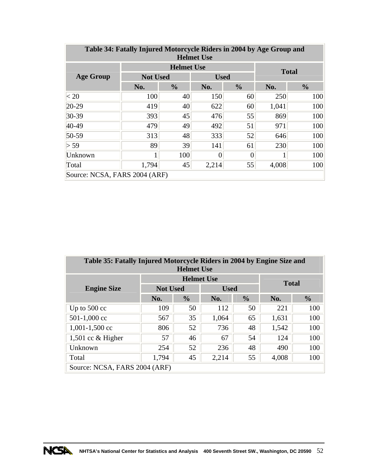| Table 34: Fatally Injured Motorcycle Riders in 2004 by Age Group and<br><b>Helmet Use</b> |                 |                   |             |                |       |               |  |  |  |  |  |  |
|-------------------------------------------------------------------------------------------|-----------------|-------------------|-------------|----------------|-------|---------------|--|--|--|--|--|--|
|                                                                                           |                 | <b>Helmet Use</b> |             |                |       | <b>Total</b>  |  |  |  |  |  |  |
| <b>Age Group</b>                                                                          | <b>Not Used</b> |                   | <b>Used</b> |                |       |               |  |  |  |  |  |  |
|                                                                                           | No.             | $\frac{0}{0}$     | No.         | $\frac{0}{0}$  | No.   | $\frac{0}{0}$ |  |  |  |  |  |  |
| < 20                                                                                      | 100             | 40                | 150         | 60             | 250   | 100           |  |  |  |  |  |  |
| $20-29$                                                                                   | 419             | 40                | 622         | 60             | 1,041 | 100           |  |  |  |  |  |  |
| $30 - 39$                                                                                 | 393             | 45                | 476         | 55             | 869   | 100           |  |  |  |  |  |  |
| 40-49                                                                                     | 479             | 49                | 492         | 51             | 971   | 100           |  |  |  |  |  |  |
| 50-59                                                                                     | 313             | 48                | 333         | 52             | 646   | 100           |  |  |  |  |  |  |
| > 59                                                                                      | 89              | 39                | 141         | 61             | 230   | 100           |  |  |  |  |  |  |
| Unknown                                                                                   | 1               | 100               | 0           | $\overline{0}$ |       | 100           |  |  |  |  |  |  |
| Total                                                                                     | 1,794           | 45                | 2,214       | 55             | 4,008 | 100           |  |  |  |  |  |  |
| Source: NCSA, FARS 2004 (ARF)                                                             |                 |                   |             |                |       |               |  |  |  |  |  |  |

| Table 35: Fatally Injured Motorcycle Riders in 2004 by Engine Size and<br><b>Helmet Use</b> |                 |                   |              |    |       |     |  |  |  |  |  |
|---------------------------------------------------------------------------------------------|-----------------|-------------------|--------------|----|-------|-----|--|--|--|--|--|
|                                                                                             |                 | <b>Helmet Use</b> | <b>Total</b> |    |       |     |  |  |  |  |  |
| <b>Engine Size</b>                                                                          | <b>Not Used</b> |                   | <b>Used</b>  |    |       |     |  |  |  |  |  |
| $\frac{0}{0}$<br>$\frac{6}{9}$<br>No.<br>No.<br>No.                                         |                 |                   |              |    |       |     |  |  |  |  |  |
| Up to $500 \text{ cc}$                                                                      | 109             | 50                | 112          | 50 | 221   | 100 |  |  |  |  |  |
| 501-1,000 cc                                                                                | 567             | 35                | 1,064        | 65 | 1,631 | 100 |  |  |  |  |  |
| $1,001-1,500$ cc                                                                            | 806             | 52                | 736          | 48 | 1,542 | 100 |  |  |  |  |  |
| 1,501 cc $&$ Higher                                                                         | 57              | 46                | 67           | 54 | 124   | 100 |  |  |  |  |  |
| Unknown                                                                                     | 254             | 52                | 236          | 48 | 490   | 100 |  |  |  |  |  |
| 100<br>1,794<br>45<br>2,214<br>55<br>4,008<br>Total                                         |                 |                   |              |    |       |     |  |  |  |  |  |
| Source: NCSA, FARS 2004 (ARF)                                                               |                 |                   |              |    |       |     |  |  |  |  |  |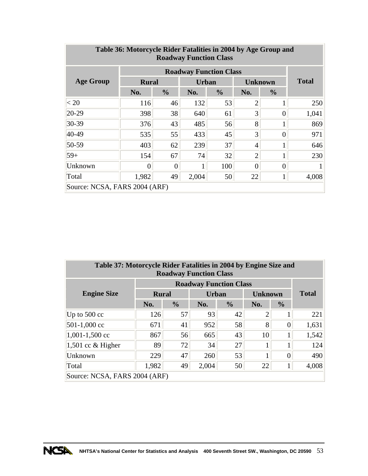| Table 36: Motorcycle Rider Fatalities in 2004 by Age Group and<br><b>Roadway Function Class</b> |       |                              |       |               |                |                |       |  |  |  |  |  |
|-------------------------------------------------------------------------------------------------|-------|------------------------------|-------|---------------|----------------|----------------|-------|--|--|--|--|--|
| <b>Roadway Function Class</b>                                                                   |       |                              |       |               |                |                |       |  |  |  |  |  |
| <b>Age Group</b>                                                                                |       | <b>Rural</b><br><b>Urban</b> |       |               |                | <b>Unknown</b> |       |  |  |  |  |  |
|                                                                                                 | No.   | $\frac{0}{0}$                | No.   | $\frac{0}{0}$ | No.            | $\frac{6}{10}$ |       |  |  |  |  |  |
| < 20                                                                                            | 116   | 46                           | 132   | 53            | $\overline{2}$ |                | 250   |  |  |  |  |  |
| $20 - 29$                                                                                       | 398   | 38                           | 640   | 61            | $\overline{3}$ | 0              | 1,041 |  |  |  |  |  |
| $30 - 39$                                                                                       | 376   | 43                           | 485   | 56            | 8              |                | 869   |  |  |  |  |  |
| 40-49                                                                                           | 535   | 55                           | 433   | 45            | $\overline{3}$ | 0              | 971   |  |  |  |  |  |
| 50-59                                                                                           | 403   | 62                           | 239   | 37            | $\overline{4}$ |                | 646   |  |  |  |  |  |
| $59+$                                                                                           | 154   | 67                           | 74    | 32            | $\overline{2}$ |                | 230   |  |  |  |  |  |
| Unknown                                                                                         | 0     | $\boldsymbol{0}$             |       | 100           | 0              |                |       |  |  |  |  |  |
| Total                                                                                           | 1,982 | 49                           | 2,004 | 50            | 22             | 1              | 4,008 |  |  |  |  |  |
| Source: NCSA, FARS 2004 (ARF)                                                                   |       |                              |       |               |                |                |       |  |  |  |  |  |

÷

| Table 37: Motorcycle Rider Fatalities in 2004 by Engine Size and<br><b>Roadway Function Class</b> |              |               |              |               |                |               |              |  |  |  |  |  |
|---------------------------------------------------------------------------------------------------|--------------|---------------|--------------|---------------|----------------|---------------|--------------|--|--|--|--|--|
|                                                                                                   |              |               |              |               |                |               |              |  |  |  |  |  |
| <b>Engine Size</b>                                                                                | <b>Rural</b> |               | <b>Urban</b> |               | <b>Unknown</b> |               | <b>Total</b> |  |  |  |  |  |
|                                                                                                   | No.          | $\frac{6}{6}$ | No.          | $\frac{0}{0}$ | No.            | $\frac{6}{6}$ |              |  |  |  |  |  |
| Up to $500 \text{ cc}$                                                                            | 126          | 57            | 93           | 42            | $\overline{2}$ |               | 221          |  |  |  |  |  |
| 501-1,000 cc                                                                                      | 671          | 41            | 952          | 58            | 8              | 0             | 1,631        |  |  |  |  |  |
| $1,001-1,500$ cc                                                                                  | 867          | 56            | 665          | 43            | 10             |               | 1,542        |  |  |  |  |  |
| 1,501 cc $&$ Higher                                                                               | 89           | 72            | 34           | 27            | 1              |               | 124          |  |  |  |  |  |
| Unknown                                                                                           | 229          | 47            | 260          | 53            | 1<br>-1        | 0             | 490          |  |  |  |  |  |
| Total                                                                                             | 1,982        | 49            | 2,004        | 50            | 22             |               | 4,008        |  |  |  |  |  |
| Source: NCSA, FARS 2004 (ARF)                                                                     |              |               |              |               |                |               |              |  |  |  |  |  |

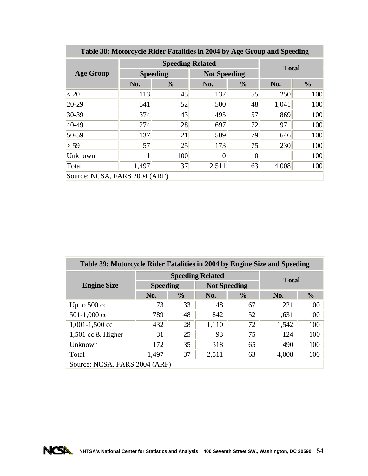| Table 38: Motorcycle Rider Fatalities in 2004 by Age Group and Speeding |     |                         |                     |               |       |               |  |  |  |  |  |  |
|-------------------------------------------------------------------------|-----|-------------------------|---------------------|---------------|-------|---------------|--|--|--|--|--|--|
|                                                                         |     | <b>Speeding Related</b> |                     | <b>Total</b>  |       |               |  |  |  |  |  |  |
| <b>Age Group</b>                                                        |     | <b>Speeding</b>         | <b>Not Speeding</b> |               |       |               |  |  |  |  |  |  |
|                                                                         | No. | $\frac{6}{9}$           | No.                 | $\frac{0}{0}$ | No.   | $\frac{6}{6}$ |  |  |  |  |  |  |
| < 20                                                                    | 113 | 45                      | 137                 | 55            | 250   | 100           |  |  |  |  |  |  |
| $20-29$                                                                 | 541 | 52                      | 500                 | 48            | 1,041 | 100           |  |  |  |  |  |  |
| $30 - 39$                                                               | 374 | 43                      | 495                 | 57            | 869   | 100           |  |  |  |  |  |  |
| $40-49$                                                                 | 274 | 28                      | 697                 | 72            | 971   | 100           |  |  |  |  |  |  |
| $50 - 59$                                                               | 137 | 21                      | 509                 | 79            | 646   | 100           |  |  |  |  |  |  |
| > 59                                                                    | 57  | 25                      | 173                 | 75            | 230   | 100           |  |  |  |  |  |  |
| Unknown                                                                 |     | 100                     | 0                   | 0             |       | 100           |  |  |  |  |  |  |
| 37<br>1,497<br>2,511<br>63<br>4,008<br>100<br>Total                     |     |                         |                     |               |       |               |  |  |  |  |  |  |
| Source: NCSA, FARS 2004 (ARF)                                           |     |                         |                     |               |       |               |  |  |  |  |  |  |

| Table 39: Motorcycle Rider Fatalities in 2004 by Engine Size and Speeding |                 |                         |                     |               |              |               |  |  |  |  |  |
|---------------------------------------------------------------------------|-----------------|-------------------------|---------------------|---------------|--------------|---------------|--|--|--|--|--|
|                                                                           |                 | <b>Speeding Related</b> |                     |               |              |               |  |  |  |  |  |
| <b>Engine Size</b>                                                        | <b>Speeding</b> |                         | <b>Not Speeding</b> |               | <b>Total</b> |               |  |  |  |  |  |
|                                                                           | No.             | $\frac{6}{9}$           | No.                 | $\frac{0}{0}$ | No.          | $\frac{0}{0}$ |  |  |  |  |  |
| Up to $500 \text{ cc}$                                                    | 73              | 33                      | 148                 | 67            | 221          | 100           |  |  |  |  |  |
| 501-1,000 cc                                                              | 789             | 48                      | 842                 | 52            | 1,631        | 100           |  |  |  |  |  |
| $1,001-1,500$ cc                                                          | 432             | 28                      | 1,110               | 72            | 1,542        | 100           |  |  |  |  |  |
| 1,501 cc $&$ Higher                                                       | 31              | 25                      | 93                  | 75            | 124          | 100           |  |  |  |  |  |
| Unknown                                                                   | 172             | 35                      | 318                 | 65            | 490          | 100           |  |  |  |  |  |
| Total                                                                     | 1,497           | 37                      | 2,511               | 63            | 4,008        | 100           |  |  |  |  |  |
| Source: NCSA, FARS 2004 (ARF)                                             |                 |                         |                     |               |              |               |  |  |  |  |  |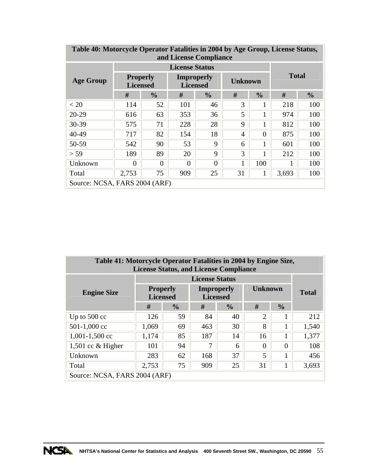| Table 40: Motorcycle Operator Fatalities in 2004 by Age Group, License Status,<br>and License Compliance |                                    |               |                                      |          |                |          |               |     |  |  |  |  |
|----------------------------------------------------------------------------------------------------------|------------------------------------|---------------|--------------------------------------|----------|----------------|----------|---------------|-----|--|--|--|--|
|                                                                                                          |                                    |               | <b>License Status</b>                |          |                |          |               |     |  |  |  |  |
| <b>Age Group</b>                                                                                         | <b>Properly</b><br><b>Licensed</b> |               | <b>Improperly</b><br><b>Licensed</b> |          | <b>Unknown</b> |          | <b>Total</b>  |     |  |  |  |  |
|                                                                                                          | #                                  | $\frac{0}{0}$ | #                                    | #        | $\frac{0}{0}$  | #        | $\frac{0}{0}$ |     |  |  |  |  |
| < 20                                                                                                     | 114                                | 52            | 101                                  | 46       | 3              | -1       | 218           | 100 |  |  |  |  |
| $20 - 29$                                                                                                | 616                                | 63            | 353                                  | 36       | 5              |          | 974           | 100 |  |  |  |  |
| $30 - 39$                                                                                                | 575                                | 71            | 228                                  | 28       | 9              |          | 812           | 100 |  |  |  |  |
| 40-49                                                                                                    | 717                                | 82            | 154                                  | 18       | $\overline{4}$ | $\Omega$ | 875           | 100 |  |  |  |  |
| 50-59                                                                                                    | 542                                | 90            | 53                                   | 9        | 6              | 1        | 601           | 100 |  |  |  |  |
| > 59                                                                                                     | 189                                | 89            | 20                                   | 9        | 3              |          | 212           | 100 |  |  |  |  |
| Unknown                                                                                                  | 0                                  | 0             | 0                                    | $\Omega$ |                | 100      |               | 100 |  |  |  |  |
| Total                                                                                                    | 2,753                              | 75            | 909                                  | 25       | 31             |          | 3,693         | 100 |  |  |  |  |
| Source: NCSA, FARS 2004 (ARF)                                                                            |                                    |               |                                      |          |                |          |               |     |  |  |  |  |

| Table 41: Motorcycle Operator Fatalities in 2004 by Engine Size,<br><b>License Status, and License Compliance</b> |                                    |               |                                      |               |                |               |       |  |  |  |  |
|-------------------------------------------------------------------------------------------------------------------|------------------------------------|---------------|--------------------------------------|---------------|----------------|---------------|-------|--|--|--|--|
|                                                                                                                   |                                    |               |                                      |               |                |               |       |  |  |  |  |
| <b>Engine Size</b>                                                                                                | <b>Properly</b><br><b>Licensed</b> |               | <b>Improperly</b><br><b>Licensed</b> |               | <b>Unknown</b> | <b>Total</b>  |       |  |  |  |  |
|                                                                                                                   | #                                  | $\frac{0}{0}$ | #                                    | $\frac{0}{0}$ | #              | $\frac{0}{0}$ |       |  |  |  |  |
| Up to $500 \text{ cc}$                                                                                            | 126                                | 59            | 84                                   | 40            | $\overline{2}$ |               | 212   |  |  |  |  |
| 501-1,000 cc                                                                                                      | 1,069                              | 69            | 463                                  | 30            | 8              | 1             | 1,540 |  |  |  |  |
| $1,001-1,500$ cc                                                                                                  | 1,174                              | 85            | 187                                  | 14            | 16             |               | 1,377 |  |  |  |  |
| 1,501 cc $&$ Higher                                                                                               | 101                                | 94            | 7                                    | 6             | 0              | $\theta$      | 108   |  |  |  |  |
| Unknown                                                                                                           | 283                                | 62            | 168                                  | 37            | 5              | 1             | 456   |  |  |  |  |
| Total                                                                                                             | 2,753                              | 75            | 909                                  | 25            | 31             | 1             | 3,693 |  |  |  |  |
| Source: NCSA, FARS 2004 (ARF)                                                                                     |                                    |               |                                      |               |                |               |       |  |  |  |  |

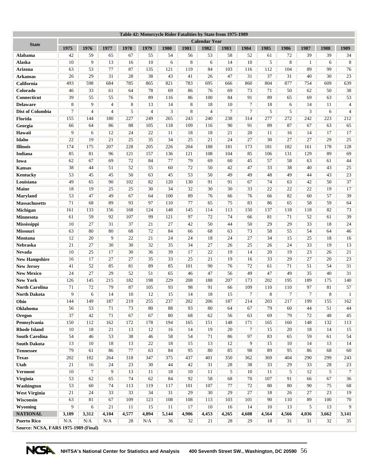|                                             |          |                |                |          |                |          |          | Table 42: Motorcycle Rider Fatalities by State from 1975-1989 |          |          |          |          |                |          |                |
|---------------------------------------------|----------|----------------|----------------|----------|----------------|----------|----------|---------------------------------------------------------------|----------|----------|----------|----------|----------------|----------|----------------|
| <b>State</b>                                |          |                |                |          |                |          |          | <b>Calendar Year</b>                                          |          |          |          |          |                |          |                |
|                                             | 1975     | 1976           | 1977           | 1978     | 1979           | 1980     | 1981     | 1982                                                          | 1983     | 1984     | 1985     | 1986     | 1987           | 1988     | 1989           |
| Alabama<br>Alaska                           | 42<br>10 | 59<br>9        | 65<br>13       | 67<br>16 | 55<br>10       | 54<br>6  | 56<br>8  | 53<br>6                                                       | 58<br>14 | 52<br>10 | 61<br>5  | 72<br>8  | 39             | 39<br>6  | 34<br>8        |
| Arizona                                     | 63       | 53             | 77             | 87       | 135            | 121      | 119      | 84                                                            | 103      | 116      | 112      | 104      | 1<br>89        | 99       | 76             |
| <b>Arkansas</b>                             | 26       | 29             | 31             | 28       | 38             | 43       | 41       | 26                                                            | 47       | 31       | 37       | 31       | 40             | 30       | 23             |
| California                                  | 493      | 598            | 684            | 785      | 865            | 821      | 783      | 695                                                           | 666      | 860      | 804      | 877      | 754            | 609      | 639            |
| Colorado                                    | 46       | 33             | 61             | 64       | 78             | 69       | 86       | 76                                                            | 69       | 73       | 71       | 50       | 62             | 50       | 38             |
| Connecticut                                 | 39       | 55             | 55             | 76       | 89             | 116      | 86       | 100                                                           | 84       | 91       | 89       | 65       | 69             | 63       | 53             |
| <b>Delaware</b>                             | 8        | 9              | $\overline{4}$ | 8        | 13             | 14       | 8        | 18                                                            | 10       | 7        | 18       | 6        | 14             | 11       | $\overline{4}$ |
| <b>Dist of Columbia</b>                     | $\tau$   | $\overline{4}$ | $\overline{4}$ | 5        | $\overline{4}$ | 3        | 8        | $\overline{4}$                                                | 7        | 7        | 5        | 5        | 3              | 6        | $\overline{4}$ |
| <b>Florida</b>                              | 155      | 144            | 180            | 227      | 249            | 265      | 243      | 240                                                           | 238      | 314      | 277      | 272      | 242            | 223      | 212            |
| Georgia                                     | 66       | 64             | 86             | 88       | 105            | 118      | 109      | 116                                                           | 90       | 91       | 89       | 87       | 67             | 63       | 65             |
| Hawaii                                      | 9        | 6              | 12             | 24       | 22             | 11       | 18       | 18                                                            | 21       | 20       | 11       | 16       | 14             | 17       | 17             |
| Idaho                                       | 22       | 19             | 21             | 25       | 35             | 34       | 25       | 21                                                            | 24       | 27       | 30       | 27       | 27             | 29       | 25             |
| <b>Illinois</b>                             | 174      | 175            | 207            | 228      | 205            | 226      | 204      | 188                                                           | 181      | 173      | 181      | 182      | 161            | 178      | 128            |
| Indiana                                     | 85       | 81             | 96             | 121      | 157            | 136      | 121      | 108                                                           | 104      | 85       | 106      | 131      | 129            | 89       | 69             |
| Iowa                                        | 62       | 67             | 69             | 72       | 84             | 77       | 79       | 69                                                            | 60       | 45       | 57       | 58       | 63             | 61       | 44             |
| <b>Kansas</b>                               | 38       | 44             | 51             | 52       | 55             | 60       | 72       | 50                                                            | 42       | 47       | 33       | 38       | 40             | 43       | 25             |
| Kentucky                                    | 53       | 45             | 45             | 50       | 63             | 45       | 53       | 50                                                            | 49       | 49       | 48       | 49       | 44             | 43       | 23             |
| Louisiana                                   | 49       | 65             | 90             | 102      | 82             | 120      | 130      | 91                                                            | 91       | 67       | 74       | 63       | 42             | 50       | 37             |
| <b>Maine</b>                                | 18       | 19             | 25             | 25       | 30             | 34       | 32       | 30                                                            | 30       | 33       | 22       | 22       | 22             | 19       | 17             |
| <b>Maryland</b>                             | 53       | 47             | 49             | 67       | 64             | 100      | 89       | 76                                                            | 66       | 76       | 66       | 82       | 60             | 57       | 39             |
| <b>Massachusetts</b>                        | 71       | 68             | 89             | 93       | 97             | 110      | 77       | 65                                                            | 75       | 83       | 86       | 65       | 58             | 59       | 64             |
| Michigan                                    | 161      | 133            | 156            | 168      | 124            | 148      | 145      | 114                                                           | 113      | 150      | 137      | 118      | 118            | 82       | 73             |
| <b>Minnesota</b>                            | 61       | 59             | 92             | 107      | 99             | 121      | 97       | 72                                                            | 74       | 66       | 81       | 71       | 52             | 61       | 39             |
| Mississippi                                 | 10       | 27             | 31             | 37       | 21             | 27       | 42       | 50                                                            | 44       | 50       | 29       | 29       | 33             | 18       | 24             |
| Missouri                                    | 63       | 80             | 80             | 68       | 72             | 84       | 66       | 68                                                            | 63       | 73       | 58       | 55       | 54             | 64       | 46             |
| Montana                                     | 12       | 20             | 9              | 22       | 21             | 24       | 24       | 18                                                            | 24       | 27       | 34       | 15       | 25             | 18       | 16             |
| Nebraska                                    | 21       | 27             | 30             | 30       | 32             | 35       | 34       | 27                                                            | 26       | 25       | 26       | 24       | 33             | 19       | 13             |
| <b>Nevada</b>                               | 10       | 25             | 17             | 30       | 36             | 39       | 17       | 22                                                            | 19       | 14       | 20       | 19       | 23             | 26       | 21             |
| <b>New Hampshire</b>                        | 16       | 17             | 27             | 27       | 35             | 33       | 25       | 21                                                            | 19       | 16       | 33       | 29       | 27             | 20       | 23             |
| <b>New Jersey</b>                           | 41       | 52             | 85             | 81       | 89             | 85       | 101      | 90                                                            | 76       | 72       | 61       | 71       | 51             | 54       | 31             |
| <b>New Mexico</b>                           | 24       | 27             | 29             | 52       | 51             | 65       | 46       | 47                                                            | 56       | 49       | 47       | 49       | 35             | 40       | 31             |
| <b>New York</b>                             | 126      | 145            | 215            | 182      | 198            | 229      | 208      | 188                                                           | 207      | 173      | 202      | 195      | 189            | 175      | 140            |
| <b>North Carolina</b>                       | 71       | 72             | 79             | 87       | 105            | 93       | 98       | 91                                                            | 66       | 109      | 110      | 110      | 97             | 81       | 57             |
| <b>North Dakota</b>                         | 9        | 6              | 14             | 10       | 12             | 15       | 14       | 18                                                            | 15       | 7        | 8        | $\tau$   | $\overline{7}$ | 8        | 1              |
| Ohio                                        | 144      | 149            | 187            | 219      | 255            | 237      | 202      | 206                                                           | 187      | 214      | 203      | 217      | 199            | 155      | 162            |
| Oklahoma<br>Oregon                          | 56<br>37 | 53<br>42       | 71<br>$71\,$   | 73<br>67 | 80<br>67       | 88<br>80 | 93<br>68 | 80<br>62                                                      | 64<br>56 | 67<br>63 | 79<br>69 | 60<br>79 | 44<br>72       | 51<br>48 | 44<br>45       |
| Pennsylvania                                | 150      | 112            | 162            | 172      | 178            | 194      | 165      | 151                                                           | 148      | 171      | 165      | 160      | 148            | 132      | 113            |
| <b>Rhode Island</b>                         | 10       | 18             | 21             | 13       | 12             | 16       | 14       | 19                                                            | 20       | 7        | 15       | 20       | 18             | 14       | 15             |
| <b>South Carolina</b>                       | 54       | 46             | 53             | 38       | 46             | 58       | 54       | 71                                                            | 86       | 97       | 83       | 65       | 59             | 61       | 54             |
| <b>South Dakota</b>                         | 13       | 10             | 18             | 13       | 22             | 18       | 15       | 13                                                            | 12       | 9        | 15       | 10       | 14             | 13       | 14             |
| <b>Tennessee</b>                            | 79       | 61             | 86             | 77       | 63             | 84       | 95       | 80                                                            | 85       | 98       | 89       | 95       | 86             | 68       | 60             |
| <b>Texas</b>                                | 202      | 182            | 264            | 318      | 347            | 375      | 437      | 401                                                           | 350      | 362      | 369      | 404      | 290            | 299      | 243            |
| Utah                                        | 21       | 16             | 24             | 23       | 30             | 44       | 42       | 31                                                            | 28       | 38       | 33       | 29       | 33             | 28       | 23             |
| <b>Vermont</b>                              | 10       | $\tau$         | 9              | 13       | 11             | 18       | 10       | 11                                                            | 5        | 10       | 11       | 5        | 12             | 5        | $\tau$         |
| <b>Virginia</b>                             | 53       | 62             | 65             | 74       | 62             | 84       | 92       | 58                                                            | 68       | 70       | 107      | 91       | 66             | 67       | 36             |
| Washington                                  | 53       | 60             | 74             | 113      | 119            | 117      | 101      | 107                                                           | 77       | 72       | 80       | 80       | 90             | 75       | 68             |
| <b>West Virginia</b>                        | 21       | 24             | 33             | 33       | 34             | 31       | 29       | 30                                                            | 29       | 27       | 18       | 26       | 27             | 23       | 19             |
| Wisconsin                                   | 63       | 81             | 67             | 109      | 123            | 108      | 108      | 113                                                           | 103      | 101      | 90       | 110      | 89             | 100      | 70             |
| Wyoming                                     | 9        | 6              | 21             | 11       | 15             | 11       | 17       | 10                                                            | 16       | 14       | 10       | 13       | 5              | 13       | 9              |
| <b>NATIONAL</b>                             | 3,189    | 3,312          | 4,104          | 4,577    | 4,894          | 5,144    | 4,906    | 4,453                                                         | 4,265    | 4,608    | 4,564    | 4,566    | 4,036          | 3,662    | 3,141          |
| <b>Puerto Rico</b>                          | N/A      | N/A            | N/A            | 28       | N/A            | 36       | 32       | 21                                                            | 28       | 29       | 18       | 31       | 31             | 32       | 35             |
| <b>Source: NCSA, FARS 1975-1989 (Final)</b> |          |                |                |          |                |          |          |                                                               |          |          |          |          |                |          |                |

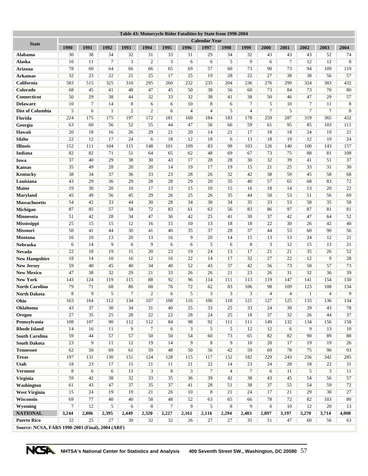| Table 43: Motorcycle Rider Fatalities by State from 1990-2004 |          |          |         |          |                      |                |                |                      |                      |         |                |                      |          |                |          |
|---------------------------------------------------------------|----------|----------|---------|----------|----------------------|----------------|----------------|----------------------|----------------------|---------|----------------|----------------------|----------|----------------|----------|
| <b>State</b>                                                  |          |          |         |          |                      |                |                | <b>Calendar Year</b> |                      |         |                |                      |          |                |          |
|                                                               | 1990     | 1991     | 1992    | 1993     | 1994                 | 1995           | 1996           | 1997                 | 1998                 | 1999    | 2000           | 2001                 | 2002     | 2003           | 2004     |
| Alabama<br>Alaska                                             | 30<br>10 | 38<br>11 | 34<br>7 | 32<br>3  | 31<br>$\overline{c}$ | 33<br>3        | 31<br>6        | 29<br>6              | 34<br>5              | 32<br>9 | 43<br>6        | 43<br>$\overline{7}$ | 43<br>12 | 52<br>12       | 74<br>8  |
| <b>Arizona</b>                                                | 78       | 60       | 64      | 66       | 66                   | 65             | 69             | 57                   | 60                   | 73      | 90             | 73                   | 94       | 109            | 119      |
| <b>Arkansas</b>                                               | 32       | 23       | 22      | 21       | 25                   | 17             | 25             | 19                   | 28                   | 22      | 27             | 38                   | 38       | 56             | 57       |
| California                                                    | 583      | 515      | 325     | 310      | 295                  | 260            | 232            | 235                  | 204                  | 236     | 276            | 299                  | 324      | 383            | 432      |
| Colorado                                                      | 68       | 45       | 41      | 48       | 47                   | 45             | 50             | 38                   | 56                   | 60      | 73             | 84                   | 73       | 70             | 80       |
| Connecticut                                                   | 50       | 29       | 38      | 44       | 32                   | 33             | 32             | 38                   | 41                   | 38      | 50             | 46                   | 47       | 29             | 57       |
| <b>Delaware</b>                                               | 10       | $\tau$   | 14      | 8        | 6                    | 6              | 10             | 8                    | 6                    | 7       | 5              | 10                   | 7        | 11             | 8        |
| <b>Dist of Columbia</b>                                       | 5        | 6        | 1       | 2        | $\mathfrak{2}$       | 6              | $\overline{4}$ | $\overline{4}$       | 5                    | 4       | $\overline{7}$ | 5                    | 7        | $\overline{7}$ | 8        |
| Florida                                                       | 224      | 175      | 175     | 197      | 172                  | 181            | 160            | 184                  | 183                  | 178     | 259            | 287                  | 319      | 365            | 432      |
| Georgia                                                       | 63       | 60       | 56      | 52       | 55                   | 44             | 47             | 56                   | 66                   | 59      | 61             | 95                   | 85       | 103            | 111      |
| Hawaii                                                        | 20       | 18       | 16      | 26       | 29                   | 21             | 20             | 14                   | 21                   | 17      | 18             | 18                   | 24       | 19             | 21       |
| Idaho                                                         | 22       | 12       | 17      | 24       | 6                    | 18             | 12             | 18                   | 6                    | 13      | 18             | 19                   | 12       | 19             | 24       |
| <b>Illinois</b>                                               | 152      | 111      | 104     | 115      | 148                  | 101            | 109            | 83                   | 99                   | 103     | 126            | 140                  | 100      | 143            | 157      |
| <b>Indiana</b>                                                | 82       | 82       | 71      | 51       | 64                   | 65             | 62             | 48                   | 69                   | 67      | 73             | 75                   | 88       | 81             | 108      |
| Iowa                                                          | 37       | 40       | 29      | 38       | 30                   | 43             | 17             | 28                   | 28                   | 30      | 32             | 39                   | 41       | 51             | 37       |
| <b>Kansas</b>                                                 | 35       | 49       | 28      | 20       | 20                   | 14             | 19             | 17                   | 19                   | 15      | 21             | 25                   | 33       | 31             | 30       |
| Kentucky                                                      | 38       | 34       | 37      | 36       | 33                   | 23             | 28             | 26                   | 32                   | 42      | 38             | 59                   | 45       | 58             | 68       |
| Louisiana                                                     | 43       | 29       | 36      | 29       | 28                   | 28             | 29             | 20                   | 35                   | 40      | 57             | 65                   | 68       | 83             | 72       |
| <b>Maine</b>                                                  | 19       | 30       | 20      | 10       | 17                   | 13             | 15             | 10                   | 15                   | 16      | 18             | 14                   | 13       | 20             | 22       |
| <b>Maryland</b>                                               | 45       | 49       | 56      | 45       | 29                   | 26             | 25             | 26                   | 35                   | 44      | 50             | 53                   | 51       | 56             | 69       |
| <b>Massachusetts</b>                                          | 54       | 42       | 33      | 44       | 30                   | 28             | 34             | 30                   | 34                   | 35      | 33             | 53                   | 58       | 35             | 58       |
| Michigan                                                      | 87       | 85       | 57      | 58       | 72                   | 83             | 61             | 63                   | 56                   | 83      | 86             | 97                   | 87       | 81             | 81       |
| <b>Minnesota</b>                                              | 51       | 42       | 28      | 34       | 47                   | 36             | 42             | 25                   | 41                   | 30      | 37             | 42                   | 47       | 64             | 52       |
| Mississippi                                                   | 25       | 15       | 15      | 12       | 16                   | 15             | 10             | 13                   | 18                   | 18      | 22             | 30                   | 26       | 42             | 40       |
| Missouri                                                      | 50       | 41       | 44      | 30       | 41                   | 40             | 35             | 37                   | 28                   | 37      | 44             | 53                   | 60       | 90             | 56       |
| Montana                                                       | 16       | 10       | 13      | 20       | 13                   | 16             | 9              | 20                   | 14                   | 15      | 13             | 13                   | 24       | 12             | 21       |
| Nebraska                                                      | 6        | 14       | 9       | 6        | 9                    | 6              | 6              | 5                    | 6                    | 8       | 3              | 12                   | 15       | 13             | 21       |
| <b>Nevada</b>                                                 | 22       | 18       | 19      | 15       | 20                   | 23             | 19             | 24                   | 13                   | 17      | 21             | 21                   | 35       | 26             | 52       |
| <b>New Hampshire</b>                                          | 18       | 14       | 10      | 16       | 12                   | 16             | 22             | 14                   | 17                   | 32      | 27             | 22                   | 12       | 9              | 28       |
| <b>New Jersey</b>                                             | 59       | 40       | 45      | 40       | 34                   | 40             | 52             | 43                   | 37                   | 42      | 56             | 73                   | 50       | 57             | 73       |
| <b>New Mexico</b>                                             | 47       | 38       | 32      | 29       | 21                   | 33             | 26             | 26                   | 21                   | 23      | 26             | 31                   | 32       | 36             | 39       |
| <b>New York</b>                                               | 143      | 124      | 119     | 115      | 88                   | 92             | 96             | 114                  | 111                  | 113     | 119            | 147                  | 141      | 154            | 150      |
| <b>North Carolina</b>                                         | 79       | 71       | 68      | 86       | 68                   | 76             | 72             | 62                   | 83                   | 106     | 98             | 109                  | 123      | 108            | 134      |
| North Dakota                                                  | 8        | 9        | 5       | $\tau$   | $\mathfrak{2}$       | 6              | 5              | 3                    | 3                    | 3       | $\overline{4}$ | $\overline{4}$       | 1        | $\overline{4}$ | 9        |
| Ohio                                                          | 163      | 164      | 112     | 134      | 107                  | 108            | 116            | 106                  | 118                  | 121     | 127            | 125                  | 133      | 136            | 134      |
| Oklahoma                                                      | 43       | 37       | 30      | 34       | 31                   | 40             | 25             | 33                   | 25                   | 33      | 24             | 39                   | 39       | 43             | 78       |
| Oregon                                                        | 27       | 35       | $25\,$  | 28       | 22                   | 22             | 28             | 24                   | 25                   | 18      | 37             | 32                   | 26       | 44             | 37       |
| Pennsylvania                                                  | 108      | 107      | 90      | 112      | 112                  | 84             | 98             | 92                   | 111                  | 111     | 149            | 132                  | 134      | 156            | 158      |
| <b>Rhode Island</b>                                           | 14       | 16       | 11      | 9        | $\tau$               | 6              | 3              | 5                    | 5                    | 12      | 12             | 6                    | 9        | 13             | 10       |
| <b>South Carolina</b>                                         | 59       | 44       | 57      | 57       | 50                   | 50             | 54             | 60                   | 73                   | 65      | 82             | 82                   | 90       | 89             | 88       |
| <b>South Dakota</b>                                           | 23       | 9        | 11      | 12       | 19                   | 14             | 9              | 8                    | 9                    | 10      | 20             | 17                   | 19       | 19             | 26       |
| <b>Tennessee</b>                                              | 62       | 50       | 69      | 61       | 59                   | 48             | 50             | 56                   | 42                   | 59      | 69             | 78                   | 75       | 90             | 93       |
| <b>Texas</b>                                                  | 197      | 131      | 130     | 151      | 124                  | 128            | 115            | 117                  | 152                  | 182     | 229            | 243                  | 256      | 342            | 285      |
| Utah                                                          | 18       | 23       | 17      | 15       | 21                   | 11             | 21<br>3        | 22                   | 14                   | 23      | 24             | 28                   | 18       | 22             | 31       |
| <b>Vermont</b><br>Virginia                                    | 8<br>59  | 6<br>42  | 6<br>38 | 13<br>32 | 3<br>33              | 8<br>35        | 36             | 7<br>39              | $\overline{4}$<br>42 | 7<br>38 | 6<br>43        | 11<br>45             | 5<br>54  | 3              | 11<br>57 |
| Washington                                                    |          | 43       | 47      | 37       | 35                   | 37             | 41             | 28                   | 51                   | 38      | 37             | 55                   | 54       | 56<br>59       | 72       |
| <b>West Virginia</b>                                          | 61<br>15 | 24       | 19      | 19       | 21                   | 26             | 10             | 8                    | 21                   | 24      | 17             | 21                   | 29       | 30             | 27       |
| Wisconsin                                                     | 69       | 77       | 40      | 40       | 58                   | $48\,$         | 52             | 63                   | 65                   | 66      | 78             | 72                   | 82       | 103            | 80       |
| Wyoming                                                       | $\tau$   | 12       | 5       | 6        | 8                    | $\overline{7}$ | 9              | 5                    | 8                    | 9       | 6              | 10                   | 12       | 20             | 13       |
| <b>NATIONAL</b>                                               | 3,244    | 2,806    | 2,395   | 2,449    | 2,320                | 2,227          | 2,161          | 2,116                | 2,294                | 2,483   | 2,897          | 3,197                | 3,270    | 3,714          | 4,008    |
| <b>Puerto Rico</b>                                            | 32       | 25       | 27      | 30       | 32                   | 32             | 26             | 27                   | 27                   | 35      | 51             | 47                   | 60       | 56             | 63       |
| Source: NCSA, FARS 1990-2003 (Final), 2004 (ARF)              |          |          |         |          |                      |                |                |                      |                      |         |                |                      |          |                |          |

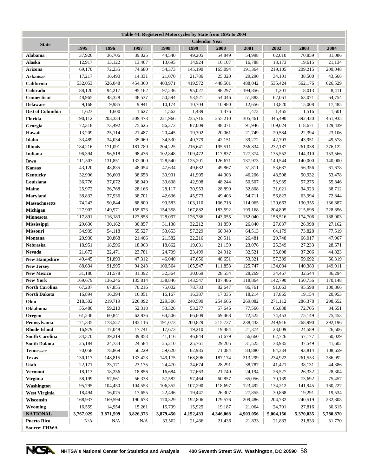|                       |                      | Table 44: Registered Motorcycles by State from 1995 to 2004 |           |           |           |           |           |           |           |           |  |  |
|-----------------------|----------------------|-------------------------------------------------------------|-----------|-----------|-----------|-----------|-----------|-----------|-----------|-----------|--|--|
| <b>State</b>          | <b>Calendar Year</b> |                                                             |           |           |           |           |           |           |           |           |  |  |
|                       | 1995                 | 1996                                                        | 1997      | 1998      | 1999      | 2000      | 2001      | 2002      | 2003      | 2004      |  |  |
| <b>Alabama</b>        | 37,926               | 36,706                                                      | 39,025    | 44,540    | 49,205    | 54,849    | 54,998    | 62,010    | 70,859    | 81,086    |  |  |
| Alaska                | 12,917               | 13,122                                                      | 13,467    | 13,695    | 14,924    | 16,107    | 16,788    | 18,173    | 19,615    | 21,134    |  |  |
| Arizona               | 69,170               | 72,235                                                      | 74,680    | 54,373    | 145,190   | 165,094   | 191,364   | 219,105   | 209,215   | 209,048   |  |  |
| <b>Arkansas</b>       | 17,217               | 16,490                                                      | 14,331    | 21,070    | 21,786    | 25,020    | 29,290    | 34,101    | 38,500    | 43,668    |  |  |
| California            | 532,053              | 526,048                                                     | 454,360   | 403,971   | 419,572   | 448,501   | 488,042   | 535,424   | 562,176   | 626,529   |  |  |
| Colorado              | 88,120               | 94,217                                                      | 95,162    | 97,236    | 95,027    | 98,297    | 194,856   | 1,201     | 8,013     | 8,411     |  |  |
| Connecticut           | 48,965               | 48,328                                                      | 48,537    | 50,594    | 53,521    | 54,046    | 51,883    | 62,061    | 63,071    | 64,754    |  |  |
| <b>Delaware</b>       | 9,168                | 9,985                                                       | 9,941     | 10,174    | 10,704    | 10,980    | 12,656    | 13,820    | 15,008    | 17,485    |  |  |
| Dist of Columbia      | 1,623                | 1,600                                                       | 1,627     | 1,562     | 1,489     | 1,476     | 1,472     | 1,465     | 1,516     | 1,601     |  |  |
| Florida               | 190,112              | 203,334                                                     | 209,473   | 221,966   | 235,716   | 255,210   | 305,461   | 345,490   | 392,420   | 461,935   |  |  |
| Georgia               | 72,318               | 73,492                                                      | 75,625    | 86,273    | 87,009    | 88,071    | 91,946    | 109,024   | 118,671   | 129,439   |  |  |
| Hawaii                | 13,209               | 25,114                                                      | 21,487    | 20,445    | 19,302    | 20,061    | 21,749    | 20,584    | 22,394    | 23,106    |  |  |
| Idaho                 | 33,489               | 34,034                                                      | 35,069    | 34,530    | 40,779    | 42,151    | 39,272    | 42,703    | 43,951    | 49,578    |  |  |
| <b>Illinois</b>       | 184,216              | 171,091                                                     | 181,789   | 204,225   | 216,641   | 195,511   | 256,834   | 232,187   | 261,038   | 276,122   |  |  |
| Indiana               | 96,394               | 96,518                                                      | 98,476    | 102,848   | 109,472   | 117,837   | 127,374   | 135,552   | 144,310   | 153,566   |  |  |
| Iowa                  | 111,503              | 131,851                                                     | 132,000   | 128,540   | 125,201   | 126,671   | 137,973   | 140,544   | 140,000   | 140,000   |  |  |
| <b>Kansas</b>         | 43,120               | 48,835                                                      | 48,054    | 47,634    | 49,682    | 49,867    | 51,811    | 53,687    | 56,356    | 61,678    |  |  |
| Kentucky              | 32,996               | 36,603                                                      | 38,658    | 39,901    | 41,905    | 44,003    | 46,206    | 48,508    | 50,932    | 53,478    |  |  |
| Louisiana             | 36,776               | 37,072                                                      | 38,049    | 39,638    | 42,908    | 48,244    | 50,507    | 53,935    | 57,275    | 55,846    |  |  |
| Maine                 | 25,972               | 26,768                                                      | 28,166    | 28,117    | 30,953    | 28,899    | 32,808    | 31,021    | 34,923    | 38,712    |  |  |
| <b>Maryland</b>       | 38,833               | 37,936                                                      | 38,701    | 42,636    | 45,973    | 49,403    | 54,711    | 56,823    | 63,994    | 72,844    |  |  |
| <b>Massachusetts</b>  | 74,243               | 90,844                                                      | 88,800    | 99,583    | 103,110   | 106,718   | 114,965   | 129,663   | 130,355   | 136,887   |  |  |
| Michigan              | 127,902              | 149,971                                                     | 155,673   | 154,358   | 167,882   | 183,592   | 199,168   | 204,805   | 215,698   | 228,856   |  |  |
| <b>Minnesota</b>      | 117,891              | 116,189                                                     | 123,858   | 128,097   | 126,786   | 143,055   | 152,040   | 158,516   | 174,706   | 188,903   |  |  |
| <b>Mississippi</b>    | 29,636               | 30,162                                                      | 30,857    | 31,138    | 32,212    | 31,859    | 26,840    | 27,037    | 26,998    | 27,162    |  |  |
| <b>Missouri</b>       | 54,939               | 54,118                                                      | 55,527    | 53,653    | 57,329    | 60,940    | 64,513    | 64,179    | 73,828    | 77,519    |  |  |
| Montana               | 20,930               | 20,868                                                      | 21,406    | 21,582    | 22,216    | 26,511    | 26,481    | 29,748    | 66,017    | 47,967    |  |  |
| Nebraska              | 18,951               | 18,596                                                      | 18,063    | 18,662    | 19,631    | 21,159    | 23,076    | 25,349    | 27,233    | 28,671    |  |  |
| <b>Nevada</b>         | 21,672               | 22,471                                                      | 23,781    | 24,709    | 23,499    | 24,912    | 32,521    | 35,898    | 37,206    | 44,823    |  |  |
| <b>New Hampshire</b>  | 49,445               | 51,890                                                      | 47,312    | 46,040    | 47,656    | 48,651    | 53,321    | 57,389    | 59,692    | 66,319    |  |  |
| <b>New Jersey</b>     | 88,634               | 91,995                                                      | 94,243    | 100,564   | 105,547   | 111,853   | 125,747   | 134,034   | 140,383   | 149,911   |  |  |
| <b>New Mexico</b>     | 31,180               | 31,578                                                      | 31,392    | 32,364    | 30,669    | 28,554    | 28,269    | 34,467    | 32,544    | 36,294    |  |  |
| <b>New York</b>       | 169,679              | 136,246                                                     | 135,814   | 138,846   | 143,547   | 107,486   | 118,864   | 142,790   | 150,756   | 170,148   |  |  |
| <b>North Carolina</b> | 67,207               | 67,855                                                      | 70,216    | 75,002    | 78,733    | 82,647    | 86,761    | 91,063    | 95,598    | 100,366   |  |  |
| <b>North Dakota</b>   | 16,894               | 16,394                                                      | 16,051    | 16,167    | 16,387    | 17,035    | 18,214    | 17,865    | 19,154    | 20,953    |  |  |
| Ohio                  | 218,502              | 219,719                                                     | 220,092   | 229,306   | 240,590   | 254,666   | 269,082   | 271,112   | 286,378   | 298,652   |  |  |
| <b>Oklahoma</b>       | 55,480               | 59,210                                                      | 52,318    | 53,326    | 53,277    | 57,646    | 77,566    | 66,838    | 72,705    | 84,651    |  |  |
| Oregon                | 61,236               | 60,841                                                      | 62,836    | 64,506    | 66,609    | 69,468    | 72,522    | 74,453    | 75,149    | 75,453    |  |  |
| Pennsylvania          | 171,335              | 178,527                                                     | 183,116   | 191,073   | 200,829   | 215,737   | 238,433   | 249,916   | 268,990   | 292,196   |  |  |
| <b>Rhode Island</b>   | 16,979               | 17,048                                                      | 17,741    | 17,673    | 19,210    | 19,484    | 21,374    | 23,009    | 24,589    | 26,506    |  |  |
| <b>South Carolina</b> | 34,570               | 39,219                                                      | 39,853    | 41,116    | 46,844    | 51,679    | 56,660    | 62,726    | 57,177    | 60,029    |  |  |
| <b>South Dakota</b>   | 25,184               | 24,734                                                      | 24,584    | 25,210    | 25,761    | 29,205    | 31,525    | 33,935    | 37,549    | 41,602    |  |  |
| <b>Tennessee</b>      | 70,058               | 78,869                                                      | 56,229    | 59,620    | 62,985    | 71,084    | 83,880    | 84,334    | 93,814    | 108,659   |  |  |
| <b>Texas</b>          | 130,117              | 148,815                                                     | 133,423   | 149,175   | 168,896   | 187,174   | 213,299   | 234,922   | 261,553   | 286,992   |  |  |
| Utah                  | 22,171               | 23,171                                                      | 23,175    | 24,470    | 24,674    | 28,291    | 38,787    | 41,421    | 38,131    | 44,386    |  |  |
| <b>Vermont</b>        | 18,113               | 18,256                                                      | 18,856    | 16,684    | 17,663    | 21,740    | 24,194    | 26,527    | 26,332    | 28,304    |  |  |
| Virginia              | 58,199               | 57,561                                                      | 56,338    | 57,582    | 57,464    | 60,857    | 65,056    | 70,139    | 73,692    | 75,457    |  |  |
| Washington            | 95,795               | 104,450                                                     | 104,553   | 106,352   | 107,290   | 118,697   | 123,492   | 134,212   | 141,945   | 160,227   |  |  |
| <b>West Virginia</b>  | 18,494               | 16,075                                                      | 17,655    | 22,496    | 19,447    | 26,307    | 27,855    | 30,868    | 19,291    | 19,534    |  |  |
| Wisconsin             | 168,937              | 169,594                                                     | 190,673   | 170,329   | 192,806   | 179,576   | 209,486   | 204,732   | 240,519   | 232,808   |  |  |
| Wyoming               | 16,559               | 14,954                                                      | 15,261    | 15,799    | 15,925    | 19,187    | 21,064    | 24,791    | 27,816    | 30,615    |  |  |
| <b>NATIONAL</b>       | 3,767,029            | 3,871,599                                                   | 3,826,373 | 3,879,450 | 4,152,433 | 4,346,068 | 4,903,056 | 5,004,156 | 5,370,035 | 5,780,870 |  |  |
| <b>Puerto Rico</b>    | N/A                  | N/A                                                         | N/A       | 33,502    | 21,436    | 21,436    | 21,833    | 21,833    | 21,833    | 31,770    |  |  |
| <b>Source: FHWA</b>   |                      |                                                             |           |           |           |           |           |           |           |           |  |  |

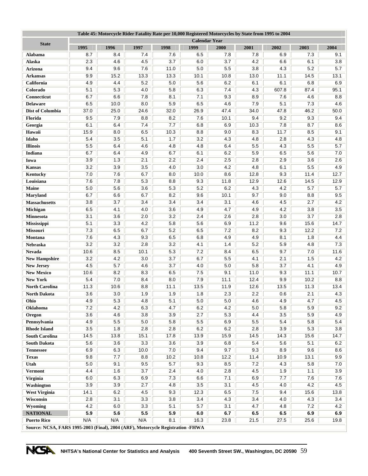| Table 45: Motorcycle Rider Fatality Rate per 10,000 Registered Motorcycles by State from 1995 to 2004 |                      |            |            |                  |            |            |            |            |             |            |
|-------------------------------------------------------------------------------------------------------|----------------------|------------|------------|------------------|------------|------------|------------|------------|-------------|------------|
| <b>State</b>                                                                                          | <b>Calendar Year</b> |            |            |                  |            |            |            |            |             |            |
|                                                                                                       | 1995                 | 1996       | 1997       | 1998             | 1999       | 2000       | 2001       | 2002       | 2003        | 2004       |
| Alabama                                                                                               | 8.7                  | 8.4        | 7.4        | 7.6              | 6.5        | 7.8        | 7.8        | 6.9        | 7.3         | 9.1        |
| Alaska                                                                                                | 2.3<br>9.4           | 4.6        | 4.5        | 3.7              | 6.0        | 3.7        | 4.2        | 6.6        | 6.1         | 3.8<br>5.7 |
| Arizona                                                                                               |                      | 9.6        | 7.6        | 11.0             | 5.0        | 5.5        | 3.8        | 4.3        | 5.2         |            |
| <b>Arkansas</b>                                                                                       | 9.9                  | 15.2       | 13.3       | 13.3             | 10.1       | 10.8       | 13.0       | 11.1       | 14.5        | 13.1       |
| California                                                                                            | 4.9                  | 4.4        | 5.2        | 5.0              | 5.6        | 6.2        | 6.1        | 6.1        | 6.8         | 6.9        |
| Colorado                                                                                              | 5.1<br>6.7           | 5.3<br>6.6 | 4.0        | 5.8<br>8.1       | 6.3<br>7.1 | 7.4        | 4.3        | 607.8      | 87.4<br>4.6 | 95.1       |
| Connecticut                                                                                           | 6.5                  | 10.0       | 7.8<br>8.0 | 5.9              | 6.5        | 9.3<br>4.6 | 8.9<br>7.9 | 7.6<br>5.1 | 7.3         | 8.8<br>4.6 |
| <b>Delaware</b><br>Dist of Columbia                                                                   | 37.0                 | 25.0       | 24.6       | 32.0             | 26.9       | 47.4       | 34.0       | 47.8       | 46.2        | 50.0       |
| Florida                                                                                               | 9.5                  | 7.9        | 8.8        | 8.2              | 7.6        | 10.1       | 9.4        | 9.2        | 9.3         | 9.4        |
| Georgia                                                                                               | 6.1                  | 6.4        | 7.4        | 7.7              | 6.8        | 6.9        | 10.3       | 7.8        | 8.7         | 8.6        |
| Hawaii                                                                                                | 15.9                 | 8.0        | 6.5        | 10.3             | 8.8        | 9.0        | 8.3        | 11.7       | 8.5         | 9.1        |
| Idaho                                                                                                 | 5.4                  | 3.5        | 5.1        | 1.7              | 3.2        | 4.3        | 4.8        | 2.8        | 4.3         | 4.8        |
| <b>Illinois</b>                                                                                       | 5.5                  | 6.4        | 4.6        | 4.8              | 4.8        | 6.4        | 5.5        | 4.3        | 5.5         | 5.7        |
| Indiana                                                                                               | 6.7                  | 6.4        | 4.9        | 6.7              | 6.1        | 6.2        | 5.9        | 6.5        | 5.6         | 7.0        |
| Iowa                                                                                                  | 3.9                  | 1.3        | 2.1        | 2.2              | 2.4        | 2.5        | 2.8        | 2.9        | 3.6         | 2.6        |
| <b>Kansas</b>                                                                                         | 3.2                  | 3.9        | 3.5        | 4.0              | 3.0        | 4.2        | 4.8        | 6.1        | 5.5         | 4.9        |
|                                                                                                       | 7.0                  | 7.6        | 6.7        | 8.0              | 10.0       | 8.6        | 12.8       | 9.3        | 11.4        | 12.7       |
| <b>Kentucky</b><br>Louisiana                                                                          | 7.6                  | 7.8        | 5.3        | 8.8              | 9.3        | 11.8       | 12.9       | 12.6       | 14.5        | 12.9       |
| Maine                                                                                                 | 5.0                  | 5.6        | 3.6        | 5.3              | 5.2        | 6.2        | 4.3        | 4.2        | 5.7         | 5.7        |
| <b>Maryland</b>                                                                                       | 6.7                  | 6.6        | 6.7        | 8.2              | 9.6        | 10.1       | 9.7        | 9.0        | 8.8         | 9.5        |
| <b>Massachusetts</b>                                                                                  | 3.8                  | 3.7        | 3.4        | $\overline{3.4}$ | 3.4        | 3.1        | 4.6        | 4.5        | 2.7         | 4.2        |
|                                                                                                       | 6.5                  | 4.1        | 4.0        | 3.6              | 4.9        | 4.7        | 4.9        | 4.2        | 3.8         | 3.5        |
| Michigan<br>Minnesota                                                                                 | 3.1                  | 3.6        | 2.0        | 3.2              | 2.4        | 2.6        | 2.8        | 3.0        | 3.7         | 2.8        |
| Mississippi                                                                                           | 5.1                  | 3.3        | 4.2        | 5.8              | 5.6        | 6.9        | 11.2       | 9.6        | 15.6        | 14.7       |
| <b>Missouri</b>                                                                                       | 7.3                  | 6.5        | 6.7        | 5.2              | 6.5        | 7.2        | 8.2        | 9.3        | 12.2        | 7.2        |
| Montana                                                                                               | 7.6                  | 4.3        | 9.3        | 6.5              | 6.8        | 4.9        | 4.9        | 8.1        | 1.8         | 4.4        |
| Nebraska                                                                                              | 3.2                  | 3.2        | 2.8        | 3.2              | 4.1        | 1.4        | 5.2        | 5.9        | 4.8         | 7.3        |
| <b>Nevada</b>                                                                                         | 10.6                 | 8.5        | 10.1       | 5.3              | 7.2        | 8.4        | 6.5        | 9.7        | 7.0         | 11.6       |
| <b>New Hampshire</b>                                                                                  | 3.2                  | 4.2        | 3.0        | 3.7              | 6.7        | 5.5        | 4.1        | 2.1        | 1.5         | 4.2        |
| <b>New Jersey</b>                                                                                     | 4.5                  | 5.7        | 4.6        | 3.7              | 4.0        | 5.0        | 5.8        | 3.7        | 4.1         | 4.9        |
| <b>New Mexico</b>                                                                                     | 10.6                 | 8.2        | 8.3        | 6.5              | 7.5        | 9.1        | 11.0       | 9.3        | 11.1        | 10.7       |
| <b>New York</b>                                                                                       | 5.4                  | $7.0$      | 8.4        | 8.0              | 7.9        | 11.1       | 12.4       | 9.9        | 10.2        | 8.8        |
| <b>North Carolina</b>                                                                                 | 11.3                 | 10.6       | 8.8        | 11.1             | 13.5       | 11.9       | 12.6       | 13.5       | 11.3        | 13.4       |
| <b>North Dakota</b>                                                                                   | 3.6                  | 3.0        | 1.9        | 1.9              | 1.8        | 2.3        | 2.2        | 0.6        | 2.1         | 4.3        |
| Ohio                                                                                                  | 4.9                  | 5.3        | 4.8        | 5.1              | 5.0        | 5.0        | 4.6        | 4.9        | 4.7         | 4.5        |
| Oklahoma                                                                                              | 7.2                  | 4.2        | 6.3        | 4.7              | 6.2        | 4.2        | 5.0        | 5.8        | 5.9         | 9.2        |
| Oregon                                                                                                | 3.6                  | 4.6        | 3.8        | 3.9              | 2.7        | 5.3        | 4.4        | 3.5        | 5.9         | 4.9        |
| Pennsylvania                                                                                          | 4.9                  | 5.5        | $5.0\,$    | 5.8              | 5.5        | 6.9        | 5.5        | 5.4        | 5.8         | 5.4        |
| <b>Rhode Island</b>                                                                                   | $3.5\,$              | 1.8        | 2.8        | $2.8\,$          | 6.2        | 6.2        | 2.8        | 3.9        | 5.3         | 3.8        |
| <b>South Carolina</b>                                                                                 | 14.5                 | 13.8       | 15.1       | 17.8             | 13.9       | 15.9       | 14.5       | 14.3       | 15.6        | 14.7       |
| <b>South Dakota</b>                                                                                   | 5.6                  | 3.6        | 3.3        | 3.6              | 3.9        | 6.8        | 5.4        | 5.6        | 5.1         | 6.2        |
| <b>Tennessee</b>                                                                                      | 6.9                  | 6.3        | 10.0       | 7.0              | 9.4        | 9.7        | 9.3        | 8.9        | 9.6         | 8.6        |
| <b>Texas</b>                                                                                          | 9.8                  | 7.7        | 8.8        | 10.2             | 10.8       | 12.2       | 11.4       | 10.9       | 13.1        | 9.9        |
| Utah                                                                                                  | $5.0\,$              | 9.1        | 9.5        | 5.7              | 9.3        | 8.5        | 7.2        | 4.3        | 5.8         | 7.0        |
| <b>Vermont</b>                                                                                        | 4.4                  | 1.6        | 3.7        | 2.4              | 4.0        | 2.8        | 4.5        | 1.9        | 1.1         | 3.9        |
| Virginia                                                                                              | 6.0                  | 6.3        | 6.9        | 7.3              | 6.6        | 7.1        | 6.9        | 7.7        | 7.6         | 7.6        |
| Washington                                                                                            | 3.9                  | 3.9        | 2.7        | 4.8              | 3.5        | 3.1        | 4.5        | 4.0        | 4.2         | 4.5        |
| <b>West Virginia</b>                                                                                  | 14.1                 | 6.2        | 4.5        | 9.3              | 12.3       | 6.5        | 7.5        | 9.4        | 15.6        | 13.8       |
| Wisconsin                                                                                             | 2.8                  | 3.1        | 3.3        | 3.8              | 3.4        | 4.3        | 3.4        | 4.0        | 4.3         | 3.4        |
| Wyoming                                                                                               | 4.2                  | $6.0\,$    | 3.3        | 5.1              | 5.7        | 3.1        | 4.7        | 4.8        | 7.2         | 4.2        |
| <b>NATIONAL</b>                                                                                       | 5.9                  | 5.6        | 5.5        | 5.9              | 6.0        | 6.7        | 6.5        | 6.5        | 6.9         | 6.9        |
| <b>Puerto Rico</b>                                                                                    | N/A                  | N/A        | N/A        | 8.1              | 16.3       | 23.8       | 21.5       | 27.5       | 25.6        | 19.8       |
| Source: NCSA, FARS 1995-2003 (Final), 2004 (ARF), Motorcycle Registration -FHWA                       |                      |            |            |                  |            |            |            |            |             |            |

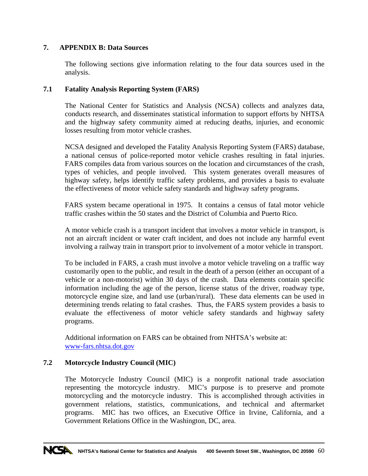# **7. APPENDIX B: Data Sources**

The following sections give information relating to the four data sources used in the analysis.

## **7.1 Fatality Analysis Reporting System (FARS)**

The National Center for Statistics and Analysis (NCSA) collects and analyzes data, conducts research, and disseminates statistical information to support efforts by NHTSA and the highway safety community aimed at reducing deaths, injuries, and economic losses resulting from motor vehicle crashes.

NCSA designed and developed the Fatality Analysis Reporting System (FARS) database, a national census of police-reported motor vehicle crashes resulting in fatal injuries. FARS compiles data from various sources on the location and circumstances of the crash, types of vehicles, and people involved. This system generates overall measures of highway safety, helps identify traffic safety problems, and provides a basis to evaluate the effectiveness of motor vehicle safety standards and highway safety programs.

FARS system became operational in 1975. It contains a census of fatal motor vehicle traffic crashes within the 50 states and the District of Columbia and Puerto Rico.

A motor vehicle crash is a transport incident that involves a motor vehicle in transport, is not an aircraft incident or water craft incident, and does not include any harmful event involving a railway train in transport prior to involvement of a motor vehicle in transport.

To be included in FARS, a crash must involve a motor vehicle traveling on a traffic way customarily open to the public, and result in the death of a person (either an occupant of a vehicle or a non-motorist) within 30 days of the crash. Data elements contain specific information including the age of the person, license status of the driver, roadway type, motorcycle engine size, and land use (urban/rural). These data elements can be used in determining trends relating to fatal crashes. Thus, the FARS system provides a basis to evaluate the effectiveness of motor vehicle safety standards and highway safety programs.

Additional information on FARS can be obtained from NHTSA's website at: www-fars.nhtsa.dot.gov

# **7.2 Motorcycle Industry Council (MIC)**

The Motorcycle Industry Council (MIC) is a nonprofit national trade association representing the motorcycle industry. MIC's purpose is to preserve and promote motorcycling and the motorcycle industry. This is accomplished through activities in government relations, statistics, communications, and technical and aftermarket programs. MIC has two offices, an Executive Office in Irvine, California, and a Government Relations Office in the Washington, DC, area.

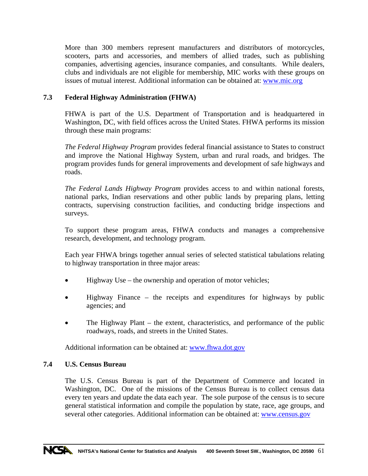More than 300 members represent manufacturers and distributors of motorcycles, scooters, parts and accessories, and members of allied trades, such as publishing companies, advertising agencies, insurance companies, and consultants. While dealers, clubs and individuals are not eligible for membership, MIC works with these groups on issues of mutual interest. Additional information can be obtained at: www.mic.org

# **7.3 Federal Highway Administration (FHWA)**

FHWA is part of the U.S. Department of Transportation and is headquartered in Washington, DC, with field offices across the United States. FHWA performs its mission through these main programs:

*The Federal Highway Program* provides federal financial assistance to States to construct and improve the National Highway System, urban and rural roads, and bridges. The program provides funds for general improvements and development of safe highways and roads.

*The Federal Lands Highway Program* provides access to and within national forests, national parks, Indian reservations and other public lands by preparing plans, letting contracts, supervising construction facilities, and conducting bridge inspections and surveys.

To support these program areas, FHWA conducts and manages a comprehensive research, development, and technology program.

Each year FHWA brings together annual series of selected statistical tabulations relating to highway transportation in three major areas:

- Highway Use the ownership and operation of motor vehicles;
- Highway Finance the receipts and expenditures for highways by public agencies; and
- The Highway Plant  $-$  the extent, characteristics, and performance of the public roadways, roads, and streets in the United States.

Additional information can be obtained at: [www.fhwa.dot.gov](http://www.fhwa.dot.gov/)

# **7.4 U.S. Census Bureau**

The U.S. Census Bureau is part of the Department of Commerce and located in Washington, DC. One of the missions of the Census Bureau is to collect census data every ten years and update the data each year. The sole purpose of the census is to secure general statistical information and compile the population by state, race, age groups, and several other categories. Additional information can be obtained at: www.census.gov

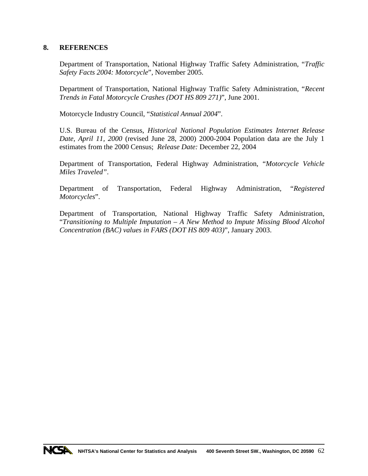## **8. REFERENCES**

Department of Transportation, National Highway Traffic Safety Administration, "*Traffic Safety Facts 2004: Motorcycle*", November 2005.

Department of Transportation, National Highway Traffic Safety Administration, "*Recent Trends in Fatal Motorcycle Crashes (DOT HS 809 271)*", June 2001.

Motorcycle Industry Council, "*Statistical Annual 2004*".

U.S. Bureau of the Census, *Historical National Population Estimates Internet Release Date, April 11, 2000* (revised June 28, 2000) 2000-2004 Population data are the July 1 estimates from the 2000 Census; *Release Date:* December 22, 2004

Department of Transportation, Federal Highway Administration, "*Motorcycle Vehicle Miles Traveled"*.

Department of Transportation, Federal Highway Administration, "*Registered Motorcycles*".

Department of Transportation, National Highway Traffic Safety Administration, "*Transitioning to Multiple Imputation – A New Method to Impute Missing Blood Alcohol Concentration (BAC) values in FARS (DOT HS 809 403)*", January 2003.